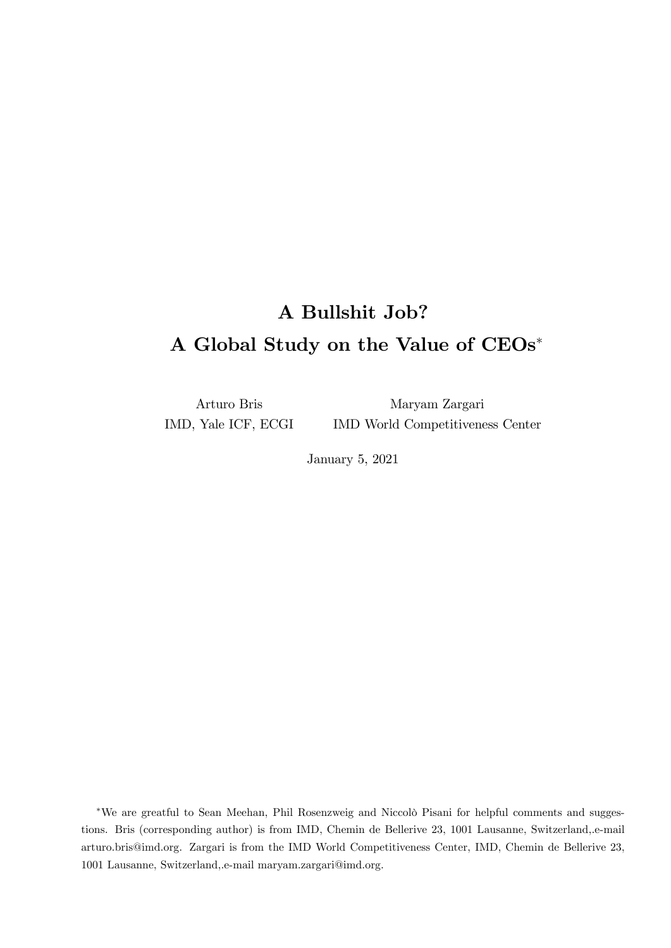## A Bullshit Job? A Global Study on the Value of CEOs

Arturo Bris IMD, Yale ICF, ECGI

Maryam Zargari IMD World Competitiveness Center

January 5, 2021

\*We are greatful to Sean Meehan, Phil Rosenzweig and Niccolò Pisani for helpful comments and suggestions. Bris (corresponding author) is from IMD, Chemin de Bellerive 23, 1001 Lausanne, Switzerland,.e-mail arturo.bris@imd.org. Zargari is from the IMD World Competitiveness Center, IMD, Chemin de Bellerive 23, 1001 Lausanne, Switzerland,.e-mail maryam.zargari@imd.org.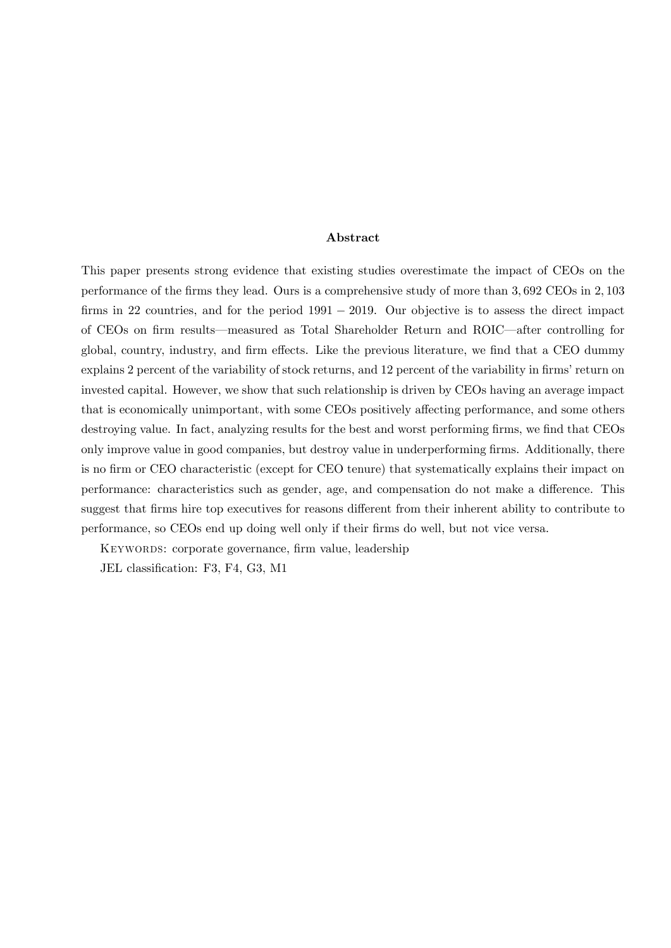#### Abstract

This paper presents strong evidence that existing studies overestimate the impact of CEOs on the performance of the firms they lead. Ours is a comprehensive study of more than 3,692 CEOs in 2,103 firms in 22 countries, and for the period  $1991 - 2019$ . Our objective is to assess the direct impact of CEOs on firm results—measured as Total Shareholder Return and ROIC—after controlling for global, country, industry, and firm effects. Like the previous literature, we find that a CEO dummy explains 2 percent of the variability of stock returns, and 12 percent of the variability in firms' return on invested capital. However, we show that such relationship is driven by CEOs having an average impact that is economically unimportant, with some CEOs positively affecting performance, and some others destroying value. In fact, analyzing results for the best and worst performing firms, we find that CEOs only improve value in good companies, but destroy value in underperforming firms. Additionally, there is no firm or CEO characteristic (except for CEO tenure) that systematically explains their impact on performance: characteristics such as gender, age, and compensation do not make a difference. This suggest that firms hire top executives for reasons different from their inherent ability to contribute to performance, so CEOs end up doing well only if their Örms do well, but not vice versa.

KEYWORDS: corporate governance, firm value, leadership

JEL classification: F3, F4, G3, M1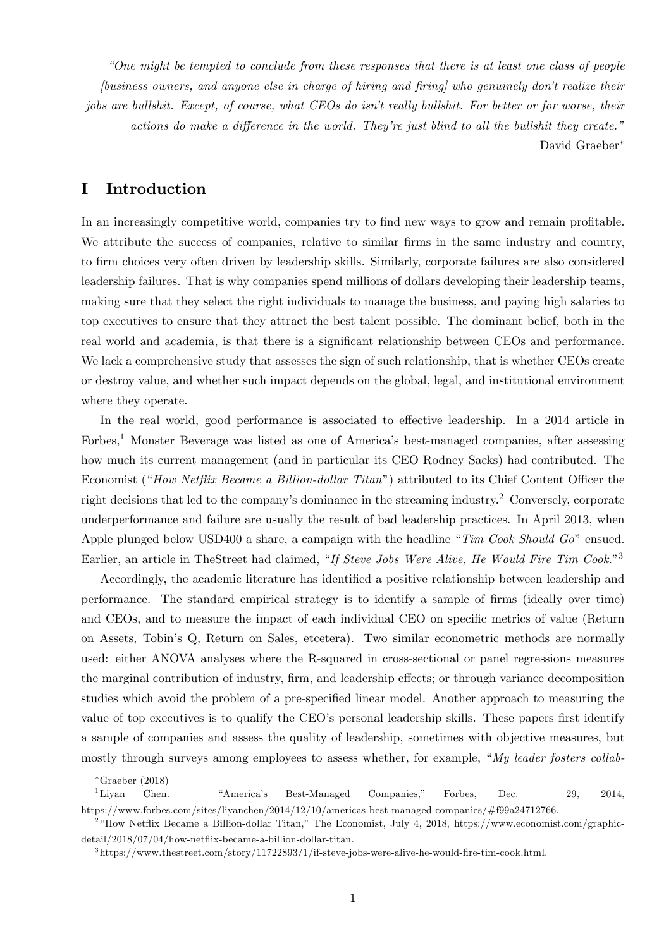ìOne might be tempted to conclude from these responses that there is at least one class of people [business owners, and anyone else in charge of hiring and Öring] who genuinely donít realize their jobs are bullshit. Except, of course, what CEOs do isn't really bullshit. For better or for worse, their  $actions do make a difference in the world. They're just blind to all the bulk shift they create."$ David Graeber

## I Introduction

In an increasingly competitive world, companies try to find new ways to grow and remain profitable. We attribute the success of companies, relative to similar firms in the same industry and country, to Örm choices very often driven by leadership skills. Similarly, corporate failures are also considered leadership failures. That is why companies spend millions of dollars developing their leadership teams, making sure that they select the right individuals to manage the business, and paying high salaries to top executives to ensure that they attract the best talent possible. The dominant belief, both in the real world and academia, is that there is a significant relationship between CEOs and performance. We lack a comprehensive study that assesses the sign of such relationship, that is whether CEOs create or destroy value, and whether such impact depends on the global, legal, and institutional environment where they operate.

In the real world, good performance is associated to effective leadership. In a 2014 article in Forbes,<sup>1</sup> Monster Beverage was listed as one of America's best-managed companies, after assessing how much its current management (and in particular its CEO Rodney Sacks) had contributed. The Economist ("How Netflix Became a Billion-dollar Titan") attributed to its Chief Content Officer the right decisions that led to the company's dominance in the streaming industry.<sup>2</sup> Conversely, corporate underperformance and failure are usually the result of bad leadership practices. In April 2013, when Apple plunged below USD400 a share, a campaign with the headline "Tim Cook Should Go" ensued. Earlier, an article in TheStreet had claimed, "If Steve Jobs Were Alive, He Would Fire Tim Cook."<sup>3</sup>

Accordingly, the academic literature has identified a positive relationship between leadership and performance. The standard empirical strategy is to identify a sample of Örms (ideally over time) and CEOs, and to measure the impact of each individual CEO on specific metrics of value (Return on Assets, Tobinís Q, Return on Sales, etcetera). Two similar econometric methods are normally used: either ANOVA analyses where the R-squared in cross-sectional or panel regressions measures the marginal contribution of industry, firm, and leadership effects; or through variance decomposition studies which avoid the problem of a pre-specified linear model. Another approach to measuring the value of top executives is to qualify the CEO's personal leadership skills. These papers first identify a sample of companies and assess the quality of leadership, sometimes with objective measures, but mostly through surveys among employees to assess whether, for example, " $My$  leader fosters collab-

Graeber (2018)

<sup>&</sup>lt;sup>1</sup>Liyan Chen. <sup>"</sup>America's Best-Managed Companies," Forbes, Dec. 29, 2014, https://www.forbes.com/sites/liyanchen/2014/12/10/americas-best-managed-companies/#f99a24712766.

<sup>2</sup> ìHow Netáix Became a Billion-dollar Titan,î The Economist, July 4, 2018, https://www.economist.com/graphicdetail/2018/07/04/how-netáix-became-a-billion-dollar-titan.

 $3$ https://www.thestreet.com/story/11722893/1/if-steve-jobs-were-alive-he-would-fire-tim-cook.html.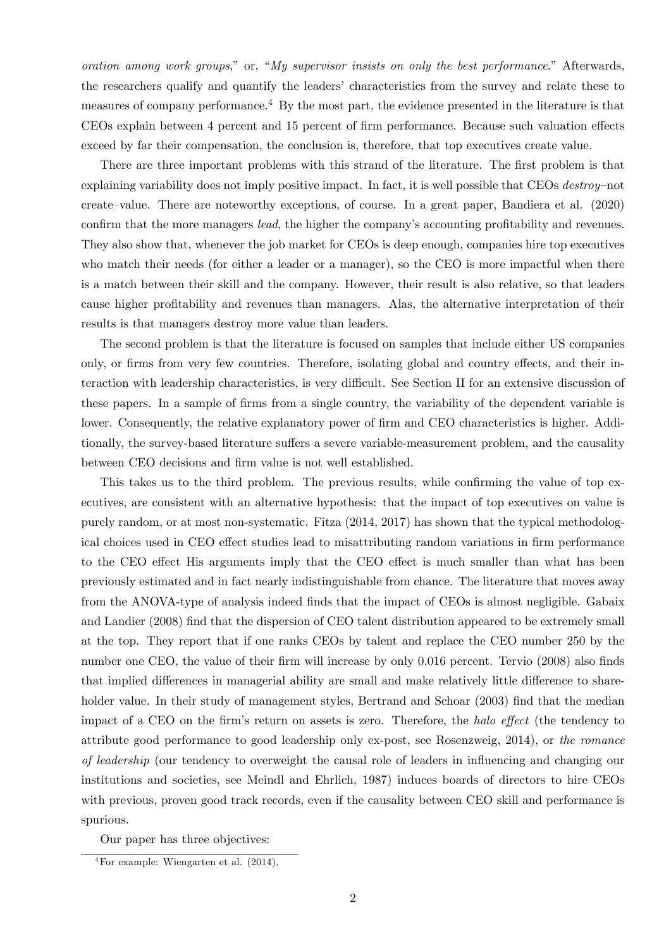oration among work groups," or, "My supervisor insists on only the best performance." Afterwards, the researchers qualify and quantify the leadersí characteristics from the survey and relate these to measures of company performance.<sup>4</sup> By the most part, the evidence presented in the literature is that CEOs explain between 4 percent and 15 percent of firm performance. Because such valuation effects exceed by far their compensation, the conclusion is, therefore, that top executives create value.

There are three important problems with this strand of the literature. The first problem is that explaining variability does not imply positive impact. In fact, it is well possible that CEOs destroy-not create–value. There are noteworthy exceptions, of course. In a great paper, Bandiera et al.  $(2020)$ confirm that the more managers *lead*, the higher the company's accounting profitability and revenues. They also show that, whenever the job market for CEOs is deep enough, companies hire top executives who match their needs (for either a leader or a manager), so the CEO is more impactful when there is a match between their skill and the company. However, their result is also relative, so that leaders cause higher profitability and revenues than managers. Alas, the alternative interpretation of their results is that managers destroy more value than leaders.

The second problem is that the literature is focused on samples that include either US companies only, or firms from very few countries. Therefore, isolating global and country effects, and their interaction with leadership characteristics, is very difficult. See Section II for an extensive discussion of these papers. In a sample of firms from a single country, the variability of the dependent variable is lower. Consequently, the relative explanatory power of firm and CEO characteristics is higher. Additionally, the survey-based literature suffers a severe variable-measurement problem, and the causality between CEO decisions and firm value is not well established.

This takes us to the third problem. The previous results, while confirming the value of top executives, are consistent with an alternative hypothesis: that the impact of top executives on value is purely random, or at most non-systematic. Fitza (2014, 2017) has shown that the typical methodological choices used in CEO effect studies lead to misattributing random variations in firm performance to the CEO effect His arguments imply that the CEO effect is much smaller than what has been previously estimated and in fact nearly indistinguishable from chance. The literature that moves away from the ANOVA-type of analysis indeed finds that the impact of CEOs is almost negligible. Gabaix and Landier (2008) find that the dispersion of CEO talent distribution appeared to be extremely small at the top. They report that if one ranks CEOs by talent and replace the CEO number 250 by the number one CEO, the value of their firm will increase by only 0.016 percent. Tervio (2008) also finds that implied differences in managerial ability are small and make relatively little difference to shareholder value. In their study of management styles, Bertrand and Schoar (2003) find that the median impact of a CEO on the firm's return on assets is zero. Therefore, the halo effect (the tendency to attribute good performance to good leadership only ex-post, see Rosenzweig, 2014), or the romance of leadership (our tendency to overweight the causal role of leaders in ináuencing and changing our institutions and societies, see Meindl and Ehrlich, 1987) induces boards of directors to hire CEOs with previous, proven good track records, even if the causality between CEO skill and performance is spurious.

Our paper has three objectives:

<sup>&</sup>lt;sup>4</sup>For example: Wiengarten et al.  $(2014)$ ,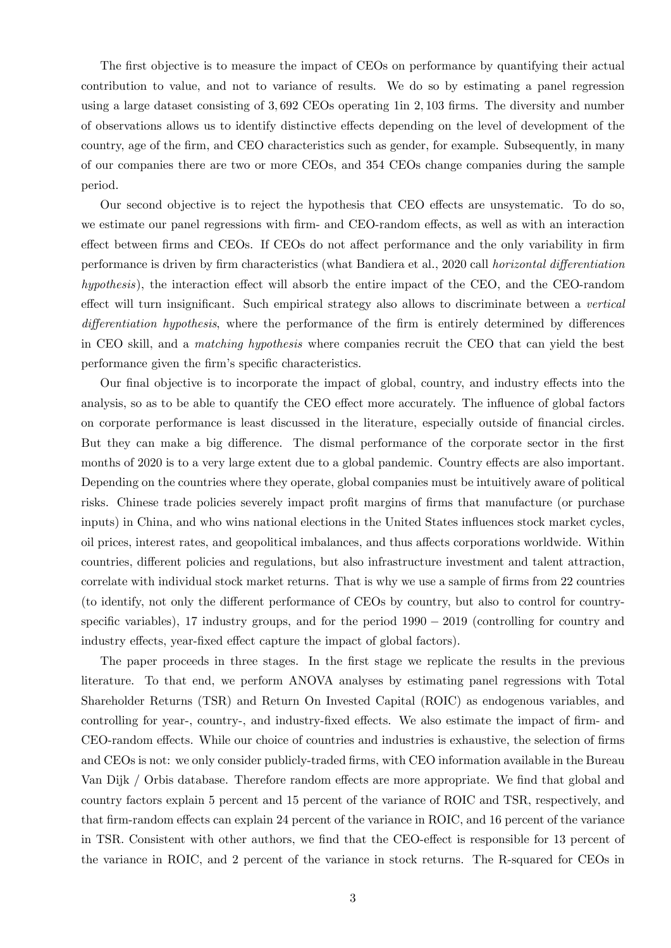The first objective is to measure the impact of CEOs on performance by quantifying their actual contribution to value, and not to variance of results. We do so by estimating a panel regression using a large dataset consisting of  $3,692$  CEOs operating 1in  $2,103$  firms. The diversity and number of observations allows us to identify distinctive effects depending on the level of development of the country, age of the firm, and CEO characteristics such as gender, for example. Subsequently, in many of our companies there are two or more CEOs, and 354 CEOs change companies during the sample period.

Our second objective is to reject the hypothesis that CEO effects are unsystematic. To do so, we estimate our panel regressions with firm- and CEO-random effects, as well as with an interaction effect between firms and CEOs. If CEOs do not affect performance and the only variability in firm performance is driven by firm characteristics (what Bandiera et al., 2020 call *horizontal differentiation*  $hypothesis$ ), the interaction effect will absorb the entire impact of the CEO, and the CEO-random effect will turn insignificant. Such empirical strategy also allows to discriminate between a vertical differentiation hypothesis, where the performance of the firm is entirely determined by differences in CEO skill, and a matching hypothesis where companies recruit the CEO that can yield the best performance given the firm's specific characteristics.

Our final objective is to incorporate the impact of global, country, and industry effects into the analysis, so as to be able to quantify the CEO effect more accurately. The influence of global factors on corporate performance is least discussed in the literature, especially outside of financial circles. But they can make a big difference. The dismal performance of the corporate sector in the first months of 2020 is to a very large extent due to a global pandemic. Country effects are also important. Depending on the countries where they operate, global companies must be intuitively aware of political risks. Chinese trade policies severely impact profit margins of firms that manufacture (or purchase inputs) in China, and who wins national elections in the United States influences stock market cycles, oil prices, interest rates, and geopolitical imbalances, and thus affects corporations worldwide. Within countries, different policies and regulations, but also infrastructure investment and talent attraction, correlate with individual stock market returns. That is why we use a sample of firms from 22 countries (to identify, not only the different performance of CEOs by country, but also to control for countryspecific variables), 17 industry groups, and for the period  $1990 - 2019$  (controlling for country and industry effects, year-fixed effect capture the impact of global factors).

The paper proceeds in three stages. In the first stage we replicate the results in the previous literature. To that end, we perform ANOVA analyses by estimating panel regressions with Total Shareholder Returns (TSR) and Return On Invested Capital (ROIC) as endogenous variables, and controlling for year-, country-, and industry-fixed effects. We also estimate the impact of firm- and CEO-random effects. While our choice of countries and industries is exhaustive, the selection of firms and CEOs is not: we only consider publicly-traded firms, with CEO information available in the Bureau Van Dijk / Orbis database. Therefore random effects are more appropriate. We find that global and country factors explain 5 percent and 15 percent of the variance of ROIC and TSR, respectively, and that firm-random effects can explain 24 percent of the variance in ROIC, and 16 percent of the variance in TSR. Consistent with other authors, we find that the CEO-effect is responsible for 13 percent of the variance in ROIC, and 2 percent of the variance in stock returns. The R-squared for CEOs in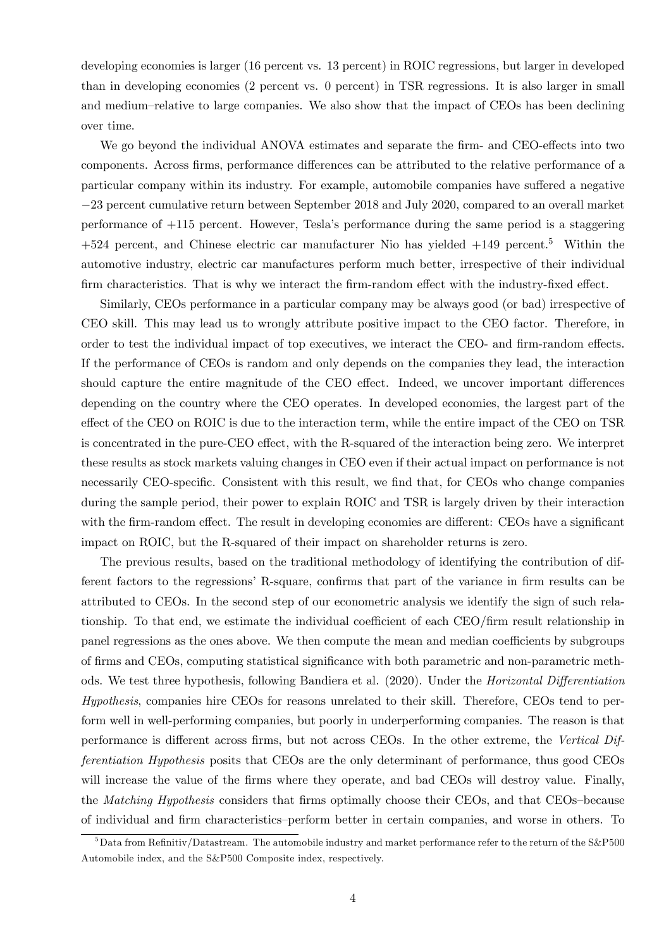developing economies is larger (16 percent vs. 13 percent) in ROIC regressions, but larger in developed than in developing economies (2 percent vs. 0 percent) in TSR regressions. It is also larger in small and medium–relative to large companies. We also show that the impact of CEOs has been declining over time.

We go beyond the individual ANOVA estimates and separate the firm- and CEO-effects into two components. Across firms, performance differences can be attributed to the relative performance of a particular company within its industry. For example, automobile companies have suffered a negative 23 percent cumulative return between September 2018 and July 2020, compared to an overall market performance of +115 percent. However, Teslaís performance during the same period is a staggering  $+524$  percent, and Chinese electric car manufacturer Nio has yielded  $+149$  percent.<sup>5</sup> Within the automotive industry, electric car manufactures perform much better, irrespective of their individual firm characteristics. That is why we interact the firm-random effect with the industry-fixed effect.

Similarly, CEOs performance in a particular company may be always good (or bad) irrespective of CEO skill. This may lead us to wrongly attribute positive impact to the CEO factor. Therefore, in order to test the individual impact of top executives, we interact the CEO- and firm-random effects. If the performance of CEOs is random and only depends on the companies they lead, the interaction should capture the entire magnitude of the CEO effect. Indeed, we uncover important differences depending on the country where the CEO operates. In developed economies, the largest part of the effect of the CEO on ROIC is due to the interaction term, while the entire impact of the CEO on TSR is concentrated in the pure-CEO effect, with the R-squared of the interaction being zero. We interpret these results as stock markets valuing changes in CEO even if their actual impact on performance is not necessarily CEO-specific. Consistent with this result, we find that, for CEOs who change companies during the sample period, their power to explain ROIC and TSR is largely driven by their interaction with the firm-random effect. The result in developing economies are different: CEOs have a significant impact on ROIC, but the R-squared of their impact on shareholder returns is zero.

The previous results, based on the traditional methodology of identifying the contribution of different factors to the regressions' R-square, confirms that part of the variance in firm results can be attributed to CEOs. In the second step of our econometric analysis we identify the sign of such relationship. To that end, we estimate the individual coefficient of each CEO/firm result relationship in panel regressions as the ones above. We then compute the mean and median coefficients by subgroups of firms and CEOs, computing statistical significance with both parametric and non-parametric methods. We test three hypothesis, following Bandiera et al. (2020). Under the *Horizontal Differentiation* Hypothesis, companies hire CEOs for reasons unrelated to their skill. Therefore, CEOs tend to perform well in well-performing companies, but poorly in underperforming companies. The reason is that performance is different across firms, but not across CEOs. In the other extreme, the Vertical Differentiation Hypothesis posits that CEOs are the only determinant of performance, thus good CEOs will increase the value of the firms where they operate, and bad CEOs will destroy value. Finally, the *Matching Hypothesis* considers that firms optimally choose their CEOs, and that CEOs-because of individual and firm characteristics–perform better in certain companies, and worse in others. To

 $5$ Data from Refinitiv/Datastream. The automobile industry and market performance refer to the return of the S&P500 Automobile index, and the S&P500 Composite index, respectively.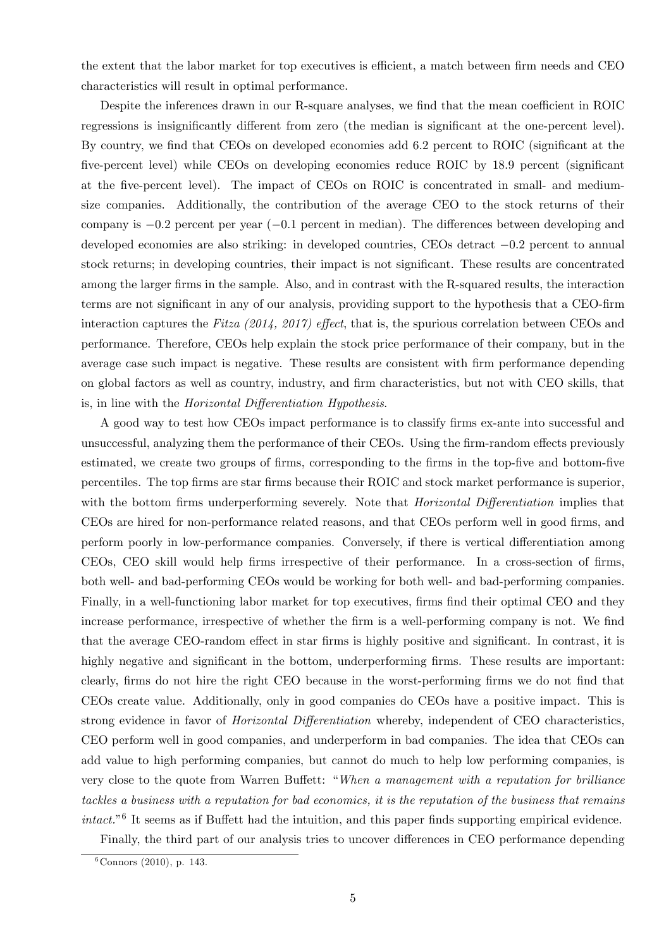the extent that the labor market for top executives is efficient, a match between firm needs and CEO characteristics will result in optimal performance.

Despite the inferences drawn in our R-square analyses, we find that the mean coefficient in ROIC regressions is insignificantly different from zero (the median is significant at the one-percent level). By country, we find that CEOs on developed economies add 6.2 percent to ROIC (significant at the five-percent level) while CEOs on developing economies reduce ROIC by 18.9 percent (significant at the Öve-percent level). The impact of CEOs on ROIC is concentrated in small- and mediumsize companies. Additionally, the contribution of the average CEO to the stock returns of their company is  $-0.2$  percent per year  $(-0.1$  percent in median). The differences between developing and developed economies are also striking: in developed countries, CEOs detract  $-0.2$  percent to annual stock returns; in developing countries, their impact is not significant. These results are concentrated among the larger firms in the sample. Also, and in contrast with the R-squared results, the interaction terms are not significant in any of our analysis, providing support to the hypothesis that a CEO-firm interaction captures the Fitza (2014, 2017) effect, that is, the spurious correlation between CEOs and performance. Therefore, CEOs help explain the stock price performance of their company, but in the average case such impact is negative. These results are consistent with firm performance depending on global factors as well as country, industry, and Örm characteristics, but not with CEO skills, that is, in line with the *Horizontal Differentiation Hypothesis*.

A good way to test how CEOs impact performance is to classify firms ex-ante into successful and unsuccessful, analyzing them the performance of their CEOs. Using the firm-random effects previously estimated, we create two groups of firms, corresponding to the firms in the top-five and bottom-five percentiles. The top firms are star firms because their ROIC and stock market performance is superior, with the bottom firms underperforming severely. Note that *Horizontal Differentiation* implies that CEOs are hired for non-performance related reasons, and that CEOs perform well in good firms, and perform poorly in low-performance companies. Conversely, if there is vertical differentiation among CEOs, CEO skill would help firms irrespective of their performance. In a cross-section of firms, both well- and bad-performing CEOs would be working for both well- and bad-performing companies. Finally, in a well-functioning labor market for top executives, firms find their optimal CEO and they increase performance, irrespective of whether the firm is a well-performing company is not. We find that the average CEO-random effect in star firms is highly positive and significant. In contrast, it is highly negative and significant in the bottom, underperforming firms. These results are important: clearly, firms do not hire the right CEO because in the worst-performing firms we do not find that CEOs create value. Additionally, only in good companies do CEOs have a positive impact. This is strong evidence in favor of *Horizontal Differentiation* whereby, independent of CEO characteristics, CEO perform well in good companies, and underperform in bad companies. The idea that CEOs can add value to high performing companies, but cannot do much to help low performing companies, is very close to the quote from Warren Buffett: "When a management with a reputation for brilliance tackles a business with a reputation for bad economics, it is the reputation of the business that remains  $intact.^{6}$  It seems as if Buffett had the intuition, and this paper finds supporting empirical evidence.

Finally, the third part of our analysis tries to uncover differences in CEO performance depending

 $6$ Connors (2010), p. 143.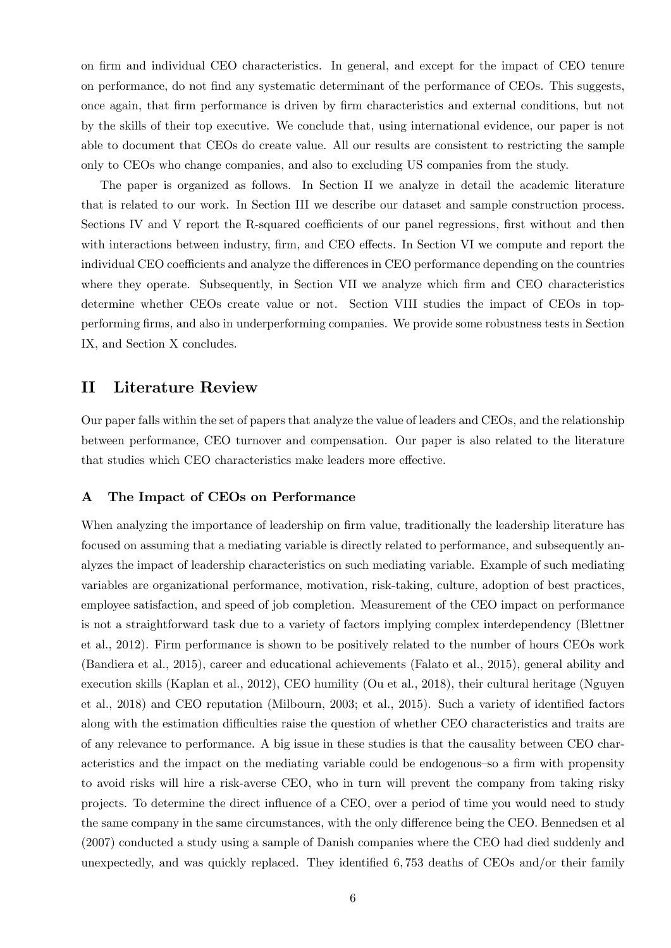on firm and individual CEO characteristics. In general, and except for the impact of CEO tenure on performance, do not Önd any systematic determinant of the performance of CEOs. This suggests, once again, that Örm performance is driven by Örm characteristics and external conditions, but not by the skills of their top executive. We conclude that, using international evidence, our paper is not able to document that CEOs do create value. All our results are consistent to restricting the sample only to CEOs who change companies, and also to excluding US companies from the study.

The paper is organized as follows. In Section II we analyze in detail the academic literature that is related to our work. In Section III we describe our dataset and sample construction process. Sections IV and V report the R-squared coefficients of our panel regressions, first without and then with interactions between industry, firm, and CEO effects. In Section VI we compute and report the individual CEO coefficients and analyze the differences in CEO performance depending on the countries where they operate. Subsequently, in Section VII we analyze which firm and CEO characteristics determine whether CEOs create value or not. Section VIII studies the impact of CEOs in topperforming Örms, and also in underperforming companies. We provide some robustness tests in Section IX, and Section X concludes.

## II Literature Review

Our paper falls within the set of papers that analyze the value of leaders and CEOs, and the relationship between performance, CEO turnover and compensation. Our paper is also related to the literature that studies which CEO characteristics make leaders more effective.

#### A The Impact of CEOs on Performance

When analyzing the importance of leadership on firm value, traditionally the leadership literature has focused on assuming that a mediating variable is directly related to performance, and subsequently analyzes the impact of leadership characteristics on such mediating variable. Example of such mediating variables are organizational performance, motivation, risk-taking, culture, adoption of best practices, employee satisfaction, and speed of job completion. Measurement of the CEO impact on performance is not a straightforward task due to a variety of factors implying complex interdependency (Blettner et al., 2012). Firm performance is shown to be positively related to the number of hours CEOs work (Bandiera et al., 2015), career and educational achievements (Falato et al., 2015), general ability and execution skills (Kaplan et al., 2012), CEO humility (Ou et al., 2018), their cultural heritage (Nguyen et al., 2018) and CEO reputation (Milbourn, 2003; et al., 2015). Such a variety of identified factors along with the estimation difficulties raise the question of whether CEO characteristics and traits are of any relevance to performance. A big issue in these studies is that the causality between CEO characteristics and the impact on the mediating variable could be endogenous so a firm with propensity to avoid risks will hire a risk-averse CEO, who in turn will prevent the company from taking risky projects. To determine the direct ináuence of a CEO, over a period of time you would need to study the same company in the same circumstances, with the only difference being the CEO. Bennedsen et al (2007) conducted a study using a sample of Danish companies where the CEO had died suddenly and unexpectedly, and was quickly replaced. They identified  $6,753$  deaths of CEOs and/or their family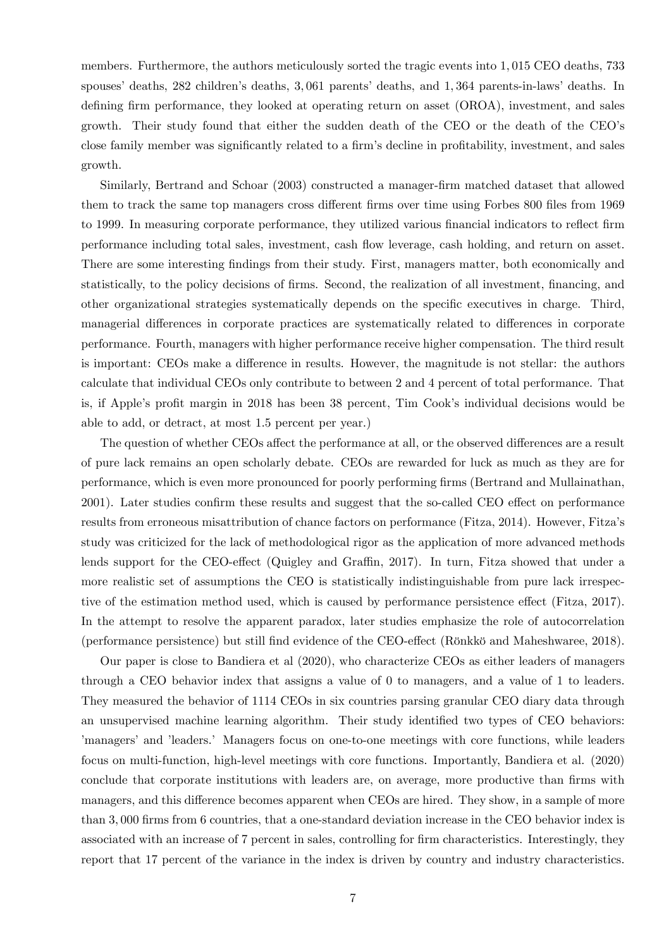members. Furthermore, the authors meticulously sorted the tragic events into 1; 015 CEO deaths, 733 spouses' deaths, 282 children's deaths, 3,061 parents' deaths, and 1,364 parents-in-laws' deaths. In defining firm performance, they looked at operating return on asset (OROA), investment, and sales growth. Their study found that either the sudden death of the CEO or the death of the CEOís close family member was significantly related to a firm's decline in profitability, investment, and sales growth.

Similarly, Bertrand and Schoar (2003) constructed a manager-Örm matched dataset that allowed them to track the same top managers cross different firms over time using Forbes 800 files from 1969 to 1999. In measuring corporate performance, they utilized various financial indicators to reflect firm performance including total sales, investment, cash áow leverage, cash holding, and return on asset. There are some interesting findings from their study. First, managers matter, both economically and statistically, to the policy decisions of firms. Second, the realization of all investment, financing, and other organizational strategies systematically depends on the specific executives in charge. Third, managerial differences in corporate practices are systematically related to differences in corporate performance. Fourth, managers with higher performance receive higher compensation. The third result is important: CEOs make a difference in results. However, the magnitude is not stellar: the authors calculate that individual CEOs only contribute to between 2 and 4 percent of total performance. That is, if Apple's profit margin in 2018 has been 38 percent, Tim Cook's individual decisions would be able to add, or detract, at most 1.5 percent per year.)

The question of whether CEOs affect the performance at all, or the observed differences are a result of pure lack remains an open scholarly debate. CEOs are rewarded for luck as much as they are for performance, which is even more pronounced for poorly performing Örms (Bertrand and Mullainathan, 2001). Later studies confirm these results and suggest that the so-called CEO effect on performance results from erroneous misattribution of chance factors on performance (Fitza, 2014). However, Fitzaís study was criticized for the lack of methodological rigor as the application of more advanced methods lends support for the CEO-effect (Quigley and Graffin, 2017). In turn, Fitza showed that under a more realistic set of assumptions the CEO is statistically indistinguishable from pure lack irrespective of the estimation method used, which is caused by performance persistence effect (Fitza, 2017). In the attempt to resolve the apparent paradox, later studies emphasize the role of autocorrelation (performance persistence) but still find evidence of the CEO-effect (Rönkkö and Maheshwaree, 2018).

Our paper is close to Bandiera et al (2020), who characterize CEOs as either leaders of managers through a CEO behavior index that assigns a value of 0 to managers, and a value of 1 to leaders. They measured the behavior of 1114 CEOs in six countries parsing granular CEO diary data through an unsupervised machine learning algorithm. Their study identified two types of CEO behaviors: ímanagersíand íleaders.í Managers focus on one-to-one meetings with core functions, while leaders focus on multi-function, high-level meetings with core functions. Importantly, Bandiera et al. (2020) conclude that corporate institutions with leaders are, on average, more productive than firms with managers, and this difference becomes apparent when CEOs are hired. They show, in a sample of more than 3,000 firms from 6 countries, that a one-standard deviation increase in the CEO behavior index is associated with an increase of 7 percent in sales, controlling for firm characteristics. Interestingly, they report that 17 percent of the variance in the index is driven by country and industry characteristics.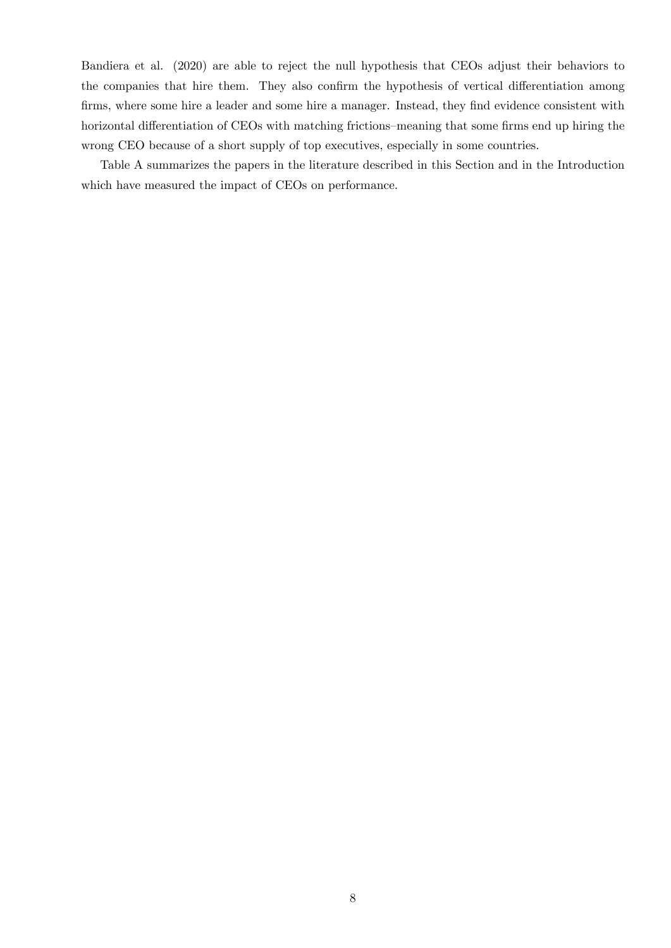Bandiera et al. (2020) are able to reject the null hypothesis that CEOs adjust their behaviors to the companies that hire them. They also confirm the hypothesis of vertical differentiation among firms, where some hire a leader and some hire a manager. Instead, they find evidence consistent with horizontal differentiation of CEOs with matching frictions–meaning that some firms end up hiring the wrong CEO because of a short supply of top executives, especially in some countries.

Table A summarizes the papers in the literature described in this Section and in the Introduction which have measured the impact of CEOs on performance.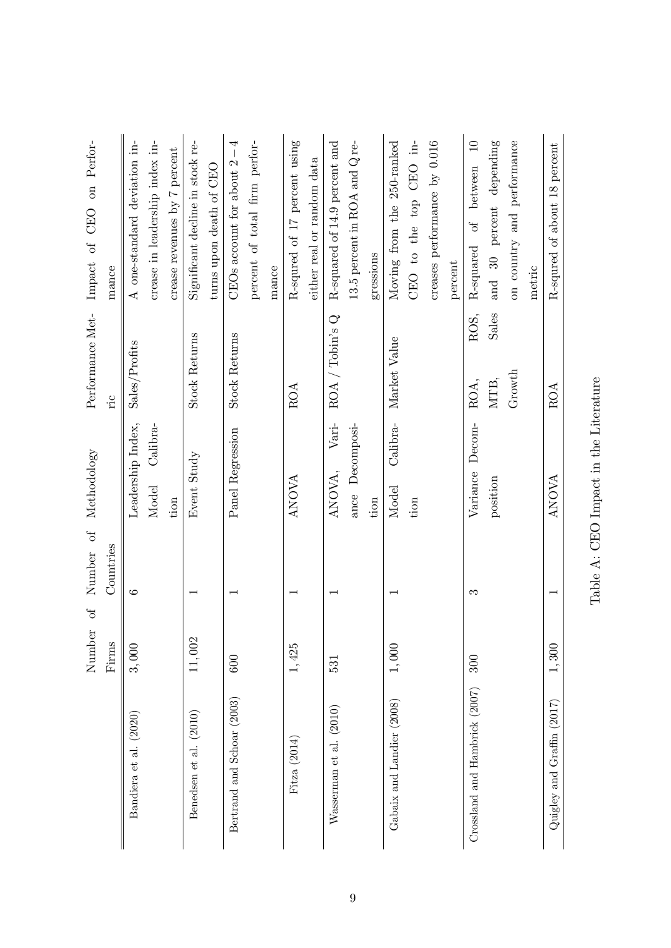|                               | $\sigma$<br>Number    | Number of                | Methodology        | Performance Met-                             | Perfor-<br>$\alpha$<br>CEO<br>Impact of     |
|-------------------------------|-----------------------|--------------------------|--------------------|----------------------------------------------|---------------------------------------------|
|                               | $\operatorname{Fims}$ | Countries                |                    | 'nс                                          | mance                                       |
| Bandiera et al. (2020)        | 3,000                 | G                        | Leadership Index,  | Sales/Profits                                | A one-standard deviation in-                |
|                               |                       |                          | Calibra-<br>Model  |                                              | crease in leadership index in-              |
|                               |                       |                          | tion               |                                              | crease revenues by 7 percent                |
| Benedsen et al. (2010)        | $11,002$              |                          | Event Study        | <b>Stock Returns</b>                         | Significant decline in stock re-            |
|                               |                       |                          |                    |                                              | turns upon death of CEO                     |
| Bertrand and Schoar (2003)    | 600                   |                          | Panel Regression   | Stock Returns                                | CEOs account for about $2-4$                |
|                               |                       |                          |                    |                                              | percent of total firm perfor-               |
|                               |                       |                          |                    |                                              | mance                                       |
| Fitza (2014)                  | $1,425$               |                          | <b>ANOVA</b>       | ROA                                          | R-squred of 17 percent using                |
|                               |                       |                          |                    |                                              | either real or random data                  |
| Wasserman et al. (2010)       | 531                   |                          | $Vari$ -<br>ANOVA, | ROA / Tobins Q                               | R-squared of 14.9 percent and               |
|                               |                       |                          | ance Decomposi-    |                                              | 13.5 percent in ROA and $Q$ re-             |
|                               |                       |                          | tion               |                                              | gressions                                   |
| Gabaix and Landier (2008)     | $1,000$               |                          | Calibra-<br>Model  | Market Value                                 | Moving from the 250-ranked                  |
|                               |                       |                          | tion               |                                              | CEO to the top CEO in-                      |
|                               |                       |                          |                    |                                              | creases performance by 0.016                |
|                               |                       |                          |                    |                                              | percent                                     |
| Crossland and Hambrick (2007) | 300                   | S                        | Variance Decom-    | ROS,<br>ROA,                                 | $\Box$<br>of between<br>R-squared           |
|                               |                       |                          | position           | Sales<br>$\ensuremath{\mathrm{MTB}}\xspace,$ | percent depending<br>$\overline{30}$<br>and |
|                               |                       |                          |                    | Growth                                       | on country and performance                  |
|                               |                       |                          |                    |                                              | metric                                      |
| Quigley and Graffin $(2017)$  | 1,300                 | $\overline{\phantom{0}}$ | <b>ANOVA</b>       | ROA                                          | R-squred of about 18 percent                |
|                               |                       |                          |                    |                                              |                                             |

Table A: CEO Impact in the Literature Table A: CEO Impact in the Literature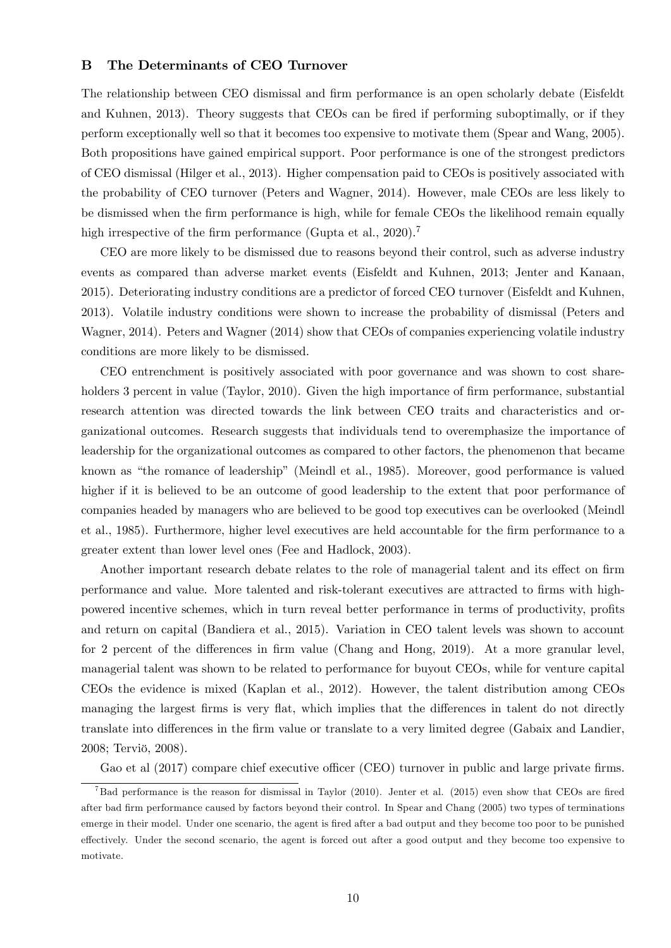#### B The Determinants of CEO Turnover

The relationship between CEO dismissal and firm performance is an open scholarly debate (Eisfeldt and Kuhnen, 2013). Theory suggests that CEOs can be fired if performing suboptimally, or if they perform exceptionally well so that it becomes too expensive to motivate them (Spear and Wang, 2005). Both propositions have gained empirical support. Poor performance is one of the strongest predictors of CEO dismissal (Hilger et al., 2013). Higher compensation paid to CEOs is positively associated with the probability of CEO turnover (Peters and Wagner, 2014). However, male CEOs are less likely to be dismissed when the firm performance is high, while for female CEOs the likelihood remain equally high irrespective of the firm performance (Gupta et al.,  $2020$ ).<sup>7</sup>

CEO are more likely to be dismissed due to reasons beyond their control, such as adverse industry events as compared than adverse market events (Eisfeldt and Kuhnen, 2013; Jenter and Kanaan, 2015). Deteriorating industry conditions are a predictor of forced CEO turnover (Eisfeldt and Kuhnen, 2013). Volatile industry conditions were shown to increase the probability of dismissal (Peters and Wagner, 2014). Peters and Wagner (2014) show that CEOs of companies experiencing volatile industry conditions are more likely to be dismissed.

CEO entrenchment is positively associated with poor governance and was shown to cost shareholders 3 percent in value (Taylor, 2010). Given the high importance of firm performance, substantial research attention was directed towards the link between CEO traits and characteristics and organizational outcomes. Research suggests that individuals tend to overemphasize the importance of leadership for the organizational outcomes as compared to other factors, the phenomenon that became known as "the romance of leadership" (Meindl et al., 1985). Moreover, good performance is valued higher if it is believed to be an outcome of good leadership to the extent that poor performance of companies headed by managers who are believed to be good top executives can be overlooked (Meindl et al., 1985). Furthermore, higher level executives are held accountable for the firm performance to a greater extent than lower level ones (Fee and Hadlock, 2003).

Another important research debate relates to the role of managerial talent and its effect on firm performance and value. More talented and risk-tolerant executives are attracted to firms with highpowered incentive schemes, which in turn reveal better performance in terms of productivity, profits and return on capital (Bandiera et al., 2015). Variation in CEO talent levels was shown to account for 2 percent of the differences in firm value (Chang and Hong, 2019). At a more granular level, managerial talent was shown to be related to performance for buyout CEOs, while for venture capital CEOs the evidence is mixed (Kaplan et al., 2012). However, the talent distribution among CEOs managing the largest firms is very flat, which implies that the differences in talent do not directly translate into differences in the firm value or translate to a very limited degree (Gabaix and Landier, 2008; Terviö, 2008).

Gao et al (2017) compare chief executive officer (CEO) turnover in public and large private firms.

<sup>&</sup>lt;sup>7</sup>Bad performance is the reason for dismissal in Taylor (2010). Jenter et al. (2015) even show that CEOs are fired after bad Örm performance caused by factors beyond their control. In Spear and Chang (2005) two types of terminations emerge in their model. Under one scenario, the agent is fired after a bad output and they become too poor to be punished effectively. Under the second scenario, the agent is forced out after a good output and they become too expensive to motivate.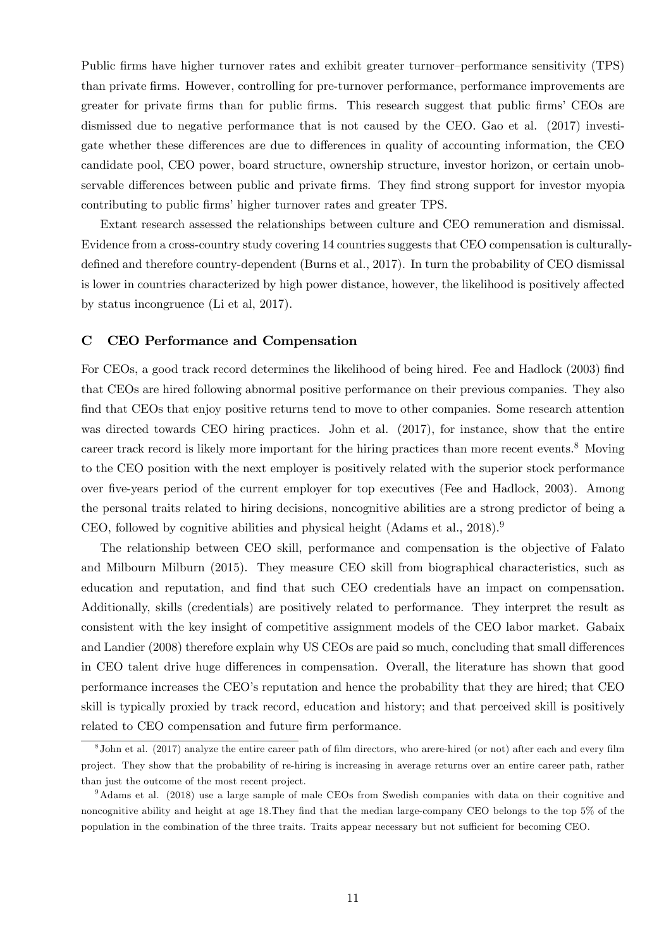Public firms have higher turnover rates and exhibit greater turnover-performance sensitivity (TPS) than private Örms. However, controlling for pre-turnover performance, performance improvements are greater for private firms than for public firms. This research suggest that public firms' CEOs are dismissed due to negative performance that is not caused by the CEO. Gao et al. (2017) investigate whether these differences are due to differences in quality of accounting information, the CEO candidate pool, CEO power, board structure, ownership structure, investor horizon, or certain unobservable differences between public and private firms. They find strong support for investor myopia contributing to public firms' higher turnover rates and greater TPS.

Extant research assessed the relationships between culture and CEO remuneration and dismissal. Evidence from a cross-country study covering 14 countries suggests that CEO compensation is culturallydefined and therefore country-dependent (Burns et al., 2017). In turn the probability of CEO dismissal is lower in countries characterized by high power distance, however, the likelihood is positively affected by status incongruence (Li et al, 2017).

#### C CEO Performance and Compensation

For CEOs, a good track record determines the likelihood of being hired. Fee and Hadlock (2003) find that CEOs are hired following abnormal positive performance on their previous companies. They also find that CEOs that enjoy positive returns tend to move to other companies. Some research attention was directed towards CEO hiring practices. John et al. (2017), for instance, show that the entire career track record is likely more important for the hiring practices than more recent events.<sup>8</sup> Moving to the CEO position with the next employer is positively related with the superior stock performance over Öve-years period of the current employer for top executives (Fee and Hadlock, 2003). Among the personal traits related to hiring decisions, noncognitive abilities are a strong predictor of being a CEO, followed by cognitive abilities and physical height (Adams et al.,  $2018$ ).<sup>9</sup>

The relationship between CEO skill, performance and compensation is the objective of Falato and Milbourn Milburn (2015). They measure CEO skill from biographical characteristics, such as education and reputation, and find that such CEO credentials have an impact on compensation. Additionally, skills (credentials) are positively related to performance. They interpret the result as consistent with the key insight of competitive assignment models of the CEO labor market. Gabaix and Landier (2008) therefore explain why US CEOs are paid so much, concluding that small differences in CEO talent drive huge differences in compensation. Overall, the literature has shown that good performance increases the CEO's reputation and hence the probability that they are hired; that CEO skill is typically proxied by track record, education and history; and that perceived skill is positively related to CEO compensation and future firm performance.

<sup>&</sup>lt;sup>8</sup> John et al. (2017) analyze the entire career path of film directors, who arere-hired (or not) after each and every film project. They show that the probability of re-hiring is increasing in average returns over an entire career path, rather than just the outcome of the most recent project.

<sup>9</sup>Adams et al. (2018) use a large sample of male CEOs from Swedish companies with data on their cognitive and noncognitive ability and height at age 18. They find that the median large-company CEO belongs to the top 5% of the population in the combination of the three traits. Traits appear necessary but not sufficient for becoming CEO.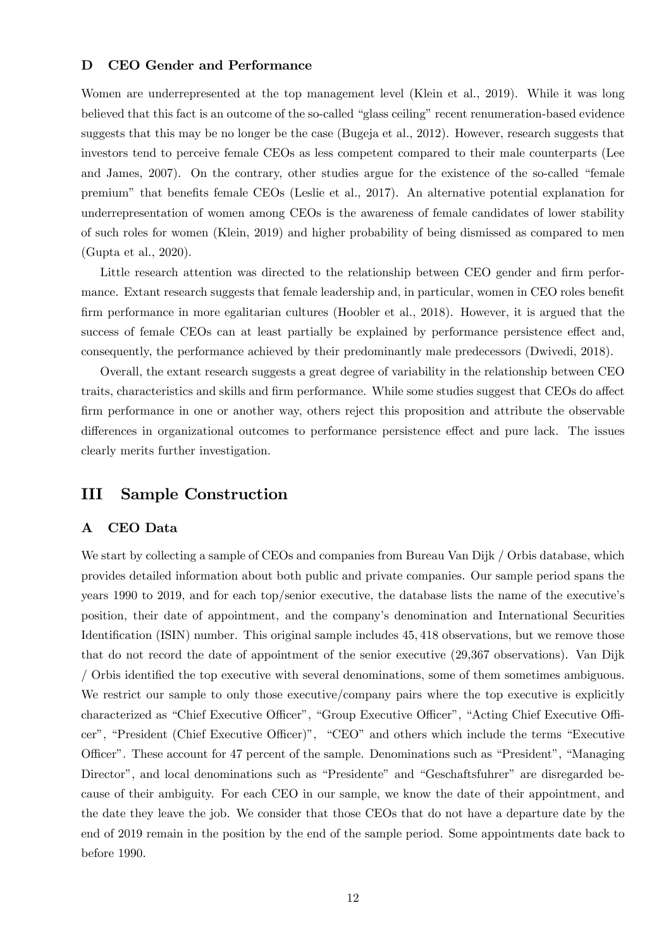### D CEO Gender and Performance

Women are underrepresented at the top management level (Klein et al., 2019). While it was long believed that this fact is an outcome of the so-called "glass ceiling" recent renumeration-based evidence suggests that this may be no longer be the case (Bugeja et al., 2012). However, research suggests that investors tend to perceive female CEOs as less competent compared to their male counterparts (Lee and James,  $2007$ ). On the contrary, other studies argue for the existence of the so-called "female premium" that benefits female CEOs (Leslie et al., 2017). An alternative potential explanation for underrepresentation of women among CEOs is the awareness of female candidates of lower stability of such roles for women (Klein, 2019) and higher probability of being dismissed as compared to men (Gupta et al., 2020).

Little research attention was directed to the relationship between CEO gender and firm performance. Extant research suggests that female leadership and, in particular, women in CEO roles benefit firm performance in more egalitarian cultures (Hoobler et al., 2018). However, it is argued that the success of female CEOs can at least partially be explained by performance persistence effect and, consequently, the performance achieved by their predominantly male predecessors (Dwivedi, 2018).

Overall, the extant research suggests a great degree of variability in the relationship between CEO traits, characteristics and skills and firm performance. While some studies suggest that CEOs do affect firm performance in one or another way, others reject this proposition and attribute the observable differences in organizational outcomes to performance persistence effect and pure lack. The issues clearly merits further investigation.

## III Sample Construction

#### A CEO Data

We start by collecting a sample of CEOs and companies from Bureau Van Dijk / Orbis database, which provides detailed information about both public and private companies. Our sample period spans the years 1990 to 2019, and for each top/senior executive, the database lists the name of the executive's position, their date of appointment, and the companyís denomination and International Securities Identification (ISIN) number. This original sample includes 45, 418 observations, but we remove those that do not record the date of appointment of the senior executive (29,367 observations). Van Dijk / Orbis identified the top executive with several denominations, some of them sometimes ambiguous. We restrict our sample to only those executive/company pairs where the top executive is explicitly characterized as "Chief Executive Officer", "Group Executive Officer", "Acting Chief Executive Officer", "President (Chief Executive Officer)", "CEO" and others which include the terms "Executive Officer". These account for 47 percent of the sample. Denominations such as "President", "Managing Director", and local denominations such as "Presidente" and "Geschaftsfuhrer" are disregarded because of their ambiguity. For each CEO in our sample, we know the date of their appointment, and the date they leave the job. We consider that those CEOs that do not have a departure date by the end of 2019 remain in the position by the end of the sample period. Some appointments date back to before 1990.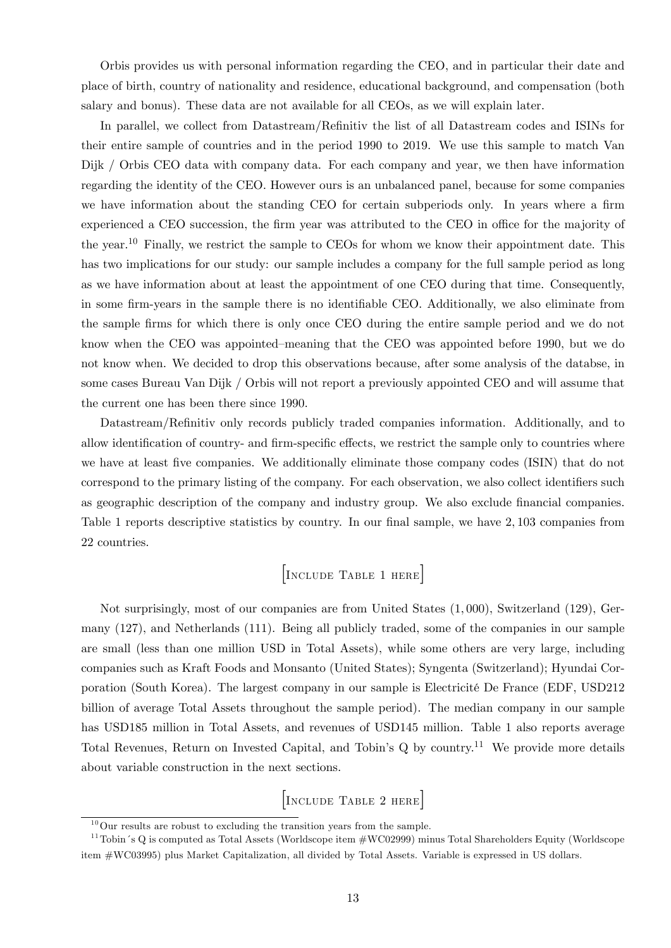Orbis provides us with personal information regarding the CEO, and in particular their date and place of birth, country of nationality and residence, educational background, and compensation (both salary and bonus). These data are not available for all CEOs, as we will explain later.

In parallel, we collect from Datastream/Refinitiv the list of all Datastream codes and ISINs for their entire sample of countries and in the period 1990 to 2019. We use this sample to match Van Dijk / Orbis CEO data with company data. For each company and year, we then have information regarding the identity of the CEO. However ours is an unbalanced panel, because for some companies we have information about the standing CEO for certain subperiods only. In years where a firm experienced a CEO succession, the firm year was attributed to the CEO in office for the majority of the year.<sup>10</sup> Finally, we restrict the sample to CEOs for whom we know their appointment date. This has two implications for our study: our sample includes a company for the full sample period as long as we have information about at least the appointment of one CEO during that time. Consequently, in some firm-years in the sample there is no identifiable CEO. Additionally, we also eliminate from the sample Örms for which there is only once CEO during the entire sample period and we do not know when the CEO was appointed–meaning that the CEO was appointed before 1990, but we do not know when. We decided to drop this observations because, after some analysis of the databse, in some cases Bureau Van Dijk / Orbis will not report a previously appointed CEO and will assume that the current one has been there since 1990.

Datastream/Refinitiv only records publicly traded companies information. Additionally, and to allow identification of country- and firm-specific effects, we restrict the sample only to countries where we have at least five companies. We additionally eliminate those company codes (ISIN) that do not correspond to the primary listing of the company. For each observation, we also collect identifiers such as geographic description of the company and industry group. We also exclude financial companies. Table 1 reports descriptive statistics by country. In our final sample, we have 2, 103 companies from 22 countries.

## [Include Table 1 here]

Not surprisingly, most of our companies are from United States (1; 000), Switzerland (129), Germany (127), and Netherlands (111). Being all publicly traded, some of the companies in our sample are small (less than one million USD in Total Assets), while some others are very large, including companies such as Kraft Foods and Monsanto (United States); Syngenta (Switzerland); Hyundai Corporation (South Korea). The largest company in our sample is Electricité De France (EDF, USD212 billion of average Total Assets throughout the sample period). The median company in our sample has USD185 million in Total Assets, and revenues of USD145 million. Table 1 also reports average Total Revenues, Return on Invested Capital, and Tobin's  $Q$  by country.<sup>11</sup> We provide more details about variable construction in the next sections.

[Include Table 2 here]

 $10$ Our results are robust to excluding the transition years from the sample.

<sup>&</sup>lt;sup>11</sup>Tobin's Q is computed as Total Assets (Worldscope item  $\#WC02999$ ) minus Total Shareholders Equity (Worldscope item #WC03995) plus Market Capitalization, all divided by Total Assets. Variable is expressed in US dollars.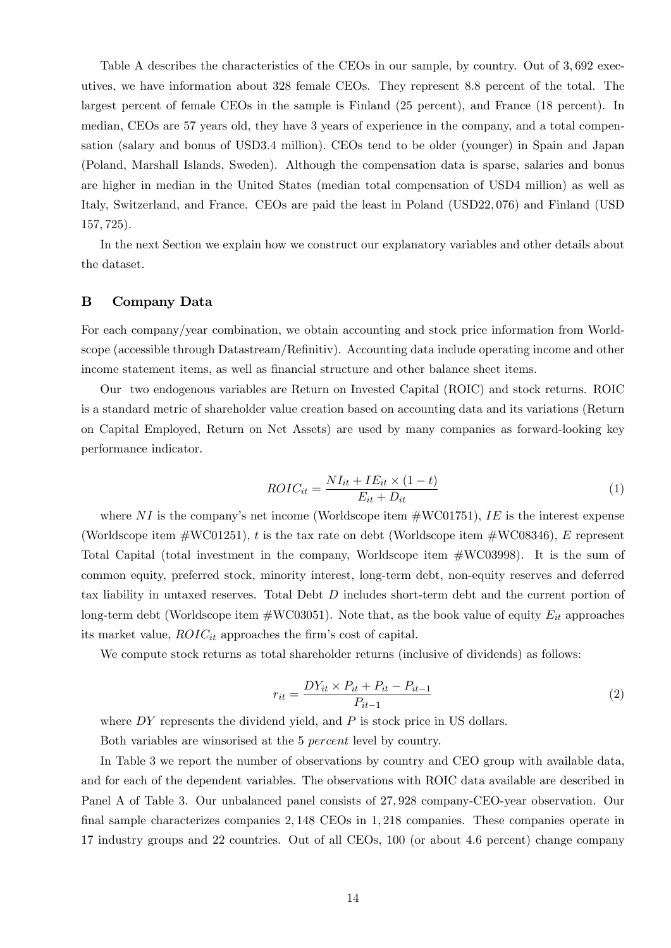Table A describes the characteristics of the CEOs in our sample, by country. Out of 3,692 executives, we have information about 328 female CEOs. They represent 8:8 percent of the total. The largest percent of female CEOs in the sample is Finland (25 percent), and France (18 percent). In median, CEOs are 57 years old, they have 3 years of experience in the company, and a total compensation (salary and bonus of USD3:4 million). CEOs tend to be older (younger) in Spain and Japan (Poland, Marshall Islands, Sweden). Although the compensation data is sparse, salaries and bonus are higher in median in the United States (median total compensation of USD4 million) as well as Italy, Switzerland, and France. CEOs are paid the least in Poland (USD22; 076) and Finland (USD 157; 725).

In the next Section we explain how we construct our explanatory variables and other details about the dataset.

## B Company Data

For each company/year combination, we obtain accounting and stock price information from Worldscope (accessible through Datastream/Refinitiv). Accounting data include operating income and other income statement items, as well as financial structure and other balance sheet items.

Our two endogenous variables are Return on Invested Capital (ROIC) and stock returns. ROIC is a standard metric of shareholder value creation based on accounting data and its variations (Return on Capital Employed, Return on Net Assets) are used by many companies as forward-looking key performance indicator.

$$
ROIC_{it} = \frac{NI_{it} + IE_{it} \times (1 - t)}{E_{it} + D_{it}} \tag{1}
$$

where NI is the company's net income (Worldscope item  $\#$ WC01751), IE is the interest expense (Worldscope item  $\# \text{W} \text{C} 01251$ ), t is the tax rate on debt (Worldscope item  $\# \text{W} \text{C} 08346$ ), E represent Total Capital (total investment in the company, Worldscope item #WC03998). It is the sum of common equity, preferred stock, minority interest, long-term debt, non-equity reserves and deferred tax liability in untaxed reserves. Total Debt D includes short-term debt and the current portion of long-term debt (Worldscope item  $\#WC03051$ ). Note that, as the book value of equity  $E_{it}$  approaches its market value,  $ROIC_{it}$  approaches the firm's cost of capital.

We compute stock returns as total shareholder returns (inclusive of dividends) as follows:

$$
r_{it} = \frac{DY_{it} \times P_{it} + P_{it} - P_{it-1}}{P_{it-1}}
$$
\n(2)

where  $DY$  represents the dividend yield, and  $P$  is stock price in US dollars.

Both variables are winsorised at the 5 percent level by country.

In Table 3 we report the number of observations by country and CEO group with available data, and for each of the dependent variables. The observations with ROIC data available are described in Panel A of Table 3. Our unbalanced panel consists of 27; 928 company-CEO-year observation. Our final sample characterizes companies 2, 148 CEOs in 1, 218 companies. These companies operate in 17 industry groups and 22 countries. Out of all CEOs, 100 (or about 4:6 percent) change company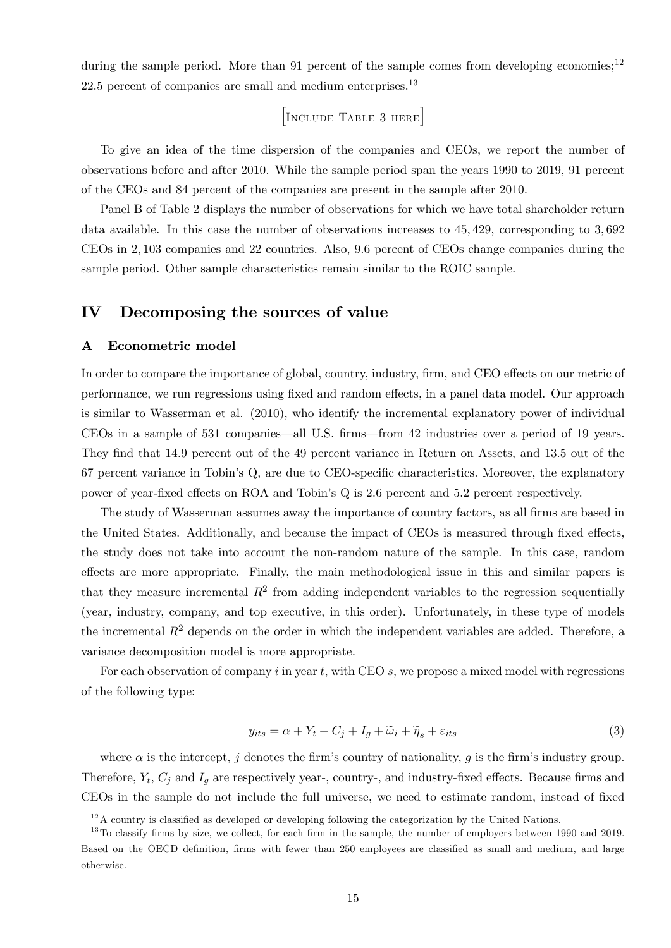during the sample period. More than 91 percent of the sample comes from developing economies;<sup>12</sup>  $22.5$  percent of companies are small and medium enterprises.<sup>13</sup>

[Include Table 3 here]

To give an idea of the time dispersion of the companies and CEOs, we report the number of observations before and after 2010. While the sample period span the years 1990 to 2019, 91 percent of the CEOs and 84 percent of the companies are present in the sample after 2010.

Panel B of Table 2 displays the number of observations for which we have total shareholder return data available. In this case the number of observations increases to 45; 429, corresponding to 3; 692 CEOs in 2; 103 companies and 22 countries. Also, 9:6 percent of CEOs change companies during the sample period. Other sample characteristics remain similar to the ROIC sample.

## IV Decomposing the sources of value

#### A Econometric model

In order to compare the importance of global, country, industry, firm, and CEO effects on our metric of performance, we run regressions using fixed and random effects, in a panel data model. Our approach is similar to Wasserman et al. (2010), who identify the incremental explanatory power of individual CEOs in a sample of 531 companies—all U.S. firms—from 42 industries over a period of 19 years. They find that 14.9 percent out of the 49 percent variance in Return on Assets, and 13.5 out of the 67 percent variance in Tobin's Q, are due to CEO-specific characteristics. Moreover, the explanatory power of year-fixed effects on ROA and Tobin's Q is 2.6 percent and 5.2 percent respectively.

The study of Wasserman assumes away the importance of country factors, as all firms are based in the United States. Additionally, and because the impact of CEOs is measured through fixed effects, the study does not take into account the non-random nature of the sample. In this case, random effects are more appropriate. Finally, the main methodological issue in this and similar papers is that they measure incremental  $R^2$  from adding independent variables to the regression sequentially (year, industry, company, and top executive, in this order). Unfortunately, in these type of models the incremental  $R^2$  depends on the order in which the independent variables are added. Therefore, a variance decomposition model is more appropriate.

For each observation of company  $i$  in year  $t$ , with CEO  $s$ , we propose a mixed model with regressions of the following type:

$$
y_{its} = \alpha + Y_t + C_j + I_g + \widetilde{\omega}_i + \widetilde{\eta}_s + \varepsilon_{its}
$$
\n<sup>(3)</sup>

where  $\alpha$  is the intercept, j denotes the firm's country of nationality, g is the firm's industry group. Therefore,  $Y_t$ ,  $C_j$  and  $I_g$  are respectively year-, country-, and industry-fixed effects. Because firms and CEOs in the sample do not include the full universe, we need to estimate random, instead of fixed

 $12A$  country is classified as developed or developing following the categorization by the United Nations.

 $13$ To classify firms by size, we collect, for each firm in the sample, the number of employers between 1990 and 2019. Based on the OECD definition, firms with fewer than 250 employees are classified as small and medium, and large otherwise.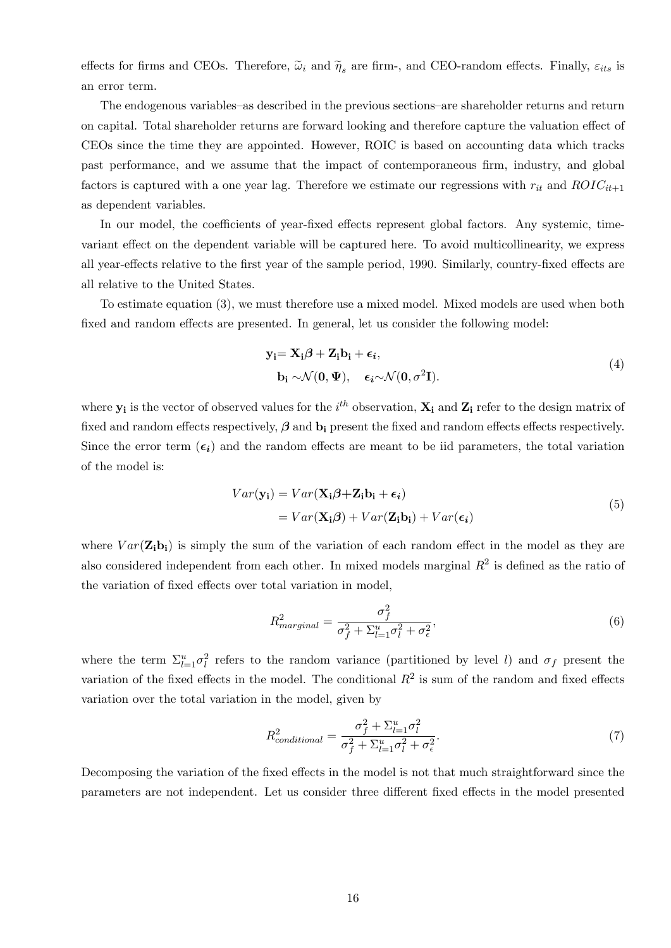effects for firms and CEOs. Therefore,  $\tilde{\omega}_i$  and  $\tilde{\eta}_s$  are firm-, and CEO-random effects. Finally,  $\varepsilon_{its}$  is an error term.

The endogenous variables–as described in the previous sections–are shareholder returns and return on capital. Total shareholder returns are forward looking and therefore capture the valuation effect of CEOs since the time they are appointed. However, ROIC is based on accounting data which tracks past performance, and we assume that the impact of contemporaneous firm, industry, and global factors is captured with a one year lag. Therefore we estimate our regressions with  $r_{it}$  and  $ROIC_{it+1}$ as dependent variables.

In our model, the coefficients of year-fixed effects represent global factors. Any systemic, timevariant effect on the dependent variable will be captured here. To avoid multicollinearity, we express all year-effects relative to the first year of the sample period, 1990. Similarly, country-fixed effects are all relative to the United States.

To estimate equation (3), we must therefore use a mixed model. Mixed models are used when both fixed and random effects are presented. In general, let us consider the following model:

$$
\mathbf{y_i} = \mathbf{X_i} \boldsymbol{\beta} + \mathbf{Z_i} \mathbf{b_i} + \boldsymbol{\epsilon_i},
$$
  
\n
$$
\mathbf{b_i} \sim \mathcal{N}(\mathbf{0}, \boldsymbol{\Psi}), \quad \boldsymbol{\epsilon_i} \sim \mathcal{N}(\mathbf{0}, \sigma^2 \mathbf{I}).
$$
\n(4)

where  $y_i$  is the vector of observed values for the  $i^{th}$  observation,  $X_i$  and  $Z_i$  refer to the design matrix of fixed and random effects respectively,  $\beta$  and  $b_i$  present the fixed and random effects effects respectively. Since the error term  $(\epsilon_i)$  and the random effects are meant to be iid parameters, the total variation of the model is:

$$
Var(\mathbf{y_i}) = Var(\mathbf{X_i}\boldsymbol{\beta} + \mathbf{Z_i}\mathbf{b_i} + \boldsymbol{\epsilon_i})
$$
  
=  $Var(\mathbf{X_i}\boldsymbol{\beta}) + Var(\mathbf{Z_i}\mathbf{b_i}) + Var(\boldsymbol{\epsilon_i})$  (5)

where  $Var(\mathbf{Z_i b_i})$  is simply the sum of the variation of each random effect in the model as they are also considered independent from each other. In mixed models marginal  $R<sup>2</sup>$  is defined as the ratio of the variation of fixed effects over total variation in model,

$$
R_{marginal}^2 = \frac{\sigma_f^2}{\sigma_f^2 + \Sigma_{l=1}^u \sigma_l^2 + \sigma_\epsilon^2},\tag{6}
$$

where the term  $\Sigma_{l=1}^u \sigma_l^2$  refers to the random variance (partitioned by level l) and  $\sigma_f$  present the variation of the fixed effects in the model. The conditional  $R^2$  is sum of the random and fixed effects variation over the total variation in the model, given by

$$
R_{conditional}^{2} = \frac{\sigma_{f}^{2} + \sum_{l=1}^{u} \sigma_{l}^{2}}{\sigma_{f}^{2} + \sum_{l=1}^{u} \sigma_{l}^{2} + \sigma_{\epsilon}^{2}}.
$$
\n
$$
\tag{7}
$$

Decomposing the variation of the fixed effects in the model is not that much straightforward since the parameters are not independent. Let us consider three different fixed effects in the model presented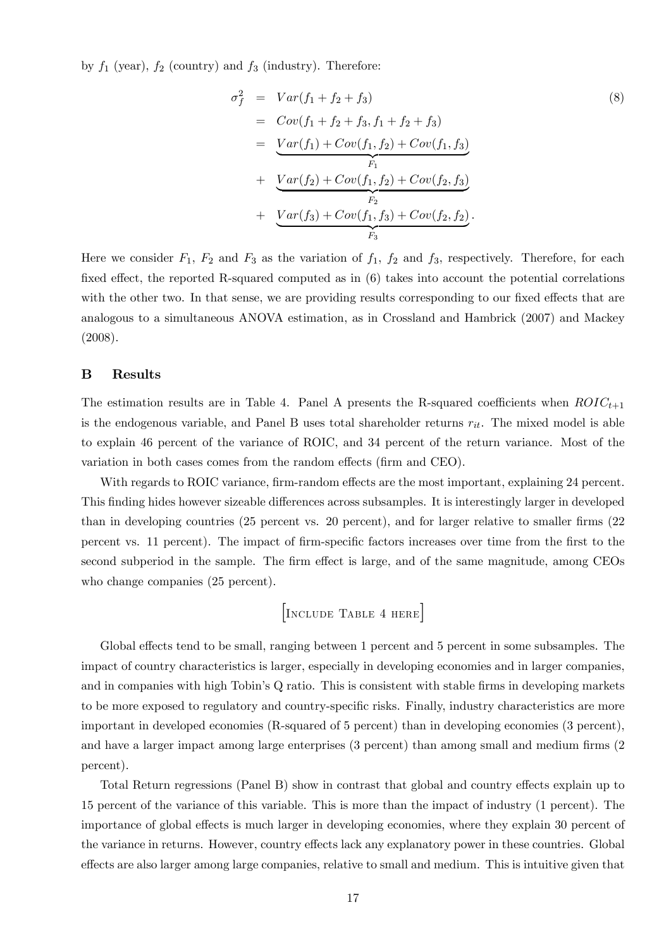by  $f_1$  (year),  $f_2$  (country) and  $f_3$  (industry). Therefore:

$$
\sigma_f^2 = Var(f_1 + f_2 + f_3)
$$
\n
$$
= Cov(f_1 + f_2 + f_3, f_1 + f_2 + f_3)
$$
\n
$$
= Var(f_1) + Cov(f_1, f_2) + Cov(f_1, f_3)
$$
\n
$$
+ Var(f_2) + Cov(f_1, f_2) + Cov(f_2, f_3)
$$
\n
$$
+ Var(f_3) + Cov(f_1, f_3) + Cov(f_2, f_2).
$$
\n
$$
F_3
$$
\n(8)

Here we consider  $F_1$ ,  $F_2$  and  $F_3$  as the variation of  $f_1$ ,  $f_2$  and  $f_3$ , respectively. Therefore, for each fixed effect, the reported R-squared computed as in  $(6)$  takes into account the potential correlations with the other two. In that sense, we are providing results corresponding to our fixed effects that are analogous to a simultaneous ANOVA estimation, as in Crossland and Hambrick (2007) and Mackey (2008).

## B Results

The estimation results are in Table 4. Panel A presents the R-squared coefficients when  $ROIC_{t+1}$ is the endogenous variable, and Panel B uses total shareholder returns  $r_{it}$ . The mixed model is able to explain 46 percent of the variance of ROIC, and 34 percent of the return variance. Most of the variation in both cases comes from the random effects (firm and CEO).

With regards to ROIC variance, firm-random effects are the most important, explaining 24 percent. This finding hides however sizeable differences across subsamples. It is interestingly larger in developed than in developing countries  $(25$  percent vs.  $20$  percent), and for larger relative to smaller firms  $(22)$ percent vs. 11 percent). The impact of firm-specific factors increases over time from the first to the second subperiod in the sample. The firm effect is large, and of the same magnitude, among CEOs who change companies (25 percent).

$$
\begin{bmatrix} \text{Incitude Table 4 here} \end{bmatrix}
$$

Global effects tend to be small, ranging between 1 percent and 5 percent in some subsamples. The impact of country characteristics is larger, especially in developing economies and in larger companies, and in companies with high Tobin's Q ratio. This is consistent with stable firms in developing markets to be more exposed to regulatory and country-specific risks. Finally, industry characteristics are more important in developed economies (R-squared of 5 percent) than in developing economies (3 percent), and have a larger impact among large enterprises (3 percent) than among small and medium firms (2 percent).

Total Return regressions (Panel B) show in contrast that global and country effects explain up to 15 percent of the variance of this variable. This is more than the impact of industry (1 percent). The importance of global effects is much larger in developing economies, where they explain 30 percent of the variance in returns. However, country effects lack any explanatory power in these countries. Global effects are also larger among large companies, relative to small and medium. This is intuitive given that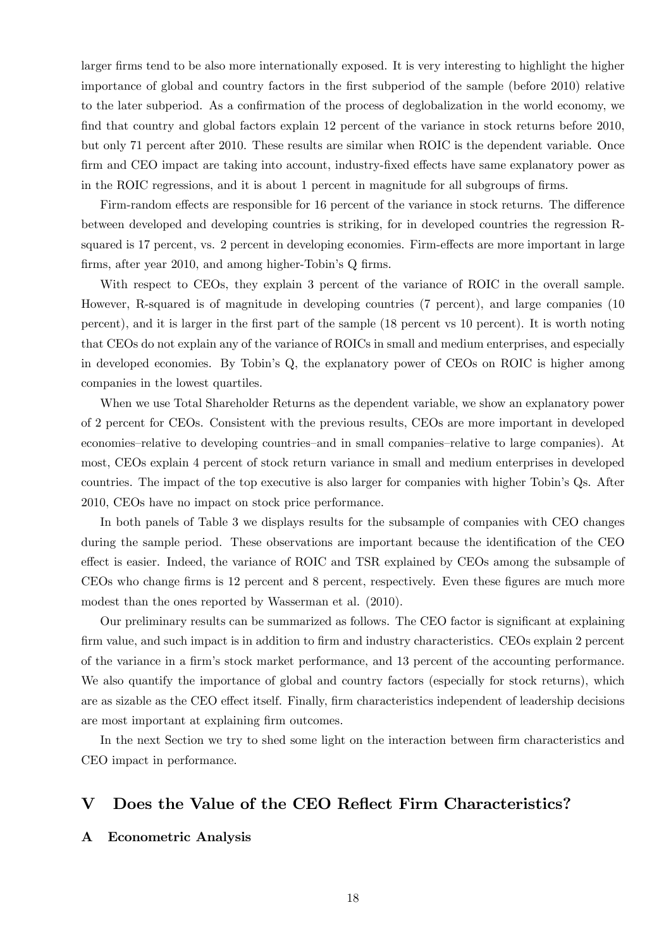larger firms tend to be also more internationally exposed. It is very interesting to highlight the higher importance of global and country factors in the first subperiod of the sample (before 2010) relative to the later subperiod. As a confirmation of the process of deglobalization in the world economy, we find that country and global factors explain 12 percent of the variance in stock returns before 2010, but only 71 percent after 2010. These results are similar when ROIC is the dependent variable. Once firm and CEO impact are taking into account, industry-fixed effects have same explanatory power as in the ROIC regressions, and it is about 1 percent in magnitude for all subgroups of firms.

Firm-random effects are responsible for 16 percent of the variance in stock returns. The difference between developed and developing countries is striking, for in developed countries the regression Rsquared is 17 percent, vs. 2 percent in developing economies. Firm-effects are more important in large firms, after year 2010, and among higher-Tobin's Q firms.

With respect to CEOs, they explain 3 percent of the variance of ROIC in the overall sample. However, R-squared is of magnitude in developing countries (7 percent), and large companies (10 percent), and it is larger in the Örst part of the sample (18 percent vs 10 percent). It is worth noting that CEOs do not explain any of the variance of ROICs in small and medium enterprises, and especially in developed economies. By Tobinís Q, the explanatory power of CEOs on ROIC is higher among companies in the lowest quartiles.

When we use Total Shareholder Returns as the dependent variable, we show an explanatory power of 2 percent for CEOs. Consistent with the previous results, CEOs are more important in developed economies–relative to developing countries–and in small companies–relative to large companies). At most, CEOs explain 4 percent of stock return variance in small and medium enterprises in developed countries. The impact of the top executive is also larger for companies with higher Tobin's Qs. After 2010, CEOs have no impact on stock price performance.

In both panels of Table 3 we displays results for the subsample of companies with CEO changes during the sample period. These observations are important because the identification of the CEO effect is easier. Indeed, the variance of ROIC and TSR explained by CEOs among the subsample of CEOs who change firms is 12 percent and 8 percent, respectively. Even these figures are much more modest than the ones reported by Wasserman et al. (2010).

Our preliminary results can be summarized as follows. The CEO factor is significant at explaining firm value, and such impact is in addition to firm and industry characteristics. CEOs explain 2 percent of the variance in a Örmís stock market performance, and 13 percent of the accounting performance. We also quantify the importance of global and country factors (especially for stock returns), which are as sizable as the CEO effect itself. Finally, firm characteristics independent of leadership decisions are most important at explaining firm outcomes.

In the next Section we try to shed some light on the interaction between firm characteristics and CEO impact in performance.

## V Does the Value of the CEO Reflect Firm Characteristics?

### A Econometric Analysis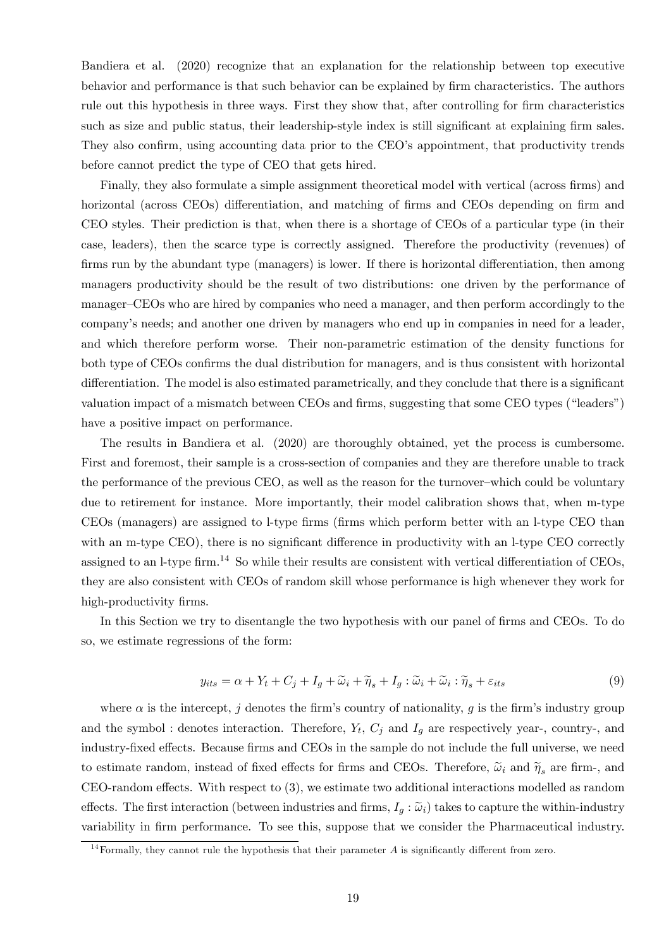Bandiera et al. (2020) recognize that an explanation for the relationship between top executive behavior and performance is that such behavior can be explained by firm characteristics. The authors rule out this hypothesis in three ways. First they show that, after controlling for firm characteristics such as size and public status, their leadership-style index is still significant at explaining firm sales. They also confirm, using accounting data prior to the CEO's appointment, that productivity trends before cannot predict the type of CEO that gets hired.

Finally, they also formulate a simple assignment theoretical model with vertical (across firms) and horizontal (across CEOs) differentiation, and matching of firms and CEOs depending on firm and CEO styles. Their prediction is that, when there is a shortage of CEOs of a particular type (in their case, leaders), then the scarce type is correctly assigned. Therefore the productivity (revenues) of firms run by the abundant type (managers) is lower. If there is horizontal differentiation, then among managers productivity should be the result of two distributions: one driven by the performance of manager–CEOs who are hired by companies who need a manager, and then perform accordingly to the companyís needs; and another one driven by managers who end up in companies in need for a leader, and which therefore perform worse. Their non-parametric estimation of the density functions for both type of CEOs confirms the dual distribution for managers, and is thus consistent with horizontal differentiation. The model is also estimated parametrically, and they conclude that there is a significant valuation impact of a mismatch between CEOs and firms, suggesting that some CEO types ("leaders") have a positive impact on performance.

The results in Bandiera et al. (2020) are thoroughly obtained, yet the process is cumbersome. First and foremost, their sample is a cross-section of companies and they are therefore unable to track the performance of the previous CEO, as well as the reason for the turnover-which could be voluntary due to retirement for instance. More importantly, their model calibration shows that, when m-type CEOs (managers) are assigned to l-type Örms (Örms which perform better with an l-type CEO than with an m-type CEO), there is no significant difference in productivity with an l-type CEO correctly assigned to an l-type firm.<sup>14</sup> So while their results are consistent with vertical differentiation of CEOs, they are also consistent with CEOs of random skill whose performance is high whenever they work for high-productivity firms.

In this Section we try to disentangle the two hypothesis with our panel of firms and CEOs. To do so, we estimate regressions of the form:

$$
y_{its} = \alpha + Y_t + C_j + I_g + \widetilde{\omega}_i + \widetilde{\eta}_s + I_g : \widetilde{\omega}_i + \widetilde{\omega}_i : \widetilde{\eta}_s + \varepsilon_{its}
$$
\n
$$
\tag{9}
$$

where  $\alpha$  is the intercept, j denotes the firm's country of nationality, q is the firm's industry group and the symbol : denotes interaction. Therefore,  $Y_t$ ,  $C_j$  and  $I_g$  are respectively year-, country-, and industry-fixed effects. Because firms and CEOs in the sample do not include the full universe, we need to estimate random, instead of fixed effects for firms and CEOs. Therefore,  $\tilde{\omega}_i$  and  $\tilde{\eta}_s$  are firm-, and  $CEO$ -random effects. With respect to  $(3)$ , we estimate two additional interactions modelled as random effects. The first interaction (between industries and firms,  $I_q : \tilde{\omega}_i$ ) takes to capture the within-industry variability in firm performance. To see this, suppose that we consider the Pharmaceutical industry.

<sup>&</sup>lt;sup>14</sup>Formally, they cannot rule the hypothesis that their parameter A is significantly different from zero.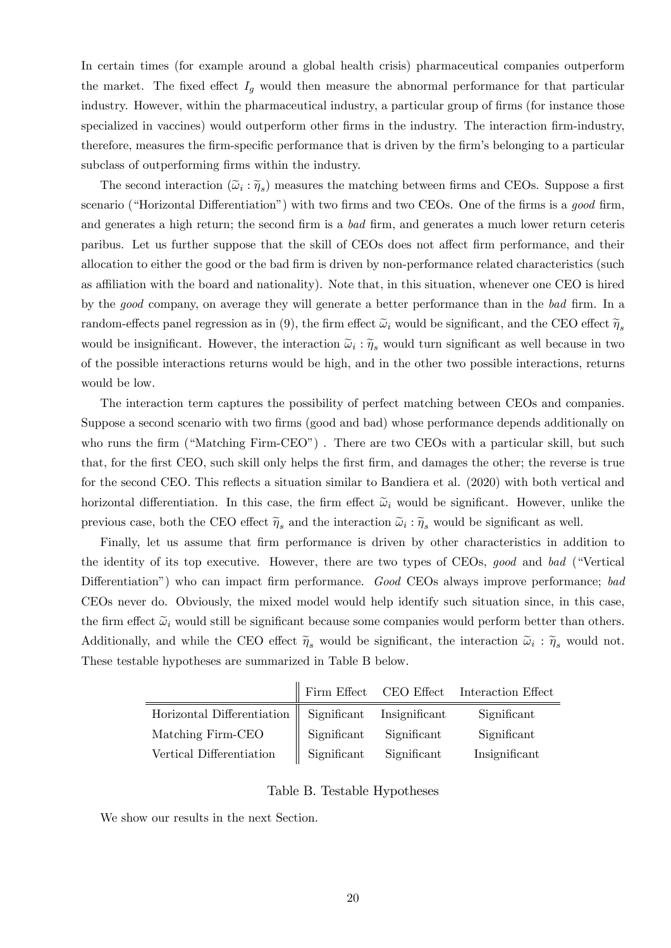In certain times (for example around a global health crisis) pharmaceutical companies outperform the market. The fixed effect  $I<sub>g</sub>$  would then measure the abnormal performance for that particular industry. However, within the pharmaceutical industry, a particular group of firms (for instance those specialized in vaccines) would outperform other firms in the industry. The interaction firm-industry, therefore, measures the firm-specific performance that is driven by the firm's belonging to a particular subclass of outperforming firms within the industry.

The second interaction  $(\tilde{\omega}_i : \tilde{\eta}_s)$  measures the matching between firms and CEOs. Suppose a first scenario ("Horizontal Differentiation") with two firms and two CEOs. One of the firms is a good firm, and generates a high return; the second firm is a bad firm, and generates a much lower return ceteris paribus. Let us further suppose that the skill of CEOs does not affect firm performance, and their allocation to either the good or the bad firm is driven by non-performance related characteristics (such as affiliation with the board and nationality). Note that, in this situation, whenever one CEO is hired by the good company, on average they will generate a better performance than in the bad firm. In a random-effects panel regression as in (9), the firm effect  $\tilde{\omega}_i$  would be significant, and the CEO effect  $\tilde{\eta}_s$ would be insignificant. However, the interaction  $\tilde{\omega}_i : \tilde{\eta}_s$  would turn significant as well because in two of the possible interactions returns would be high, and in the other two possible interactions, returns would be low.

The interaction term captures the possibility of perfect matching between CEOs and companies. Suppose a second scenario with two firms (good and bad) whose performance depends additionally on who runs the firm ("Matching Firm-CEO"). There are two CEOs with a particular skill, but such that, for the first CEO, such skill only helps the first firm, and damages the other; the reverse is true for the second CEO. This reflects a situation similar to Bandiera et al. (2020) with both vertical and horizontal differentiation. In this case, the firm effect  $\tilde{\omega}_i$  would be significant. However, unlike the previous case, both the CEO effect  $\tilde{\eta}_s$  and the interaction  $\tilde{\omega}_i : \tilde{\eta}_s$  would be significant as well.

Finally, let us assume that firm performance is driven by other characteristics in addition to the identity of its top executive. However, there are two types of CEOs, good and bad ("Vertical Differentiation") who can impact firm performance. Good CEOs always improve performance; bad CEOs never do. Obviously, the mixed model would help identify such situation since, in this case, the firm effect  $\tilde{\omega}_i$  would still be significant because some companies would perform better than others. Additionally, and while the CEO effect  $\tilde{\eta}_s$  would be significant, the interaction  $\tilde{\omega}_i : \tilde{\eta}_s$  would not. These testable hypotheses are summarized in Table B below.

|                                                        |             |             | Firm Effect CEO Effect Interaction Effect |
|--------------------------------------------------------|-------------|-------------|-------------------------------------------|
| Horizontal Differentiation   Significant Insignificant |             |             | Significant                               |
| Matching Firm-CEO                                      | Significant | Significant | Significant                               |
| Vertical Differentiation                               | Significant | Significant | Insignificant                             |

#### Table B. Testable Hypotheses

We show our results in the next Section.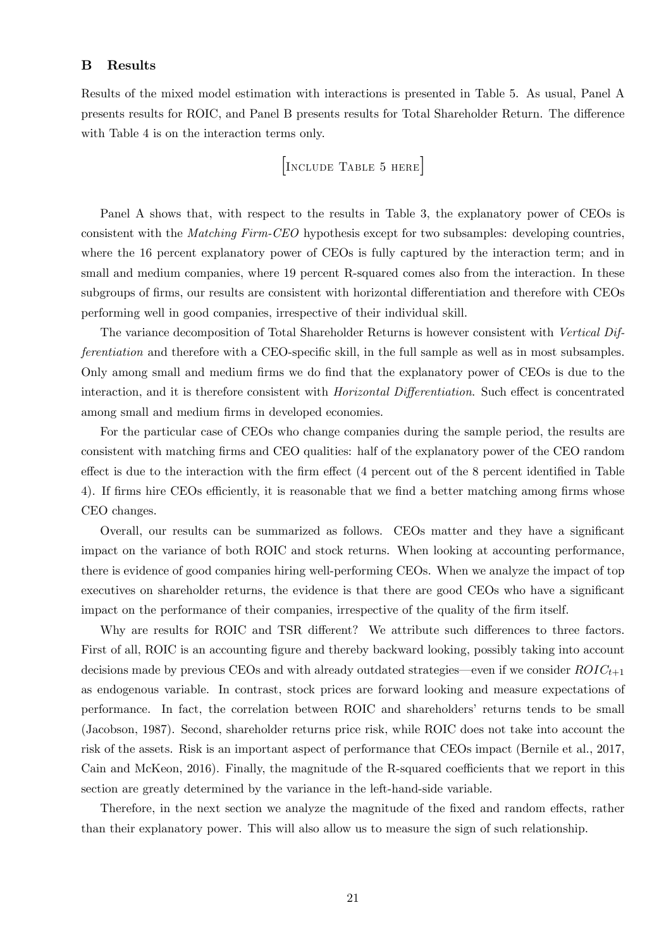### B Results

Results of the mixed model estimation with interactions is presented in Table 5. As usual, Panel A presents results for ROIC, and Panel B presents results for Total Shareholder Return. The difference with Table 4 is on the interaction terms only.

[Include Table 5 here]

Panel A shows that, with respect to the results in Table 3, the explanatory power of CEOs is consistent with the Matching Firm-CEO hypothesis except for two subsamples: developing countries, where the 16 percent explanatory power of CEOs is fully captured by the interaction term; and in small and medium companies, where 19 percent R-squared comes also from the interaction. In these subgroups of firms, our results are consistent with horizontal differentiation and therefore with CEOs performing well in good companies, irrespective of their individual skill.

The variance decomposition of Total Shareholder Returns is however consistent with Vertical Differentiation and therefore with a CEO-specific skill, in the full sample as well as in most subsamples. Only among small and medium firms we do find that the explanatory power of CEOs is due to the interaction, and it is therefore consistent with *Horizontal Differentiation*. Such effect is concentrated among small and medium firms in developed economies.

For the particular case of CEOs who change companies during the sample period, the results are consistent with matching Örms and CEO qualities: half of the explanatory power of the CEO random effect is due to the interaction with the firm effect  $(4$  percent out of the 8 percent identified in Table 4). If firms hire CEOs efficiently, it is reasonable that we find a better matching among firms whose CEO changes.

Overall, our results can be summarized as follows. CEOs matter and they have a significant impact on the variance of both ROIC and stock returns. When looking at accounting performance, there is evidence of good companies hiring well-performing CEOs. When we analyze the impact of top executives on shareholder returns, the evidence is that there are good CEOs who have a significant impact on the performance of their companies, irrespective of the quality of the firm itself.

Why are results for ROIC and TSR different? We attribute such differences to three factors. First of all, ROIC is an accounting figure and thereby backward looking, possibly taking into account decisions made by previous CEOs and with already outdated strategies—even if we consider  $ROIC_{t+1}$ as endogenous variable. In contrast, stock prices are forward looking and measure expectations of performance. In fact, the correlation between ROIC and shareholdersí returns tends to be small (Jacobson, 1987). Second, shareholder returns price risk, while ROIC does not take into account the risk of the assets. Risk is an important aspect of performance that CEOs impact (Bernile et al., 2017, Cain and McKeon, 2016). Finally, the magnitude of the R-squared coefficients that we report in this section are greatly determined by the variance in the left-hand-side variable.

Therefore, in the next section we analyze the magnitude of the fixed and random effects, rather than their explanatory power. This will also allow us to measure the sign of such relationship.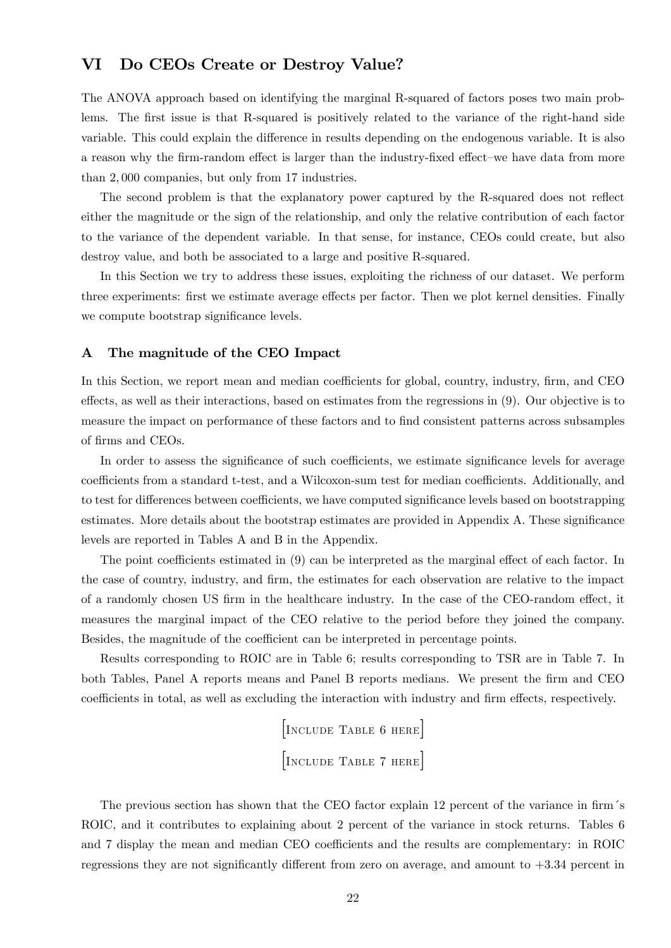## VI Do CEOs Create or Destroy Value?

The ANOVA approach based on identifying the marginal R-squared of factors poses two main problems. The first issue is that R-squared is positively related to the variance of the right-hand side variable. This could explain the difference in results depending on the endogenous variable. It is also a reason why the firm-random effect is larger than the industry-fixed effect–we have data from more than 2; 000 companies, but only from 17 industries.

The second problem is that the explanatory power captured by the R-squared does not reflect either the magnitude or the sign of the relationship, and only the relative contribution of each factor to the variance of the dependent variable. In that sense, for instance, CEOs could create, but also destroy value, and both be associated to a large and positive R-squared.

In this Section we try to address these issues, exploiting the richness of our dataset. We perform three experiments: first we estimate average effects per factor. Then we plot kernel densities. Finally we compute bootstrap significance levels.

#### A The magnitude of the CEO Impact

In this Section, we report mean and median coefficients for global, country, industry, firm, and CEO effects, as well as their interactions, based on estimates from the regressions in (9). Our objective is to measure the impact on performance of these factors and to Önd consistent patterns across subsamples of firms and CEOs.

In order to assess the significance of such coefficients, we estimate significance levels for average coefficients from a standard t-test, and a Wilcoxon-sum test for median coefficients. Additionally, and to test for differences between coefficients, we have computed significance levels based on bootstrapping estimates. More details about the bootstrap estimates are provided in Appendix A. These significance levels are reported in Tables A and B in the Appendix.

The point coefficients estimated in  $(9)$  can be interpreted as the marginal effect of each factor. In the case of country, industry, and firm, the estimates for each observation are relative to the impact of a randomly chosen US firm in the healthcare industry. In the case of the CEO-random effect, it measures the marginal impact of the CEO relative to the period before they joined the company. Besides, the magnitude of the coefficient can be interpreted in percentage points.

Results corresponding to ROIC are in Table 6; results corresponding to TSR are in Table 7. In both Tables, Panel A reports means and Panel B reports medians. We present the firm and CEO coefficients in total, as well as excluding the interaction with industry and firm effects, respectively.

> [Include Table 6 here] [Include Table 7 here]

The previous section has shown that the CEO factor explain 12 percent of the variance in firm's ROIC, and it contributes to explaining about 2 percent of the variance in stock returns. Tables 6 and 7 display the mean and median CEO coefficients and the results are complementary: in ROIC regressions they are not significantly different from zero on average, and amount to  $+3.34$  percent in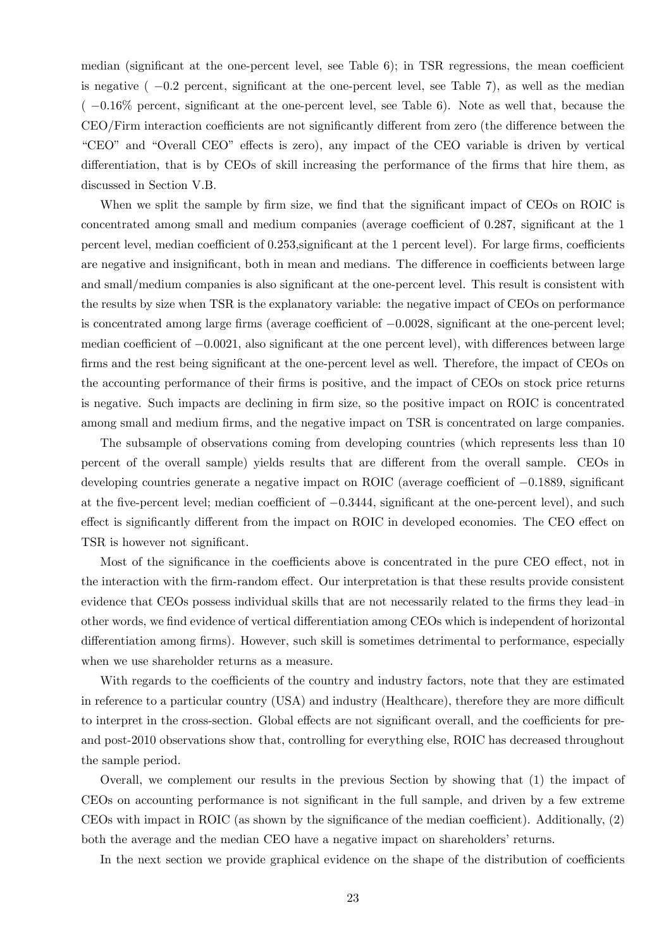median (significant at the one-percent level, see Table  $6$ ); in TSR regressions, the mean coefficient is negative  $(-0.2$  percent, significant at the one-percent level, see Table 7), as well as the median  $(-0.16\%$  percent, significant at the one-percent level, see Table 6). Note as well that, because the CEO/Firm interaction coefficients are not significantly different from zero (the difference between the "CEO" and "Overall CEO" effects is zero), any impact of the CEO variable is driven by vertical differentiation, that is by CEOs of skill increasing the performance of the firms that hire them, as discussed in Section V.B.

When we split the sample by firm size, we find that the significant impact of CEOs on ROIC is concentrated among small and medium companies (average coefficient of  $0.287$ , significant at the 1 percent level, median coefficient of 0.253, significant at the 1 percent level). For large firms, coefficients are negative and insignificant, both in mean and medians. The difference in coefficients between large and small/medium companies is also significant at the one-percent level. This result is consistent with the results by size when TSR is the explanatory variable: the negative impact of CEOs on performance is concentrated among large firms (average coefficient of  $-0.0028$ , significant at the one-percent level; median coefficient of  $-0.0021$ , also significant at the one percent level), with differences between large firms and the rest being significant at the one-percent level as well. Therefore, the impact of CEOs on the accounting performance of their firms is positive, and the impact of CEOs on stock price returns is negative. Such impacts are declining in Örm size, so the positive impact on ROIC is concentrated among small and medium firms, and the negative impact on TSR is concentrated on large companies.

The subsample of observations coming from developing countries (which represents less than 10 percent of the overall sample) yields results that are different from the overall sample. CEOs in developing countries generate a negative impact on ROIC (average coefficient of  $-0.1889$ , significant at the five-percent level; median coefficient of  $-0.3444$ , significant at the one-percent level), and such effect is significantly different from the impact on ROIC in developed economies. The CEO effect on TSR is however not significant.

Most of the significance in the coefficients above is concentrated in the pure CEO effect, not in the interaction with the firm-random effect. Our interpretation is that these results provide consistent evidence that CEOs possess individual skills that are not necessarily related to the firms they lead-in other words, we find evidence of vertical differentiation among CEOs which is independent of horizontal differentiation among firms). However, such skill is sometimes detrimental to performance, especially when we use shareholder returns as a measure.

With regards to the coefficients of the country and industry factors, note that they are estimated in reference to a particular country  $(USA)$  and industry (Healthcare), therefore they are more difficult to interpret in the cross-section. Global effects are not significant overall, and the coefficients for preand post-2010 observations show that, controlling for everything else, ROIC has decreased throughout the sample period.

Overall, we complement our results in the previous Section by showing that (1) the impact of CEOs on accounting performance is not significant in the full sample, and driven by a few extreme CEOs with impact in ROIC (as shown by the significance of the median coefficient). Additionally,  $(2)$ both the average and the median CEO have a negative impact on shareholders' returns.

In the next section we provide graphical evidence on the shape of the distribution of coefficients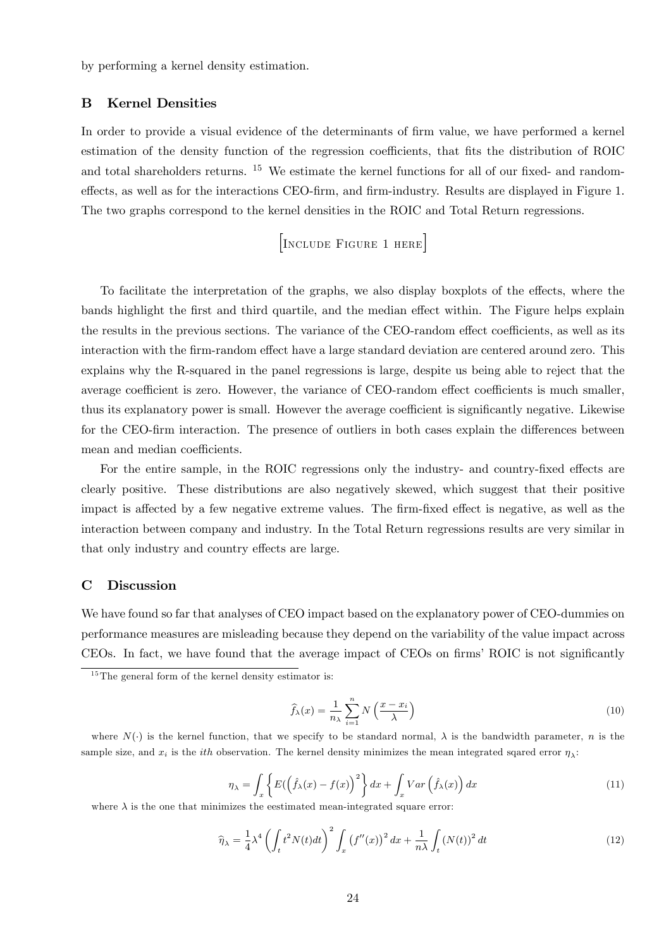by performing a kernel density estimation.

## B Kernel Densities

In order to provide a visual evidence of the determinants of firm value, we have performed a kernel estimation of the density function of the regression coefficients, that fits the distribution of ROIC and total shareholders returns. <sup>15</sup> We estimate the kernel functions for all of our fixed- and randomeffects, as well as for the interactions CEO-firm, and firm-industry. Results are displayed in Figure 1. The two graphs correspond to the kernel densities in the ROIC and Total Return regressions.

## [Include Figure 1 here]

To facilitate the interpretation of the graphs, we also display boxplots of the effects, where the bands highlight the first and third quartile, and the median effect within. The Figure helps explain the results in the previous sections. The variance of the CEO-random effect coefficients, as well as its interaction with the firm-random effect have a large standard deviation are centered around zero. This explains why the R-squared in the panel regressions is large, despite us being able to reject that the average coefficient is zero. However, the variance of CEO-random effect coefficients is much smaller, thus its explanatory power is small. However the average coefficient is significantly negative. Likewise for the CEO-firm interaction. The presence of outliers in both cases explain the differences between mean and median coefficients.

For the entire sample, in the ROIC regressions only the industry- and country-fixed effects are clearly positive. These distributions are also negatively skewed, which suggest that their positive impact is affected by a few negative extreme values. The firm-fixed effect is negative, as well as the interaction between company and industry. In the Total Return regressions results are very similar in that only industry and country effects are large.

### C Discussion

We have found so far that analyses of CEO impact based on the explanatory power of CEO-dummies on performance measures are misleading because they depend on the variability of the value impact across CEOs. In fact, we have found that the average impact of CEOs on firms' ROIC is not significantly

$$
\widehat{f}_{\lambda}(x) = \frac{1}{n_{\lambda}} \sum_{i=1}^{n} N\left(\frac{x - x_i}{\lambda}\right)
$$
\n(10)

where  $N(\cdot)$  is the kernel function, that we specify to be standard normal,  $\lambda$  is the bandwidth parameter, n is the sample size, and  $x_i$  is the *ith* observation. The kernel density minimizes the mean integrated sqared error  $\eta_\lambda$ :

$$
\eta_{\lambda} = \int_{x} \left\{ E\left( \left( \hat{f}_{\lambda}(x) - f(x) \right)^{2} \right\} dx + \int_{x} Var\left( \hat{f}_{\lambda}(x) \right) dx \right\}
$$
(11)

where  $\lambda$  is the one that minimizes the eestimated mean-integrated square error:

$$
\widehat{\eta}_{\lambda} = \frac{1}{4} \lambda^4 \left( \int_t t^2 N(t) dt \right)^2 \int_x \left( f''(x) \right)^2 dx + \frac{1}{n\lambda} \int_t \left( N(t) \right)^2 dt \tag{12}
$$

 $15$ The general form of the kernel density estimator is: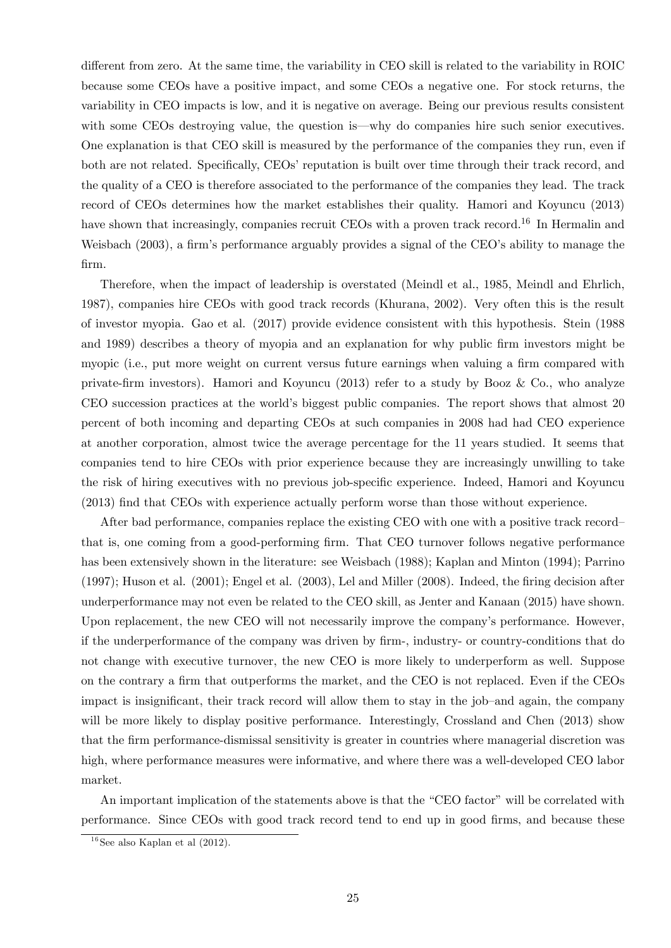different from zero. At the same time, the variability in CEO skill is related to the variability in ROIC because some CEOs have a positive impact, and some CEOs a negative one. For stock returns, the variability in CEO impacts is low, and it is negative on average. Being our previous results consistent with some CEOs destroying value, the question is—why do companies hire such senior executives. One explanation is that CEO skill is measured by the performance of the companies they run, even if both are not related. Specifically, CEOs' reputation is built over time through their track record, and the quality of a CEO is therefore associated to the performance of the companies they lead. The track record of CEOs determines how the market establishes their quality. Hamori and Koyuncu (2013) have shown that increasingly, companies recruit CEOs with a proven track record.<sup>16</sup> In Hermalin and Weisbach (2003), a firm's performance arguably provides a signal of the CEO's ability to manage the Örm.

Therefore, when the impact of leadership is overstated (Meindl et al., 1985, Meindl and Ehrlich, 1987), companies hire CEOs with good track records (Khurana, 2002). Very often this is the result of investor myopia. Gao et al. (2017) provide evidence consistent with this hypothesis. Stein (1988 and 1989) describes a theory of myopia and an explanation for why public firm investors might be myopic (i.e., put more weight on current versus future earnings when valuing a firm compared with private-Örm investors). Hamori and Koyuncu (2013) refer to a study by Booz & Co., who analyze CEO succession practices at the world's biggest public companies. The report shows that almost 20 percent of both incoming and departing CEOs at such companies in 2008 had had CEO experience at another corporation, almost twice the average percentage for the 11 years studied. It seems that companies tend to hire CEOs with prior experience because they are increasingly unwilling to take the risk of hiring executives with no previous job-specific experience. Indeed, Hamori and Koyuncu (2013) Önd that CEOs with experience actually perform worse than those without experience.

After bad performance, companies replace the existing CEO with one with a positive track recordthat is, one coming from a good-performing firm. That CEO turnover follows negative performance has been extensively shown in the literature: see Weisbach (1988); Kaplan and Minton (1994); Parrino  $(1997)$ ; Huson et al.  $(2001)$ ; Engel et al.  $(2003)$ , Lel and Miller  $(2008)$ . Indeed, the firing decision after underperformance may not even be related to the CEO skill, as Jenter and Kanaan (2015) have shown. Upon replacement, the new CEO will not necessarily improve the company's performance. However, if the underperformance of the company was driven by Örm-, industry- or country-conditions that do not change with executive turnover, the new CEO is more likely to underperform as well. Suppose on the contrary a firm that outperforms the market, and the CEO is not replaced. Even if the CEOs impact is insignificant, their track record will allow them to stay in the job-and again, the company will be more likely to display positive performance. Interestingly, Crossland and Chen (2013) show that the Örm performance-dismissal sensitivity is greater in countries where managerial discretion was high, where performance measures were informative, and where there was a well-developed CEO labor market.

An important implication of the statements above is that the "CEO factor" will be correlated with performance. Since CEOs with good track record tend to end up in good Örms, and because these

 $16$ See also Kaplan et al  $(2012)$ .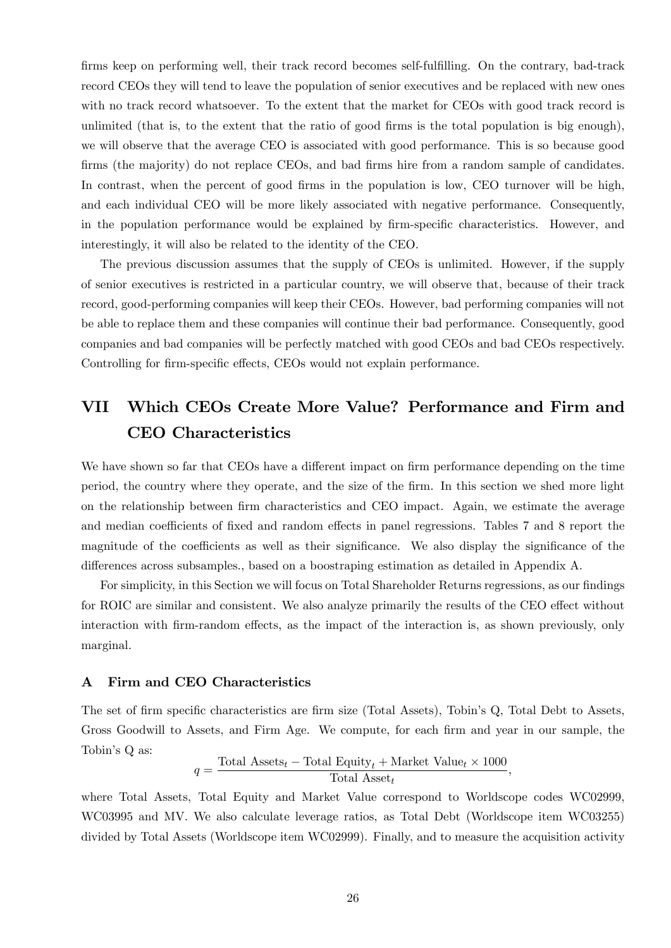firms keep on performing well, their track record becomes self-fulfilling. On the contrary, bad-track record CEOs they will tend to leave the population of senior executives and be replaced with new ones with no track record whatsoever. To the extent that the market for CEOs with good track record is unlimited (that is, to the extent that the ratio of good firms is the total population is big enough), we will observe that the average CEO is associated with good performance. This is so because good firms (the majority) do not replace CEOs, and bad firms hire from a random sample of candidates. In contrast, when the percent of good firms in the population is low, CEO turnover will be high, and each individual CEO will be more likely associated with negative performance. Consequently, in the population performance would be explained by firm-specific characteristics. However, and interestingly, it will also be related to the identity of the CEO.

The previous discussion assumes that the supply of CEOs is unlimited. However, if the supply of senior executives is restricted in a particular country, we will observe that, because of their track record, good-performing companies will keep their CEOs. However, bad performing companies will not be able to replace them and these companies will continue their bad performance. Consequently, good companies and bad companies will be perfectly matched with good CEOs and bad CEOs respectively. Controlling for firm-specific effects, CEOs would not explain performance.

## VII Which CEOs Create More Value? Performance and Firm and CEO Characteristics

We have shown so far that CEOs have a different impact on firm performance depending on the time period, the country where they operate, and the size of the Örm. In this section we shed more light on the relationship between Örm characteristics and CEO impact. Again, we estimate the average and median coefficients of fixed and random effects in panel regressions. Tables 7 and 8 report the magnitude of the coefficients as well as their significance. We also display the significance of the differences across subsamples., based on a boostraping estimation as detailed in Appendix A.

For simplicity, in this Section we will focus on Total Shareholder Returns regressions, as our findings for ROIC are similar and consistent. We also analyze primarily the results of the CEO effect without interaction with firm-random effects, as the impact of the interaction is, as shown previously, only marginal.

## A Firm and CEO Characteristics

The set of firm specific characteristics are firm size (Total Assets), Tobin's Q, Total Debt to Assets, Gross Goodwill to Assets, and Firm Age. We compute, for each firm and year in our sample, the Tobin's Q as:

$$
q = \frac{\text{Total Asset}_{t} - \text{Total Equity}_{t} + \text{Market Value}_{t} \times 1000}{\text{Total Asset}_{t}},
$$

where Total Assets, Total Equity and Market Value correspond to Worldscope codes WC02999, WC03995 and MV. We also calculate leverage ratios, as Total Debt (Worldscope item WC03255) divided by Total Assets (Worldscope item WC02999). Finally, and to measure the acquisition activity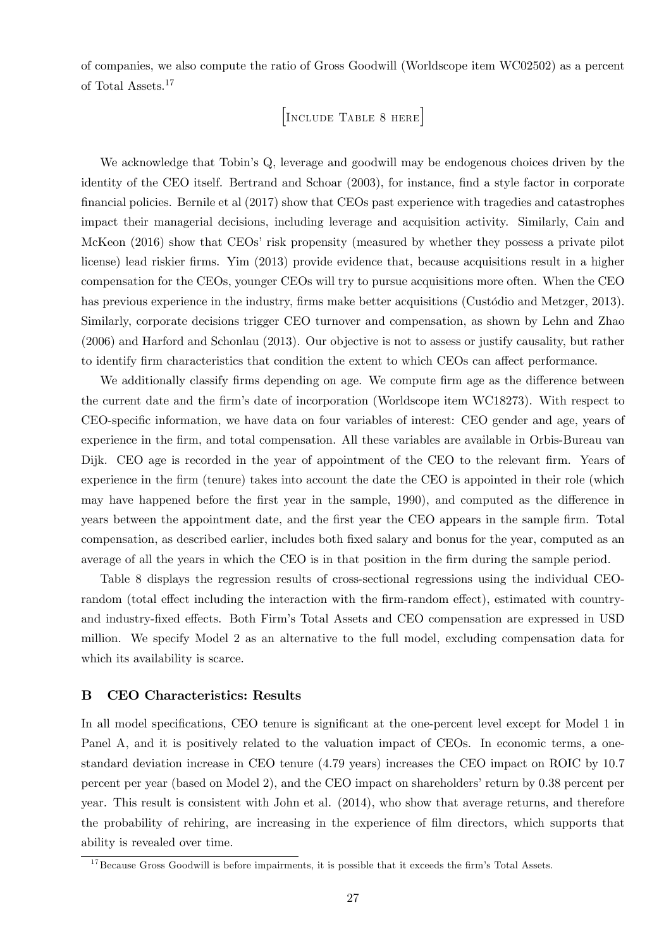of companies, we also compute the ratio of Gross Goodwill (Worldscope item WC02502) as a percent of Total Assets.<sup>17</sup>

[Include Table 8 here]

We acknowledge that Tobin's Q, leverage and goodwill may be endogenous choices driven by the identity of the CEO itself. Bertrand and Schoar (2003), for instance, find a style factor in corporate Önancial policies. Bernile et al (2017) show that CEOs past experience with tragedies and catastrophes impact their managerial decisions, including leverage and acquisition activity. Similarly, Cain and McKeon (2016) show that CEOs' risk propensity (measured by whether they possess a private pilot license) lead riskier firms. Yim (2013) provide evidence that, because acquisitions result in a higher compensation for the CEOs, younger CEOs will try to pursue acquisitions more often. When the CEO has previous experience in the industry, firms make better acquisitions (Custódio and Metzger, 2013). Similarly, corporate decisions trigger CEO turnover and compensation, as shown by Lehn and Zhao (2006) and Harford and Schonlau (2013). Our objective is not to assess or justify causality, but rather to identify firm characteristics that condition the extent to which CEOs can affect performance.

We additionally classify firms depending on age. We compute firm age as the difference between the current date and the firm's date of incorporation (Worldscope item WC18273). With respect to CEO-specific information, we have data on four variables of interest: CEO gender and age, years of experience in the firm, and total compensation. All these variables are available in Orbis-Bureau van Dijk. CEO age is recorded in the year of appointment of the CEO to the relevant firm. Years of experience in the firm (tenure) takes into account the date the CEO is appointed in their role (which may have happened before the first year in the sample, 1990), and computed as the difference in years between the appointment date, and the first year the CEO appears in the sample firm. Total compensation, as described earlier, includes both Öxed salary and bonus for the year, computed as an average of all the years in which the CEO is in that position in the firm during the sample period.

Table 8 displays the regression results of cross-sectional regressions using the individual CEOrandom (total effect including the interaction with the firm-random effect), estimated with countryand industry-fixed effects. Both Firm's Total Assets and CEO compensation are expressed in USD million. We specify Model 2 as an alternative to the full model, excluding compensation data for which its availability is scarce.

#### B CEO Characteristics: Results

In all model specifications, CEO tenure is significant at the one-percent level except for Model 1 in Panel A, and it is positively related to the valuation impact of CEOs. In economic terms, a onestandard deviation increase in CEO tenure (4:79 years) increases the CEO impact on ROIC by 10:7 percent per year (based on Model 2), and the CEO impact on shareholders' return by 0.38 percent per year. This result is consistent with John et al. (2014), who show that average returns, and therefore the probability of rehiring, are increasing in the experience of film directors, which supports that ability is revealed over time.

 $17$ Because Gross Goodwill is before impairments, it is possible that it exceeds the firm's Total Assets.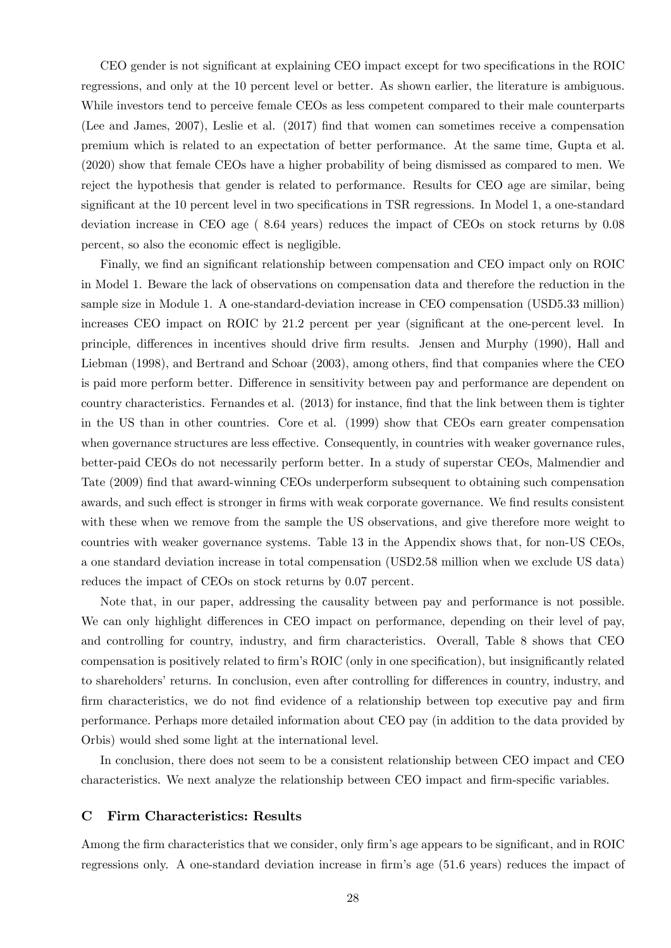CEO gender is not significant at explaining CEO impact except for two specifications in the ROIC regressions, and only at the 10 percent level or better. As shown earlier, the literature is ambiguous. While investors tend to perceive female CEOs as less competent compared to their male counterparts (Lee and James, 2007), Leslie et al. (2017) Önd that women can sometimes receive a compensation premium which is related to an expectation of better performance. At the same time, Gupta et al. (2020) show that female CEOs have a higher probability of being dismissed as compared to men. We reject the hypothesis that gender is related to performance. Results for CEO age are similar, being significant at the 10 percent level in two specifications in TSR regressions. In Model 1, a one-standard deviation increase in CEO age ( 8:64 years) reduces the impact of CEOs on stock returns by 0:08 percent, so also the economic effect is negligible.

Finally, we find an significant relationship between compensation and CEO impact only on ROIC in Model 1. Beware the lack of observations on compensation data and therefore the reduction in the sample size in Module 1. A one-standard-deviation increase in CEO compensation (USD5:33 million) increases CEO impact on ROIC by 21.2 percent per year (significant at the one-percent level. In principle, differences in incentives should drive firm results. Jensen and Murphy (1990), Hall and Liebman (1998), and Bertrand and Schoar (2003), among others, find that companies where the CEO is paid more perform better. Difference in sensitivity between pay and performance are dependent on country characteristics. Fernandes et al. (2013) for instance, Önd that the link between them is tighter in the US than in other countries. Core et al. (1999) show that CEOs earn greater compensation when governance structures are less effective. Consequently, in countries with weaker governance rules, better-paid CEOs do not necessarily perform better. In a study of superstar CEOs, Malmendier and Tate (2009) find that award-winning CEOs underperform subsequent to obtaining such compensation awards, and such effect is stronger in firms with weak corporate governance. We find results consistent with these when we remove from the sample the US observations, and give therefore more weight to countries with weaker governance systems. Table 13 in the Appendix shows that, for non-US CEOs, a one standard deviation increase in total compensation (USD2:58 million when we exclude US data) reduces the impact of CEOs on stock returns by 0.07 percent.

Note that, in our paper, addressing the causality between pay and performance is not possible. We can only highlight differences in CEO impact on performance, depending on their level of pay, and controlling for country, industry, and firm characteristics. Overall, Table 8 shows that CEO compensation is positively related to firm's ROIC (only in one specification), but insignificantly related to shareholders' returns. In conclusion, even after controlling for differences in country, industry, and firm characteristics, we do not find evidence of a relationship between top executive pay and firm performance. Perhaps more detailed information about CEO pay (in addition to the data provided by Orbis) would shed some light at the international level.

In conclusion, there does not seem to be a consistent relationship between CEO impact and CEO characteristics. We next analyze the relationship between CEO impact and firm-specific variables.

### C Firm Characteristics: Results

Among the firm characteristics that we consider, only firm's age appears to be significant, and in ROIC regressions only. A one-standard deviation increase in firm's age (51.6 years) reduces the impact of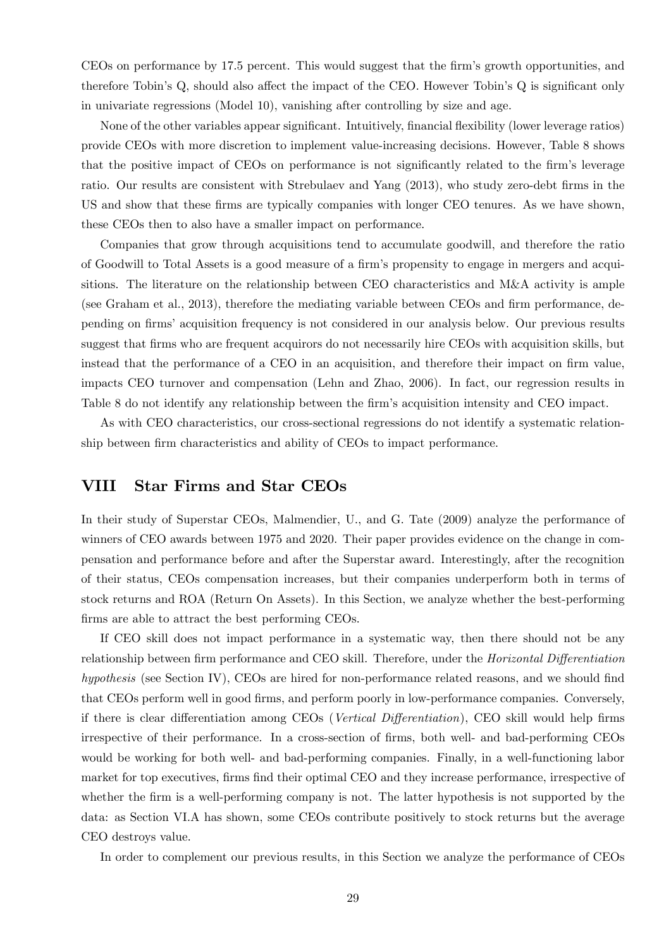CEOs on performance by 17.5 percent. This would suggest that the firm's growth opportunities, and therefore Tobin's  $Q$ , should also affect the impact of the CEO. However Tobin's  $Q$  is significant only in univariate regressions (Model 10), vanishing after controlling by size and age.

None of the other variables appear significant. Intuitively, financial flexibility (lower leverage ratios) provide CEOs with more discretion to implement value-increasing decisions. However, Table 8 shows that the positive impact of CEOs on performance is not significantly related to the firm's leverage ratio. Our results are consistent with Strebulaev and Yang (2013), who study zero-debt firms in the US and show that these firms are typically companies with longer CEO tenures. As we have shown, these CEOs then to also have a smaller impact on performance.

Companies that grow through acquisitions tend to accumulate goodwill, and therefore the ratio of Goodwill to Total Assets is a good measure of a Örmís propensity to engage in mergers and acquisitions. The literature on the relationship between CEO characteristics and M&A activity is ample (see Graham et al., 2013), therefore the mediating variable between CEOs and firm performance, depending on firms' acquisition frequency is not considered in our analysis below. Our previous results suggest that firms who are frequent acquirors do not necessarily hire CEOs with acquisition skills, but instead that the performance of a CEO in an acquisition, and therefore their impact on firm value, impacts CEO turnover and compensation (Lehn and Zhao, 2006). In fact, our regression results in Table 8 do not identify any relationship between the firm's acquisition intensity and CEO impact.

As with CEO characteristics, our cross-sectional regressions do not identify a systematic relationship between firm characteristics and ability of CEOs to impact performance.

## VIII Star Firms and Star CEOs

In their study of Superstar CEOs, Malmendier, U., and G. Tate (2009) analyze the performance of winners of CEO awards between 1975 and 2020. Their paper provides evidence on the change in compensation and performance before and after the Superstar award. Interestingly, after the recognition of their status, CEOs compensation increases, but their companies underperform both in terms of stock returns and ROA (Return On Assets). In this Section, we analyze whether the best-performing firms are able to attract the best performing CEOs.

If CEO skill does not impact performance in a systematic way, then there should not be any relationship between firm performance and CEO skill. Therefore, under the *Horizontal Differentiation* hypothesis (see Section IV), CEOs are hired for non-performance related reasons, and we should find that CEOs perform well in good firms, and perform poorly in low-performance companies. Conversely, if there is clear differentiation among CEOs (Vertical Differentiation), CEO skill would help firms irrespective of their performance. In a cross-section of firms, both well- and bad-performing CEOs would be working for both well- and bad-performing companies. Finally, in a well-functioning labor market for top executives, firms find their optimal CEO and they increase performance, irrespective of whether the firm is a well-performing company is not. The latter hypothesis is not supported by the data: as Section VI.A has shown, some CEOs contribute positively to stock returns but the average CEO destroys value.

In order to complement our previous results, in this Section we analyze the performance of CEOs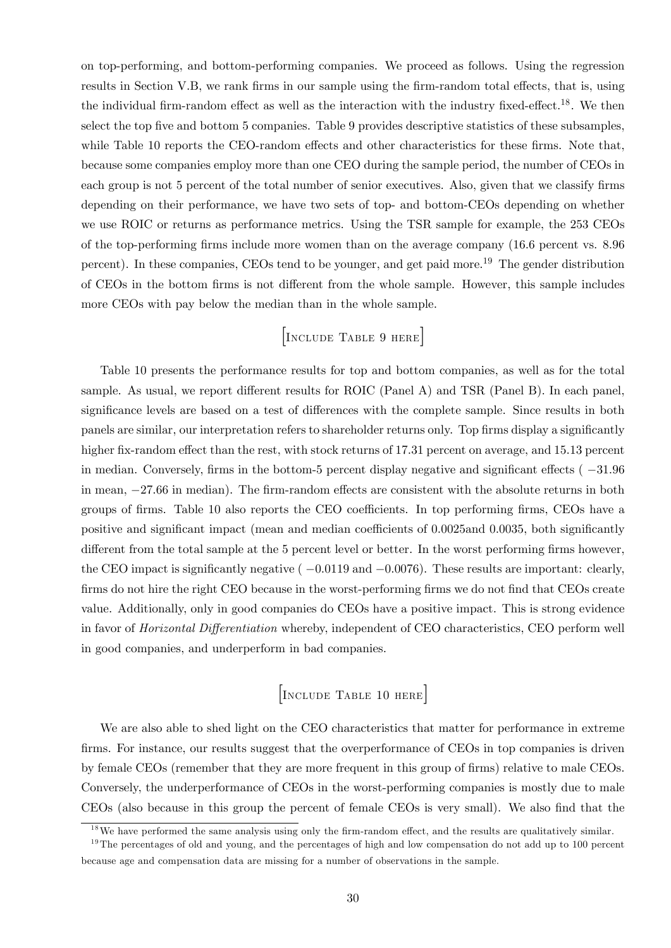on top-performing, and bottom-performing companies. We proceed as follows. Using the regression results in Section V.B, we rank firms in our sample using the firm-random total effects, that is, using the individual firm-random effect as well as the interaction with the industry fixed-effect.<sup>18</sup>. We then select the top five and bottom 5 companies. Table 9 provides descriptive statistics of these subsamples, while Table 10 reports the CEO-random effects and other characteristics for these firms. Note that, because some companies employ more than one CEO during the sample period, the number of CEOs in each group is not 5 percent of the total number of senior executives. Also, given that we classify firms depending on their performance, we have two sets of top- and bottom-CEOs depending on whether we use ROIC or returns as performance metrics. Using the TSR sample for example, the 253 CEOs of the top-performing Örms include more women than on the average company (16:6 percent vs. 8:96 percent). In these companies, CEOs tend to be younger, and get paid more.<sup>19</sup> The gender distribution of CEOs in the bottom firms is not different from the whole sample. However, this sample includes more CEOs with pay below the median than in the whole sample.

## [Include Table 9 here]

Table 10 presents the performance results for top and bottom companies, as well as for the total sample. As usual, we report different results for ROIC (Panel A) and TSR (Panel B). In each panel, significance levels are based on a test of differences with the complete sample. Since results in both panels are similar, our interpretation refers to shareholder returns only. Top firms display a significantly higher fix-random effect than the rest, with stock returns of 17.31 percent on average, and 15.13 percent in median. Conversely, firms in the bottom-5 percent display negative and significant effects  $(-31.96$ in mean,  $-27.66$  in median). The firm-random effects are consistent with the absolute returns in both groups of firms. Table 10 also reports the CEO coefficients. In top performing firms, CEOs have a positive and significant impact (mean and median coefficients of 0.0025and 0.0035, both significantly different from the total sample at the 5 percent level or better. In the worst performing firms however, the CEO impact is significantly negative  $(-0.0119$  and  $-0.0076)$ . These results are important: clearly, firms do not hire the right CEO because in the worst-performing firms we do not find that CEOs create value. Additionally, only in good companies do CEOs have a positive impact. This is strong evidence in favor of *Horizontal Differentiation* whereby, independent of CEO characteristics, CEO perform well in good companies, and underperform in bad companies.

## [Include Table 10 here]

We are also able to shed light on the CEO characteristics that matter for performance in extreme firms. For instance, our results suggest that the overperformance of CEOs in top companies is driven by female CEOs (remember that they are more frequent in this group of firms) relative to male CEOs. Conversely, the underperformance of CEOs in the worst-performing companies is mostly due to male CEOs (also because in this group the percent of female CEOs is very small). We also find that the

 $18$ We have performed the same analysis using only the firm-random effect, and the results are qualitatively similar.

<sup>&</sup>lt;sup>19</sup>The percentages of old and young, and the percentages of high and low compensation do not add up to 100 percent because age and compensation data are missing for a number of observations in the sample.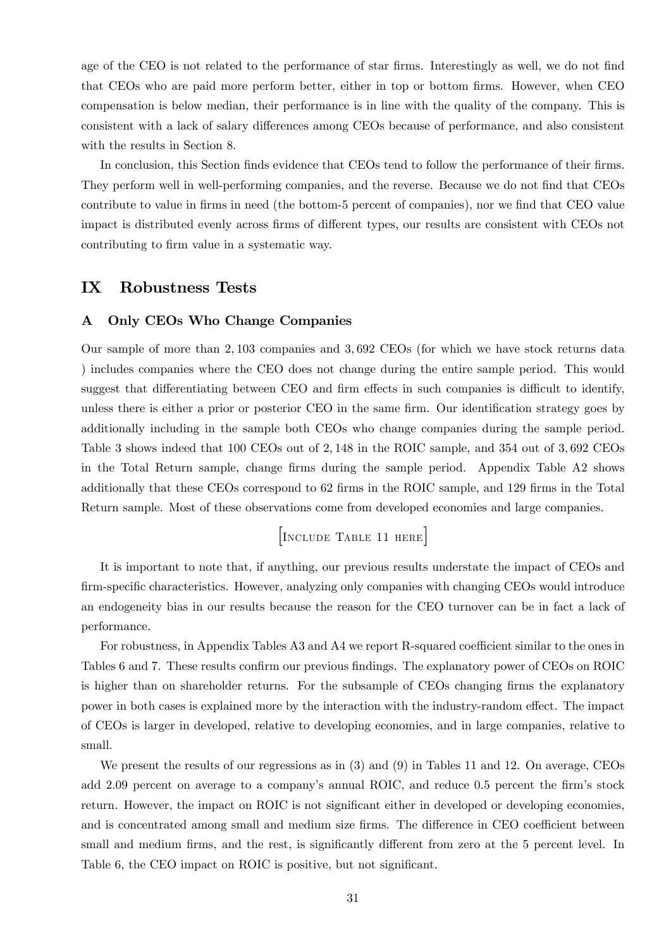age of the CEO is not related to the performance of star firms. Interestingly as well, we do not find that CEOs who are paid more perform better, either in top or bottom firms. However, when CEO compensation is below median, their performance is in line with the quality of the company. This is consistent with a lack of salary differences among CEOs because of performance, and also consistent with the results in Section 8.

In conclusion, this Section finds evidence that CEOs tend to follow the performance of their firms. They perform well in well-performing companies, and the reverse. Because we do not find that CEOs contribute to value in firms in need (the bottom-5 percent of companies), nor we find that CEO value impact is distributed evenly across firms of different types, our results are consistent with CEOs not contributing to firm value in a systematic way.

## IX Robustness Tests

#### A Only CEOs Who Change Companies

Our sample of more than 2; 103 companies and 3; 692 CEOs (for which we have stock returns data ) includes companies where the CEO does not change during the entire sample period. This would suggest that differentiating between CEO and firm effects in such companies is difficult to identify, unless there is either a prior or posterior CEO in the same firm. Our identification strategy goes by additionally including in the sample both CEOs who change companies during the sample period. Table 3 shows indeed that 100 CEOs out of 2,148 in the ROIC sample, and 354 out of 3,692 CEOs in the Total Return sample, change firms during the sample period. Appendix Table A2 shows additionally that these CEOs correspond to 62 firms in the ROIC sample, and 129 firms in the Total Return sample. Most of these observations come from developed economies and large companies.

[Include Table 11 here]

It is important to note that, if anything, our previous results understate the impact of CEOs and firm-specific characteristics. However, analyzing only companies with changing CEOs would introduce an endogeneity bias in our results because the reason for the CEO turnover can be in fact a lack of performance.

For robustness, in Appendix Tables A3 and A4 we report R-squared coefficient similar to the ones in Tables 6 and 7. These results confirm our previous findings. The explanatory power of CEOs on ROIC is higher than on shareholder returns. For the subsample of CEOs changing firms the explanatory power in both cases is explained more by the interaction with the industry-random effect. The impact of CEOs is larger in developed, relative to developing economies, and in large companies, relative to small.

We present the results of our regressions as in (3) and (9) in Tables 11 and 12. On average, CEOs add 2.09 percent on average to a company's annual ROIC, and reduce 0.5 percent the firm's stock return. However, the impact on ROIC is not significant either in developed or developing economies, and is concentrated among small and medium size firms. The difference in CEO coefficient between small and medium firms, and the rest, is significantly different from zero at the 5 percent level. In Table 6, the CEO impact on ROIC is positive, but not significant.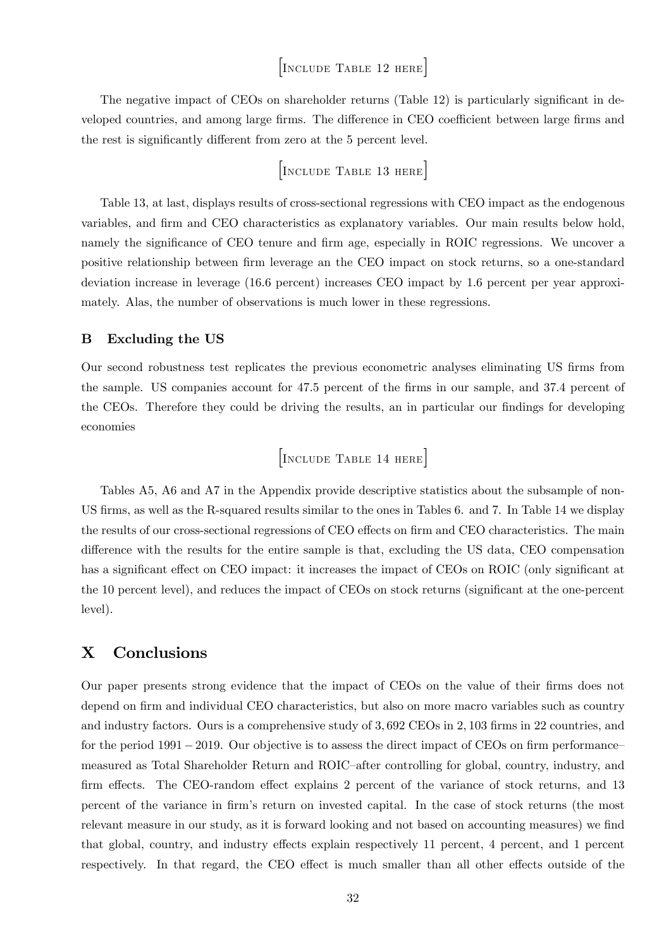## [Include Table 12 here]

The negative impact of CEOs on shareholder returns (Table 12) is particularly significant in developed countries, and among large firms. The difference in CEO coefficient between large firms and the rest is significantly different from zero at the 5 percent level.

$$
\begin{bmatrix} \text{Inculate Table 13 HERE} \end{bmatrix}
$$

Table 13, at last, displays results of cross-sectional regressions with CEO impact as the endogenous variables, and Örm and CEO characteristics as explanatory variables. Our main results below hold, namely the significance of CEO tenure and firm age, especially in ROIC regressions. We uncover a positive relationship between firm leverage an the CEO impact on stock returns, so a one-standard deviation increase in leverage (16:6 percent) increases CEO impact by 1:6 percent per year approximately. Alas, the number of observations is much lower in these regressions.

### B Excluding the US

Our second robustness test replicates the previous econometric analyses eliminating US firms from the sample. US companies account for 47.5 percent of the firms in our sample, and 37.4 percent of the CEOs. Therefore they could be driving the results, an in particular our findings for developing economies

$$
\begin{bmatrix} \text{Incude Table 14 here} \end{bmatrix}
$$

Tables A5, A6 and A7 in the Appendix provide descriptive statistics about the subsample of non-US firms, as well as the R-squared results similar to the ones in Tables 6. and 7. In Table 14 we display the results of our cross-sectional regressions of CEO effects on firm and CEO characteristics. The main difference with the results for the entire sample is that, excluding the US data, CEO compensation has a significant effect on CEO impact: it increases the impact of CEOs on ROIC (only significant at the 10 percent level), and reduces the impact of CEOs on stock returns (significant at the one-percent level).

## X Conclusions

Our paper presents strong evidence that the impact of CEOs on the value of their firms does not depend on firm and individual CEO characteristics, but also on more macro variables such as country and industry factors. Ours is a comprehensive study of 3,692 CEOs in 2,103 firms in 22 countries, and for the period  $1991-2019$ . Our objective is to assess the direct impact of CEOs on firm performance measured as Total Shareholder Return and ROIC-after controlling for global, country, industry, and firm effects. The CEO-random effect explains 2 percent of the variance of stock returns, and 13 percent of the variance in Örmís return on invested capital. In the case of stock returns (the most relevant measure in our study, as it is forward looking and not based on accounting measures) we find that global, country, and industry effects explain respectively 11 percent, 4 percent, and 1 percent respectively. In that regard, the CEO effect is much smaller than all other effects outside of the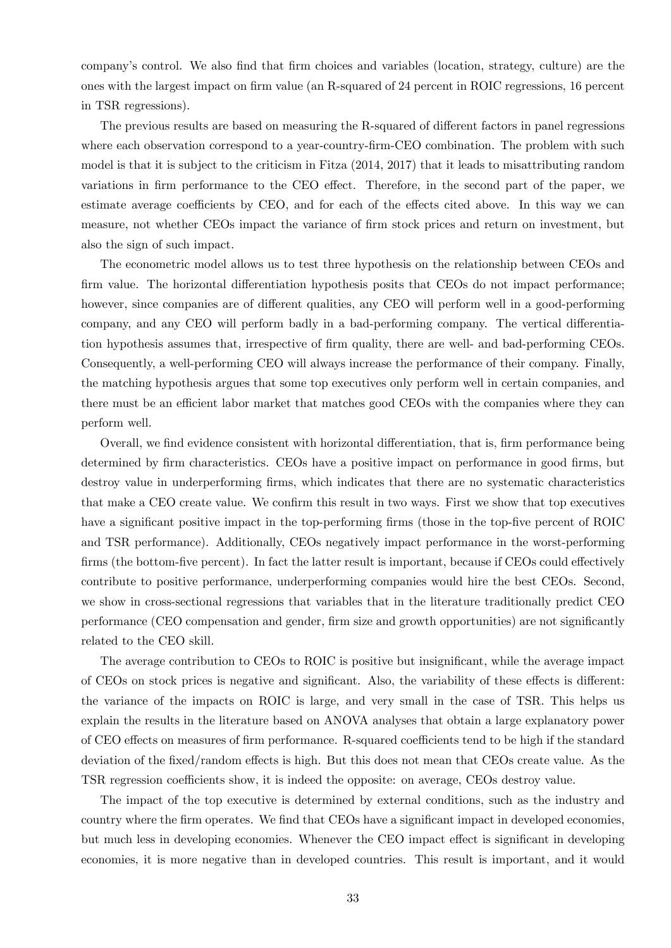company's control. We also find that firm choices and variables (location, strategy, culture) are the ones with the largest impact on firm value (an R-squared of 24 percent in ROIC regressions, 16 percent in TSR regressions).

The previous results are based on measuring the R-squared of different factors in panel regressions where each observation correspond to a year-country-firm-CEO combination. The problem with such model is that it is subject to the criticism in Fitza (2014, 2017) that it leads to misattributing random variations in firm performance to the CEO effect. Therefore, in the second part of the paper, we estimate average coefficients by CEO, and for each of the effects cited above. In this way we can measure, not whether CEOs impact the variance of firm stock prices and return on investment, but also the sign of such impact.

The econometric model allows us to test three hypothesis on the relationship between CEOs and firm value. The horizontal differentiation hypothesis posits that CEOs do not impact performance; however, since companies are of different qualities, any CEO will perform well in a good-performing company, and any CEO will perform badly in a bad-performing company. The vertical differentiation hypothesis assumes that, irrespective of firm quality, there are well- and bad-performing CEOs. Consequently, a well-performing CEO will always increase the performance of their company. Finally, the matching hypothesis argues that some top executives only perform well in certain companies, and there must be an efficient labor market that matches good CEOs with the companies where they can perform well.

Overall, we find evidence consistent with horizontal differentiation, that is, firm performance being determined by firm characteristics. CEOs have a positive impact on performance in good firms, but destroy value in underperforming firms, which indicates that there are no systematic characteristics that make a CEO create value. We confirm this result in two ways. First we show that top executives have a significant positive impact in the top-performing firms (those in the top-five percent of ROIC and TSR performance). Additionally, CEOs negatively impact performance in the worst-performing firms (the bottom-five percent). In fact the latter result is important, because if  $CEOs$  could effectively contribute to positive performance, underperforming companies would hire the best CEOs. Second, we show in cross-sectional regressions that variables that in the literature traditionally predict CEO performance (CEO compensation and gender, firm size and growth opportunities) are not significantly related to the CEO skill.

The average contribution to CEOs to ROIC is positive but insignificant, while the average impact of CEOs on stock prices is negative and significant. Also, the variability of these effects is different: the variance of the impacts on ROIC is large, and very small in the case of TSR. This helps us explain the results in the literature based on ANOVA analyses that obtain a large explanatory power of CEO effects on measures of firm performance. R-squared coefficients tend to be high if the standard deviation of the fixed/random effects is high. But this does not mean that CEOs create value. As the TSR regression coefficients show, it is indeed the opposite: on average, CEOs destroy value.

The impact of the top executive is determined by external conditions, such as the industry and country where the firm operates. We find that CEOs have a significant impact in developed economies, but much less in developing economies. Whenever the CEO impact effect is significant in developing economies, it is more negative than in developed countries. This result is important, and it would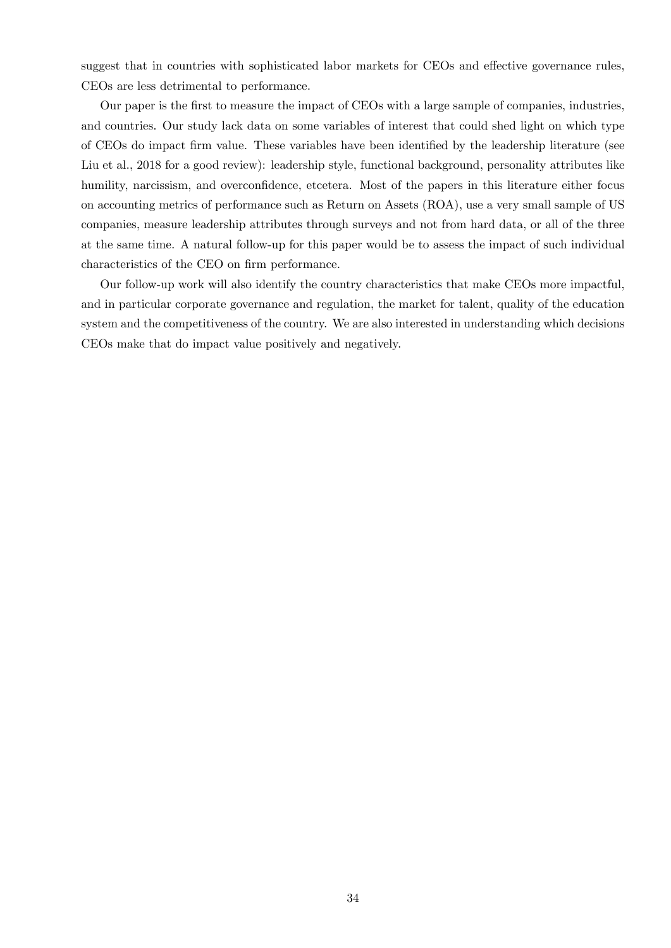suggest that in countries with sophisticated labor markets for CEOs and effective governance rules, CEOs are less detrimental to performance.

Our paper is the first to measure the impact of CEOs with a large sample of companies, industries, and countries. Our study lack data on some variables of interest that could shed light on which type of CEOs do impact firm value. These variables have been identified by the leadership literature (see Liu et al., 2018 for a good review): leadership style, functional background, personality attributes like humility, narcissism, and overconfidence, etcetera. Most of the papers in this literature either focus on accounting metrics of performance such as Return on Assets (ROA), use a very small sample of US companies, measure leadership attributes through surveys and not from hard data, or all of the three at the same time. A natural follow-up for this paper would be to assess the impact of such individual characteristics of the CEO on firm performance.

Our follow-up work will also identify the country characteristics that make CEOs more impactful, and in particular corporate governance and regulation, the market for talent, quality of the education system and the competitiveness of the country. We are also interested in understanding which decisions CEOs make that do impact value positively and negatively.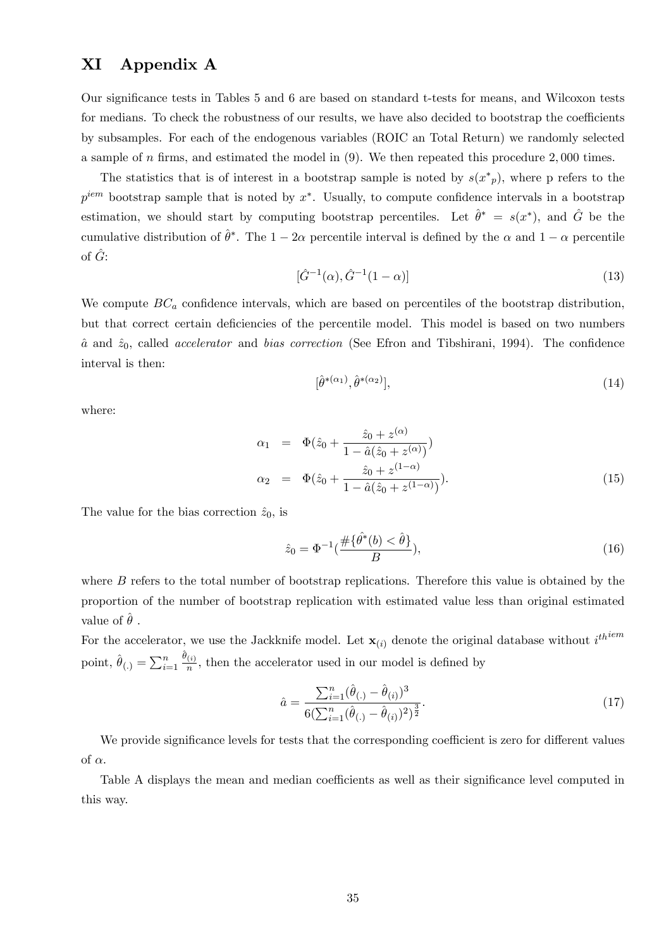## XI Appendix A

Our significance tests in Tables 5 and 6 are based on standard t-tests for means, and Wilcoxon tests for medians. To check the robustness of our results, we have also decided to bootstrap the coefficients by subsamples. For each of the endogenous variables (ROIC an Total Return) we randomly selected a sample of  $n$  firms, and estimated the model in  $(9)$ . We then repeated this procedure 2,000 times.

The statistics that is of interest in a bootstrap sample is noted by  $s(x^*)$ , where p refers to the  $p^{iem}$  bootstrap sample that is noted by  $x^*$ . Usually, to compute confidence intervals in a bootstrap estimation, we should start by computing bootstrap percentiles. Let  $\hat{\theta}^* = s(x^*)$ , and  $\hat{G}$  be the cumulative distribution of  $\hat{\theta}^*$ . The  $1 - 2\alpha$  percentile interval is defined by the  $\alpha$  and  $1 - \alpha$  percentile of  $\hat{G}$ :

$$
[\hat{G}^{-1}(\alpha), \hat{G}^{-1}(1-\alpha)] \tag{13}
$$

We compute  $BC_a$  confidence intervals, which are based on percentiles of the bootstrap distribution, but that correct certain deficiencies of the percentile model. This model is based on two numbers  $\hat{a}$  and  $\hat{z}_0$ , called *accelerator* and *bias correction* (See Efron and Tibshirani, 1994). The confidence interval is then:

$$
[\hat{\theta}^{*(\alpha_1)}, \hat{\theta}^{*(\alpha_2)}],\tag{14}
$$

where:

$$
\alpha_1 = \Phi(\hat{z}_0 + \frac{\hat{z}_0 + z^{(\alpha)}}{1 - \hat{a}(\hat{z}_0 + z^{(\alpha)})})
$$
  
\n
$$
\alpha_2 = \Phi(\hat{z}_0 + \frac{\hat{z}_0 + z^{(1-\alpha)}}{1 - \hat{a}(\hat{z}_0 + z^{(1-\alpha)})}).
$$
\n(15)

The value for the bias correction  $\hat{z}_0$ , is

$$
\hat{z}_0 = \Phi^{-1}\left(\frac{\#\{\hat{\theta}^*(b) < \hat{\theta}\}}{B}\right),\tag{16}
$$

where B refers to the total number of bootstrap replications. Therefore this value is obtained by the proportion of the number of bootstrap replication with estimated value less than original estimated value of  $\ddot{\theta}$ .

For the accelerator, we use the Jackknife model. Let  $\mathbf{x}_{(i)}$  denote the original database without  $i^{th^{iem}}$ point,  $\hat{\theta}_{(.)} = \sum_{i=1}^{n}$  $\hat{\theta}_{(i)}$  $\frac{(i)}{n}$ , then the accelerator used in our model is defined by

$$
\hat{a} = \frac{\sum_{i=1}^{n} (\hat{\theta}_{(.)} - \hat{\theta}_{(i)})^3}{6(\sum_{i=1}^{n} (\hat{\theta}_{(.)} - \hat{\theta}_{(i)})^2)^{\frac{3}{2}}}.
$$
\n(17)

We provide significance levels for tests that the corresponding coefficient is zero for different values of  $\alpha$ .

Table A displays the mean and median coefficients as well as their significance level computed in this way.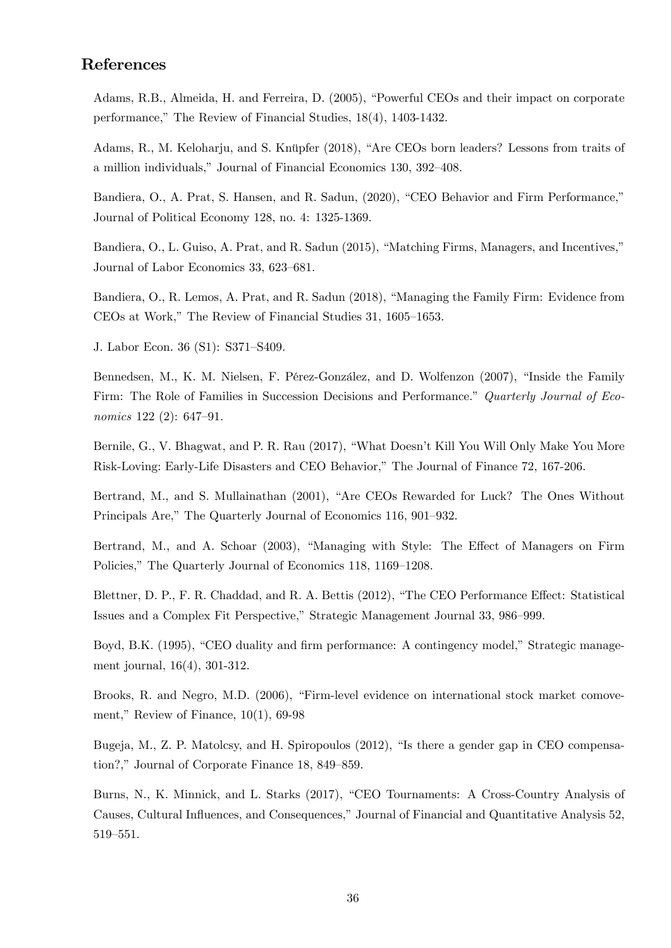## References

Adams, R.B., Almeida, H. and Ferreira, D. (2005), "Powerful CEOs and their impact on corporate performance," The Review of Financial Studies,  $18(4)$ ,  $1403-1432$ .

Adams, R., M. Keloharju, and S. Knüpfer (2018), "Are CEOs born leaders? Lessons from traits of a million individuals," Journal of Financial Economics 130, 392–408.

Bandiera, O., A. Prat, S. Hansen, and R. Sadun, (2020), "CEO Behavior and Firm Performance," Journal of Political Economy 128, no. 4: 1325-1369.

Bandiera, O., L. Guiso, A. Prat, and R. Sadun (2015), "Matching Firms, Managers, and Incentives," Journal of Labor Economics 33, 623–681.

Bandiera, O., R. Lemos, A. Prat, and R. Sadun (2018), "Managing the Family Firm: Evidence from  $CEOs$  at Work," The Review of Financial Studies 31, 1605–1653.

J. Labor Econ. 36 (S1): S371–S409.

Bennedsen, M., K. M. Nielsen, F. Pérez-González, and D. Wolfenzon (2007), "Inside the Family Firm: The Role of Families in Succession Decisions and Performance." Quarterly Journal of Economics  $122(2)$ : 647-91.

Bernile, G., V. Bhagwat, and P. R. Rau (2017), "What Doesn't Kill You Will Only Make You More Risk-Loving: Early-Life Disasters and CEO Behavior," The Journal of Finance 72, 167-206.

Bertrand, M., and S. Mullainathan (2001), "Are CEOs Rewarded for Luck? The Ones Without Principals Are," The Quarterly Journal of Economics 116, 901–932.

Bertrand, M., and A. Schoar (2003), "Managing with Style: The Effect of Managers on Firm Policies," The Quarterly Journal of Economics 118, 1169–1208.

Blettner, D. P., F. R. Chaddad, and R. A. Bettis (2012), "The CEO Performance Effect: Statistical Issues and a Complex Fit Perspective," Strategic Management Journal 33, 986–999.

Boyd, B.K. (1995), "CEO duality and firm performance: A contingency model," Strategic management journal, 16(4), 301-312.

Brooks, R. and Negro, M.D. (2006), "Firm-level evidence on international stock market comovement," Review of Finance,  $10(1)$ , 69-98

Bugeja, M., Z. P. Matolcsy, and H. Spiropoulos  $(2012)$ , "Is there a gender gap in CEO compensation?," Journal of Corporate Finance  $18$ ,  $849-859$ .

Burns, N., K. Minnick, and L. Starks (2017), "CEO Tournaments: A Cross-Country Analysis of Causes, Cultural Influences, and Consequences," Journal of Financial and Quantitative Analysis 52, 519-551.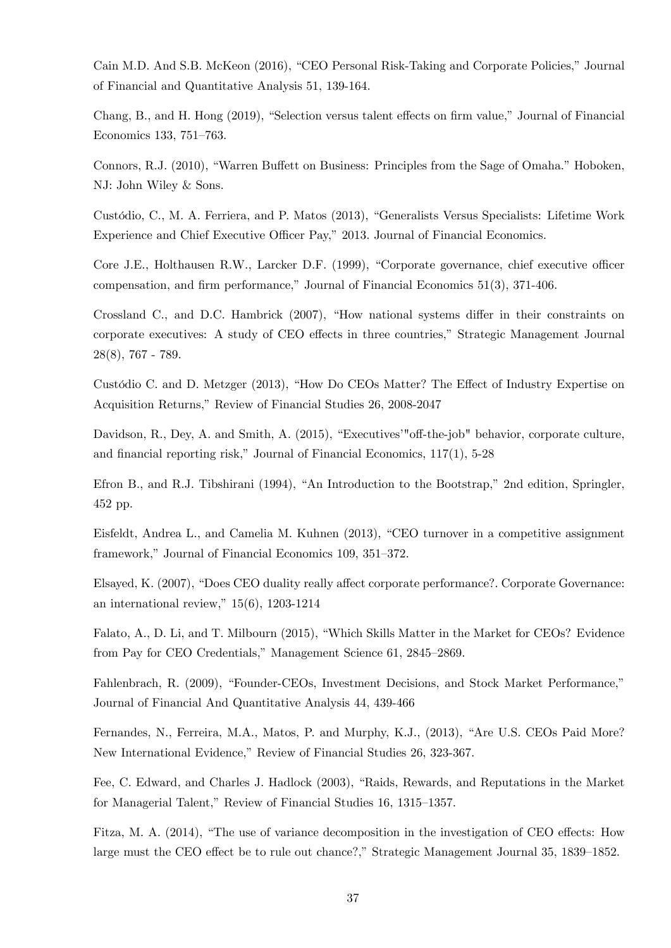Cain M.D. And S.B. McKeon (2016), "CEO Personal Risk-Taking and Corporate Policies," Journal of Financial and Quantitative Analysis 51, 139-164.

Chang, B., and H. Hong (2019), "Selection versus talent effects on firm value," Journal of Financial Economics 133, 751-763.

Connors, R.J. (2010), "Warren Buffett on Business: Principles from the Sage of Omaha." Hoboken, NJ: John Wiley & Sons.

Custódio, C., M. A. Ferriera, and P. Matos (2013), "Generalists Versus Specialists: Lifetime Work Experience and Chief Executive Officer Pay," 2013. Journal of Financial Economics.

Core J.E., Holthausen R.W., Larcker D.F. (1999), "Corporate governance, chief executive officer compensation, and firm performance," Journal of Financial Economics  $51(3)$ ,  $371-406$ .

Crossland C., and D.C. Hambrick  $(2007)$ , "How national systems differ in their constraints on corporate executives: A study of CEO effects in three countries," Strategic Management Journal 28(8), 767 - 789.

Custódio C. and D. Metzger (2013), "How Do CEOs Matter? The Effect of Industry Expertise on Acquisition Returns," Review of Financial Studies 26, 2008-2047

Davidson, R., Dey, A. and Smith, A. (2015), "Executives'"off-the-job" behavior, corporate culture, and financial reporting risk," Journal of Financial Economics,  $117(1)$ , 5-28

Efron B., and R.J. Tibshirani (1994), "An Introduction to the Bootstrap," 2nd edition, Springler, 452 pp.

Eisfeldt, Andrea L., and Camelia M. Kuhnen (2013), "CEO turnover in a competitive assignment framework," Journal of Financial Economics 109, 351–372.

Elsayed, K. (2007), "Does CEO duality really affect corporate performance?. Corporate Governance: an international review,"  $15(6)$ , 1203-1214

Falato, A., D. Li, and T. Milbourn (2015), "Which Skills Matter in the Market for CEOs? Evidence from Pay for CEO Credentials," Management Science 61, 2845-2869.

Fahlenbrach, R. (2009), "Founder-CEOs, Investment Decisions, and Stock Market Performance," Journal of Financial And Quantitative Analysis 44, 439-466

Fernandes, N., Ferreira, M.A., Matos, P. and Murphy, K.J., (2013), "Are U.S. CEOs Paid More? New International Evidence," Review of Financial Studies 26, 323-367.

Fee, C. Edward, and Charles J. Hadlock (2003), "Raids, Rewards, and Reputations in the Market for Managerial Talent," Review of Financial Studies 16, 1315–1357.

Fitza, M. A. (2014), "The use of variance decomposition in the investigation of CEO effects: How large must the CEO effect be to rule out chance?," Strategic Management Journal 35, 1839–1852.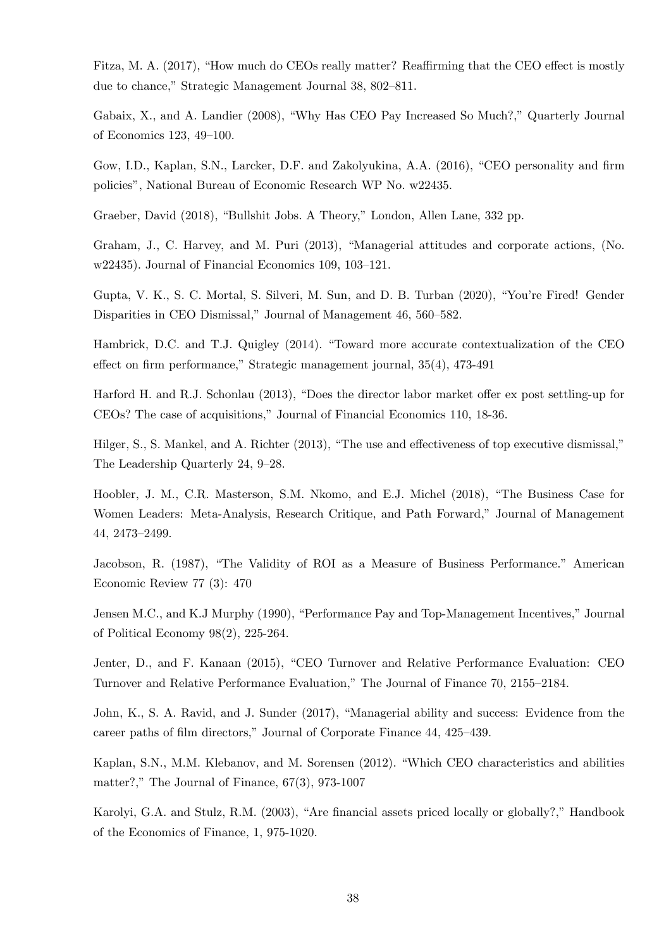Fitza, M. A. (2017), "How much do CEOs really matter? Reaffirming that the CEO effect is mostly due to chance," Strategic Management Journal 38, 802-811.

Gabaix, X., and A. Landier (2008), "Why Has CEO Pay Increased So Much?," Quarterly Journal of Economics 123, 49–100.

Gow, I.D., Kaplan, S.N., Larcker, D.F. and Zakolyukina, A.A. (2016), "CEO personality and firm policiesî, National Bureau of Economic Research WP No. w22435.

Graeber, David (2018), "Bullshit Jobs. A Theory," London, Allen Lane, 332 pp.

Graham, J., C. Harvey, and M. Puri (2013), "Managerial attitudes and corporate actions, (No. w22435). Journal of Financial Economics  $109, 103-121$ .

Gupta, V. K., S. C. Mortal, S. Silveri, M. Sun, and D. B. Turban (2020), "You're Fired! Gender Disparities in CEO Dismissal," Journal of Management 46, 560–582.

Hambrick, D.C. and T.J. Quigley (2014). "Toward more accurate contextualization of the CEO effect on firm performance," Strategic management journal,  $35(4)$ ,  $473-491$ 

Harford H. and R.J. Schonlau  $(2013)$ , "Does the director labor market offer ex post settling-up for CEOs? The case of acquisitions," Journal of Financial Economics 110, 18-36.

Hilger, S., S. Mankel, and A. Richter  $(2013)$ , "The use and effectiveness of top executive dismissal," The Leadership Quarterly 24, 9–28.

Hoobler, J. M., C.R. Masterson, S.M. Nkomo, and E.J. Michel (2018), "The Business Case for Women Leaders: Meta-Analysis, Research Critique, and Path Forward," Journal of Management 44, 2473-2499.

Jacobson, R. (1987), "The Validity of ROI as a Measure of Business Performance." American Economic Review 77 (3): 470

Jensen M.C., and K.J Murphy (1990), "Performance Pay and Top-Management Incentives," Journal of Political Economy 98(2), 225-264.

Jenter, D., and F. Kanaan (2015), "CEO Turnover and Relative Performance Evaluation: CEO Turnover and Relative Performance Evaluation," The Journal of Finance 70, 2155–2184.

John, K., S. A. Ravid, and J. Sunder (2017), "Managerial ability and success: Evidence from the career paths of film directors," Journal of Corporate Finance 44, 425–439.

Kaplan, S.N., M.M. Klebanov, and M. Sorensen (2012). "Which CEO characteristics and abilities matter?," The Journal of Finance,  $67(3)$ , 973-1007

Karolyi, G.A. and Stulz, R.M. (2003), "Are financial assets priced locally or globally?," Handbook of the Economics of Finance, 1, 975-1020.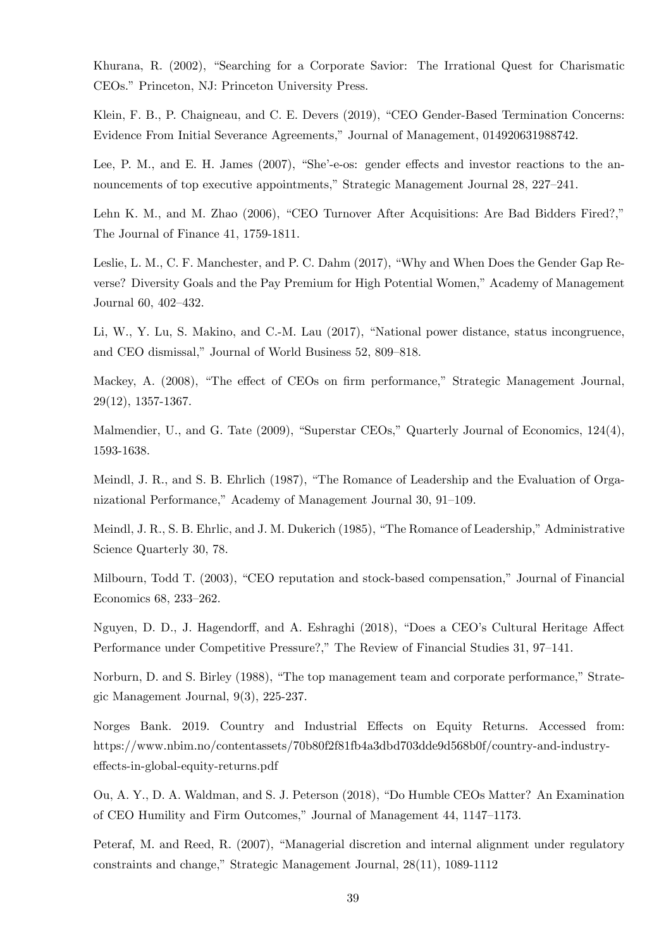Khurana, R. (2002), "Searching for a Corporate Savior: The Irrational Quest for Charismatic CEOs." Princeton, NJ: Princeton University Press.

Klein, F. B., P. Chaigneau, and C. E. Devers (2019), "CEO Gender-Based Termination Concerns: Evidence From Initial Severance Agreements,î Journal of Management, 014920631988742.

Lee, P. M., and E. H. James (2007), "She'-e-os: gender effects and investor reactions to the announcements of top executive appointments," Strategic Management Journal 28, 227–241.

Lehn K. M., and M. Zhao (2006), "CEO Turnover After Acquisitions: Are Bad Bidders Fired?," The Journal of Finance 41, 1759-1811.

Leslie, L. M., C. F. Manchester, and P. C. Dahm (2017), "Why and When Does the Gender Gap Reverse? Diversity Goals and the Pay Premium for High Potential Women," Academy of Management Journal  $60, 402 - 432$ .

Li, W., Y. Lu, S. Makino, and C.-M. Lau (2017), "National power distance, status incongruence, and CEO dismissal," Journal of World Business 52, 809-818.

Mackey, A. (2008), "The effect of CEOs on firm performance," Strategic Management Journal, 29(12), 1357-1367.

Malmendier, U., and G. Tate  $(2009)$ , "Superstar CEOs," Quarterly Journal of Economics,  $124(4)$ , 1593-1638.

Meindl, J. R., and S. B. Ehrlich (1987), "The Romance of Leadership and the Evaluation of Organizational Performance," Academy of Management Journal 30, 91–109.

Meindl, J. R., S. B. Ehrlic, and J. M. Dukerich (1985), "The Romance of Leadership," Administrative Science Quarterly 30, 78.

Milbourn, Todd T. (2003), "CEO reputation and stock-based compensation," Journal of Financial Economics 68, 233-262.

Nguyen, D. D., J. Hagendorff, and A. Eshraghi (2018), "Does a CEO's Cultural Heritage Affect Performance under Competitive Pressure?," The Review of Financial Studies 31, 97–141.

Norburn, D. and S. Birley (1988), "The top management team and corporate performance," Strategic Management Journal, 9(3), 225-237.

Norges Bank. 2019. Country and Industrial Effects on Equity Returns. Accessed from: https://www.nbim.no/contentassets/70b80f2f81fb4a3dbd703dde9d568b0f/country-and-industryeffects-in-global-equity-returns.pdf

Ou, A. Y., D. A. Waldman, and S. J. Peterson (2018), "Do Humble CEOs Matter? An Examination of CEO Humility and Firm Outcomes," Journal of Management 44, 1147-1173.

Peteraf, M. and Reed, R. (2007), "Managerial discretion and internal alignment under regulatory constraints and change," Strategic Management Journal,  $28(11)$ , 1089-1112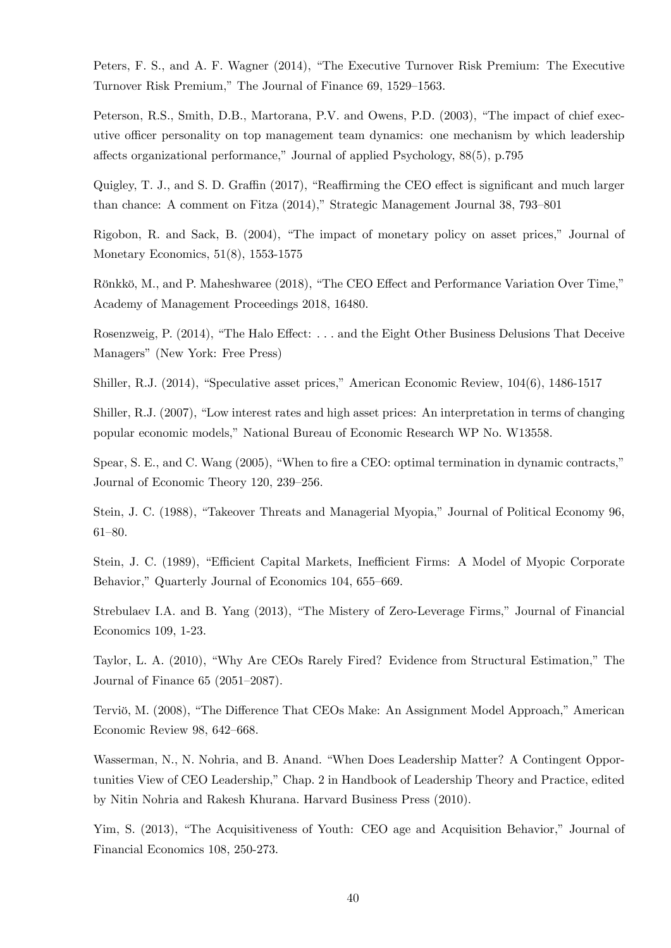Peters, F. S., and A. F. Wagner (2014), "The Executive Turnover Risk Premium: The Executive Turnover Risk Premium," The Journal of Finance 69, 1529–1563.

Peterson, R.S., Smith, D.B., Martorana, P.V. and Owens, P.D. (2003), "The impact of chief executive officer personality on top management team dynamics: one mechanism by which leadership affects organizational performance," Journal of applied Psychology,  $88(5)$ , p.795

Quigley, T. J., and S. D. Graffin (2017), "Reaffirming the CEO effect is significant and much larger than chance: A comment on Fitza  $(2014)$ ," Strategic Management Journal 38, 793–801

Rigobon, R. and Sack, B. (2004), "The impact of monetary policy on asset prices," Journal of Monetary Economics, 51(8), 1553-1575

Rönkkö, M., and P. Maheshwaree (2018), "The CEO Effect and Performance Variation Over Time," Academy of Management Proceedings 2018, 16480.

Rosenzweig, P.  $(2014)$ , "The Halo Effect: ... and the Eight Other Business Delusions That Deceive Managers" (New York: Free Press)

Shiller, R.J. (2014), "Speculative asset prices," American Economic Review, 104(6), 1486-1517

Shiller, R.J.  $(2007)$ , "Low interest rates and high asset prices: An interpretation in terms of changing popular economic models," National Bureau of Economic Research WP No. W13558.

Spear, S. E., and C. Wang (2005), "When to fire a CEO: optimal termination in dynamic contracts," Journal of Economic Theory 120, 239-256.

Stein, J. C. (1988), "Takeover Threats and Managerial Myopia," Journal of Political Economy 96,  $61 - 80.$ 

Stein, J. C. (1989), "Efficient Capital Markets, Inefficient Firms: A Model of Myopic Corporate Behavior," Quarterly Journal of Economics 104, 655–669.

Strebulaev I.A. and B. Yang (2013), "The Mistery of Zero-Leverage Firms," Journal of Financial Economics 109, 1-23.

Taylor, L. A. (2010), "Why Are CEOs Rarely Fired? Evidence from Structural Estimation," The Journal of Finance  $65$  (2051–2087).

Terviö, M. (2008), "The Difference That CEOs Make: An Assignment Model Approach," American Economic Review 98, 642-668.

Wasserman, N., N. Nohria, and B. Anand. "When Does Leadership Matter? A Contingent Opportunities View of CEO Leadership," Chap. 2 in Handbook of Leadership Theory and Practice, edited by Nitin Nohria and Rakesh Khurana. Harvard Business Press (2010).

Yim, S. (2013), "The Acquisitiveness of Youth: CEO age and Acquisition Behavior," Journal of Financial Economics 108, 250-273.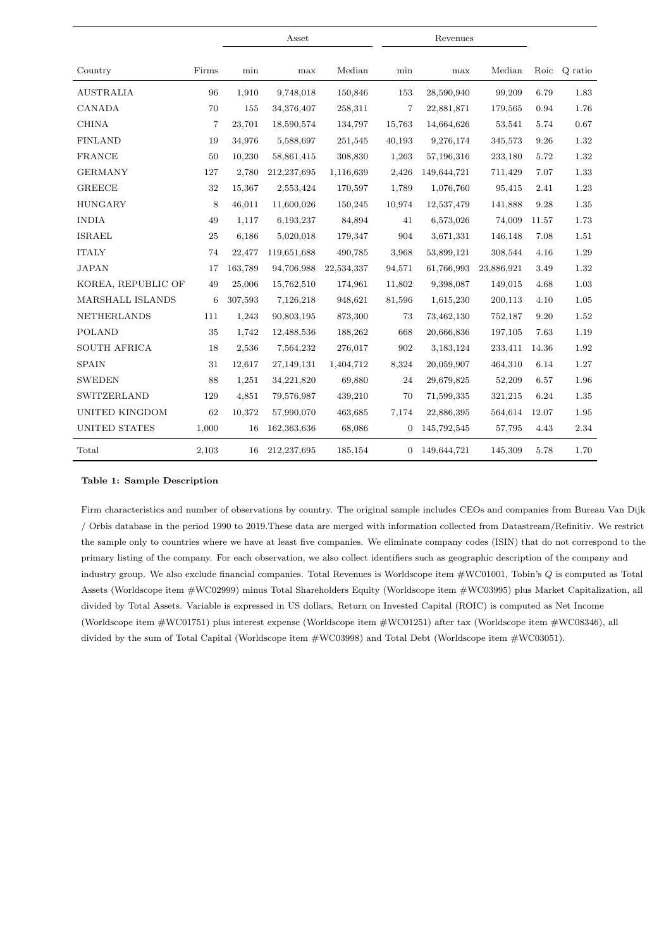|                       |        |         | Asset         |            |                | Revenues    |            |       |         |
|-----------------------|--------|---------|---------------|------------|----------------|-------------|------------|-------|---------|
| Country               | Firms  | min     | max           | Median     | min            | max         | Median     | Roic  | Q ratio |
| <b>AUSTRALIA</b>      | 96     | 1,910   | 9,748,018     | 150,846    | 153            | 28,590,940  | 99,209     | 6.79  | 1.83    |
| CANADA                | 70     | 155     | 34,376,407    | 258,311    | 7              | 22,881,871  | 179,565    | 0.94  | 1.76    |
| <b>CHINA</b>          | 7      | 23,701  | 18,590,574    | 134,797    | 15,763         | 14,664,626  | 53,541     | 5.74  | 0.67    |
| <b>FINLAND</b>        | 19     | 34,976  | 5,588,697     | 251,545    | 40,193         | 9,276,174   | 345,573    | 9.26  | 1.32    |
| <b>FRANCE</b>         | 50     | 10,230  | 58,861,415    | 308,830    | 1,263          | 57,196,316  | 233,180    | 5.72  | 1.32    |
| <b>GERMANY</b>        | 127    | 2,780   | 212, 237, 695 | 1,116,639  | 2,426          | 149,644,721 | 711,429    | 7.07  | 1.33    |
| <b>GREECE</b>         | 32     | 15,367  | 2,553,424     | 170,597    | 1,789          | 1,076,760   | 95,415     | 2.41  | 1.23    |
| <b>HUNGARY</b>        | 8      | 46,011  | 11,600,026    | 150,245    | 10,974         | 12,537,479  | 141,888    | 9.28  | 1.35    |
| <b>INDIA</b>          | 49     | 1,117   | 6,193,237     | 84,894     | 41             | 6,573,026   | 74,009     | 11.57 | 1.73    |
| <b>ISRAEL</b>         | $25\,$ | 6,186   | 5,020,018     | 179,347    | 904            | 3,671,331   | 146,148    | 7.08  | 1.51    |
| <b>ITALY</b>          | 74     | 22,477  | 119,651,688   | 490,785    | 3,968          | 53,899,121  | 308,544    | 4.16  | 1.29    |
| <b>JAPAN</b>          | 17     | 163,789 | 94,706,988    | 22,534,337 | 94,571         | 61,766,993  | 23,886,921 | 3.49  | 1.32    |
| KOREA, REPUBLIC OF    | 49     | 25,006  | 15,762,510    | 174,961    | 11,802         | 9,398,087   | 149,015    | 4.68  | 1.03    |
| MARSHALL ISLANDS      | 6      | 307,593 | 7,126,218     | 948,621    | 81,596         | 1,615,230   | 200,113    | 4.10  | 1.05    |
| <b>NETHERLANDS</b>    | 111    | 1,243   | 90,803,195    | 873,300    | 73             | 73,462,130  | 752,187    | 9.20  | 1.52    |
| <b>POLAND</b>         | 35     | 1,742   | 12,488,536    | 188,262    | 668            | 20,666,836  | 197,105    | 7.63  | 1.19    |
| <b>SOUTH AFRICA</b>   | 18     | 2,536   | 7,564,232     | 276,017    | 902            | 3,183,124   | 233,411    | 14.36 | 1.92    |
| <b>SPAIN</b>          | 31     | 12,617  | 27,149,131    | 1,404,712  | 8,324          | 20,059,907  | 464,310    | 6.14  | 1.27    |
| <b>SWEDEN</b>         | 88     | 1,251   | 34,221,820    | 69,880     | 24             | 29,679,825  | 52,209     | 6.57  | 1.96    |
| SWITZERLAND           | 129    | 4,851   | 79,576,987    | 439,210    | 70             | 71,599,335  | 321,215    | 6.24  | 1.35    |
| <b>UNITED KINGDOM</b> | 62     | 10,372  | 57,990,070    | 463,685    | 7,174          | 22,886,395  | 564,614    | 12.07 | 1.95    |
| <b>UNITED STATES</b>  | 1,000  | 16      | 162,363,636   | 68,086     | 0              | 145,792,545 | 57,795     | 4.43  | 2.34    |
| Total                 | 2,103  | 16      | 212,237,695   | 185,154    | $\overline{0}$ | 149,644,721 | 145,309    | 5.78  | 1.70    |

#### Table 1: Sample Description

Firm characteristics and number of observations by country. The original sample includes CEOs and companies from Bureau Van Dijk / Orbis database in the period 1990 to 2019.These data are merged with information collected from Datastream/Refinitiv. We restrict the sample only to countries where we have at least five companies. We eliminate company codes (ISIN) that do not correspond to the primary listing of the company. For each observation, we also collect identifiers such as geographic description of the company and industry group. We also exclude financial companies. Total Revenues is Worldscope item #WC01001, Tobin's Q is computed as Total Assets (Worldscope item #WC02999) minus Total Shareholders Equity (Worldscope item #WC03995) plus Market Capitalization, all divided by Total Assets. Variable is expressed in US dollars. Return on Invested Capital (ROIC) is computed as Net Income (Worldscope item #WC01751) plus interest expense (Worldscope item #WC01251) after tax (Worldscope item #WC08346), all divided by the sum of Total Capital (Worldscope item #WC03998) and Total Debt (Worldscope item #WC03051).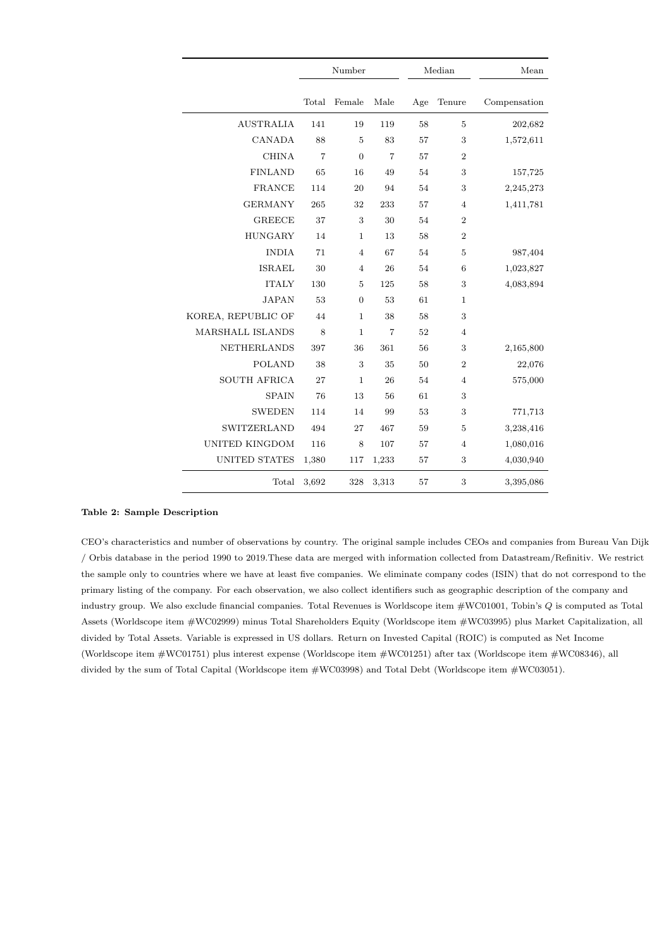|                         |                | Number         |                |     | Median         | Mean         |
|-------------------------|----------------|----------------|----------------|-----|----------------|--------------|
|                         | Total          | Female         | Male           | Age | Tenure         | Compensation |
| <b>AUSTRALIA</b>        | 141            | 19             | 119            | 58  | 5              | 202,682      |
| CANADA                  | 88             | 5              | 83             | 57  | 3              | 1,572,611    |
| <b>CHINA</b>            | $\overline{7}$ | $\overline{0}$ | $\overline{7}$ | 57  | $\overline{2}$ |              |
| <b>FINLAND</b>          | 65             | 16             | 49             | 54  | 3              | 157,725      |
| <b>FRANCE</b>           | 114            | 20             | 94             | 54  | 3              | 2,245,273    |
| <b>GERMANY</b>          | 265            | 32             | 233            | 57  | $\overline{4}$ | 1,411,781    |
| <b>GREECE</b>           | 37             | 3              | 30             | 54  | $\overline{2}$ |              |
| <b>HUNGARY</b>          | 14             | $\mathbf{1}$   | 13             | 58  | $\overline{2}$ |              |
| <b>INDIA</b>            | 71             | $\overline{4}$ | 67             | 54  | 5              | 987,404      |
| <b>ISRAEL</b>           | 30             | $\overline{4}$ | 26             | 54  | 6              | 1,023,827    |
| <b>ITALY</b>            | 130            | $\overline{5}$ | 125            | 58  | 3              | 4,083,894    |
| <b>JAPAN</b>            | 53             | $\overline{0}$ | 53             | 61  | $\mathbf{1}$   |              |
| KOREA, REPUBLIC OF      | 44             | $\mathbf{1}$   | 38             | 58  | 3              |              |
| <b>MARSHALL ISLANDS</b> | 8              | $\mathbf{1}$   | $\overline{7}$ | 52  | 4              |              |
| <b>NETHERLANDS</b>      | 397            | 36             | 361            | 56  | 3              | 2,165,800    |
| <b>POLAND</b>           | 38             | 3              | 35             | 50  | $\overline{2}$ | 22,076       |
| <b>SOUTH AFRICA</b>     | 27             | $\mathbf 1$    | 26             | 54  | $\overline{4}$ | 575,000      |
| <b>SPAIN</b>            | 76             | 13             | 56             | 61  | 3              |              |
| <b>SWEDEN</b>           | 114            | 14             | 99             | 53  | 3              | 771,713      |
| SWITZERLAND             | 494            | 27             | 467            | 59  | 5              | 3,238,416    |
| <b>UNITED KINGDOM</b>   | 116            | 8              | 107            | 57  | $\overline{4}$ | 1,080,016    |
| <b>UNITED STATES</b>    | 1,380          | 117            | 1,233          | 57  | 3              | 4,030,940    |
| Total                   | 3,692          | 328            | 3,313          | 57  | 3              | 3,395,086    |

#### Table 2: Sample Description

CEO's characteristics and number of observations by country. The original sample includes CEOs and companies from Bureau Van Dijk / Orbis database in the period 1990 to 2019.These data are merged with information collected from Datastream/Refinitiv. We restrict the sample only to countries where we have at least five companies. We eliminate company codes (ISIN) that do not correspond to the primary listing of the company. For each observation, we also collect identifiers such as geographic description of the company and industry group. We also exclude financial companies. Total Revenues is Worldscope item #WC01001, Tobin's Q is computed as Total Assets (Worldscope item #WC02999) minus Total Shareholders Equity (Worldscope item #WC03995) plus Market Capitalization, all divided by Total Assets. Variable is expressed in US dollars. Return on Invested Capital (ROIC) is computed as Net Income (Worldscope item #WC01751) plus interest expense (Worldscope item #WC01251) after tax (Worldscope item #WC08346), all divided by the sum of Total Capital (Worldscope item #WC03998) and Total Debt (Worldscope item #WC03051).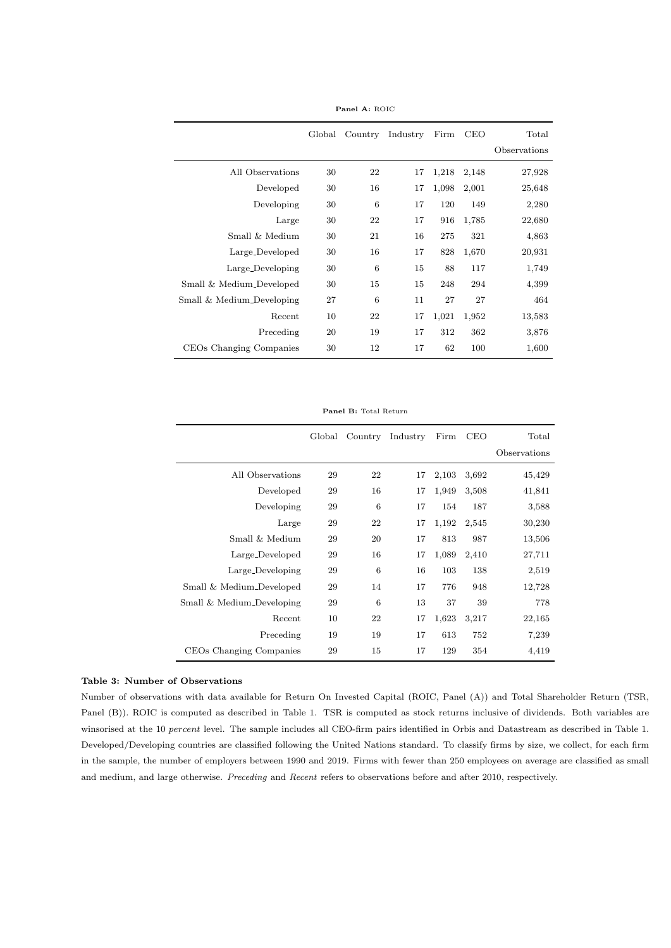|                           | Global | Country | Industry | Firm  | <b>CEO</b> | Total        |
|---------------------------|--------|---------|----------|-------|------------|--------------|
|                           |        |         |          |       |            | Observations |
| All Observations          | 30     | 22      | 17       | 1,218 | 2,148      | 27,928       |
| Developed                 | 30     | 16      | 17       | 1,098 | 2,001      | 25,648       |
| Developing                | 30     | 6       | 17       | 120   | 149        | 2,280        |
| Large                     | 30     | 22      | 17       | 916   | 1,785      | 22,680       |
| Small & Medium            | 30     | 21      | 16       | 275   | 321        | 4,863        |
| Large_Developed           | 30     | 16      | 17       | 828   | 1,670      | 20,931       |
| Large_Developing          | 30     | 6       | 15       | 88    | 117        | 1,749        |
| Small & Medium_Developed  | 30     | 15      | 15       | 248   | 294        | 4,399        |
| Small & Medium_Developing | 27     | 6       | 11       | 27    | 27         | 464          |
| Recent                    | 10     | 22      | 17       | 1,021 | 1,952      | 13,583       |
| Preceding                 | 20     | 19      | 17       | 312   | 362        | 3,876        |
| CEOs Changing Companies   | 30     | 12      | 17       | 62    | 100        | 1,600        |

Panel A: ROIC

Panel B: Total Return

|                           | Global | Country | Industry | Firm  | <b>CEO</b> | Total        |
|---------------------------|--------|---------|----------|-------|------------|--------------|
|                           |        |         |          |       |            | Observations |
| All Observations          | 29     | 22      | 17       | 2,103 | 3,692      | 45,429       |
| Developed                 | 29     | 16      | 17       | 1,949 | 3,508      | 41,841       |
| Developing                | 29     | 6       | 17       | 154   | 187        | 3,588        |
| Large                     | 29     | 22      | 17       | 1,192 | 2,545      | 30,230       |
| Small & Medium            | 29     | 20      | 17       | 813   | 987        | 13,506       |
| Large_Developed           | 29     | 16      | 17       | 1,089 | 2,410      | 27,711       |
| Large_Developing          | 29     | 6       | 16       | 103   | 138        | 2,519        |
| Small & Medium_Developed  | 29     | 14      | 17       | 776   | 948        | 12,728       |
| Small & Medium_Developing | 29     | 6       | 13       | 37    | 39         | 778          |
| Recent                    | 10     | 22      | 17       | 1,623 | 3,217      | 22,165       |
| Preceding                 | 19     | 19      | 17       | 613   | 752        | 7,239        |
| CEOs Changing Companies   | 29     | 15      | 17       | 129   | 354        | 4,419        |

#### Table 3: Number of Observations

Number of observations with data available for Return On Invested Capital (ROIC, Panel (A)) and Total Shareholder Return (TSR, Panel (B)). ROIC is computed as described in Table 1. TSR is computed as stock returns inclusive of dividends. Both variables are winsorised at the 10 percent level. The sample includes all CEO-firm pairs identified in Orbis and Datastream as described in Table 1. Developed/Developing countries are classified following the United Nations standard. To classify firms by size, we collect, for each firm in the sample, the number of employers between 1990 and 2019. Firms with fewer than 250 employees on average are classified as small and medium, and large otherwise. Preceding and Recent refers to observations before and after 2010, respectively.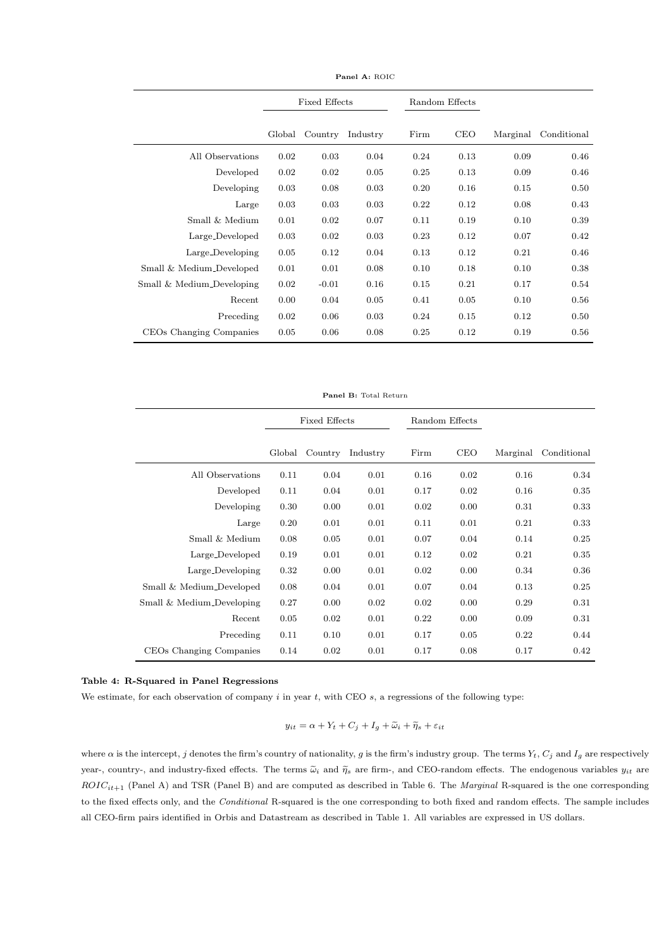|                           |        | <b>Fixed Effects</b> |          | Random Effects |            |          |             |
|---------------------------|--------|----------------------|----------|----------------|------------|----------|-------------|
|                           | Global | Country              | Industry | Firm           | <b>CEO</b> | Marginal | Conditional |
| All Observations          | 0.02   | 0.03                 | 0.04     | 0.24           | 0.13       | 0.09     | 0.46        |
| Developed                 | 0.02   | 0.02                 | 0.05     | 0.25           | 0.13       | 0.09     | 0.46        |
| Developing                | 0.03   | 0.08                 | 0.03     | 0.20           | 0.16       | 0.15     | 0.50        |
| Large                     | 0.03   | 0.03                 | 0.03     | 0.22           | 0.12       | 0.08     | 0.43        |
| Small & Medium            | 0.01   | 0.02                 | 0.07     | 0.11           | 0.19       | 0.10     | 0.39        |
| Large_Developed           | 0.03   | 0.02                 | 0.03     | 0.23           | 0.12       | 0.07     | 0.42        |
| Large_Developing          | 0.05   | 0.12                 | 0.04     | 0.13           | 0.12       | 0.21     | 0.46        |
| Small & Medium_Developed  | 0.01   | 0.01                 | 0.08     | 0.10           | 0.18       | 0.10     | 0.38        |
| Small & Medium_Developing | 0.02   | $-0.01$              | 0.16     | 0.15           | 0.21       | 0.17     | 0.54        |
| Recent                    | 0.00   | 0.04                 | 0.05     | 0.41           | 0.05       | 0.10     | 0.56        |
| Preceding                 | 0.02   | 0.06                 | 0.03     | 0.24           | 0.15       | 0.12     | 0.50        |
| CEOs Changing Companies   | 0.05   | 0.06                 | 0.08     | 0.25           | 0.12       | 0.19     | 0.56        |

Panel A: ROIC

Panel B: Total Return

|                           |        | <b>Fixed Effects</b> |          |      | Random Effects |          |             |
|---------------------------|--------|----------------------|----------|------|----------------|----------|-------------|
|                           | Global | Country              | Industry | Firm | <b>CEO</b>     | Marginal | Conditional |
| All Observations          | 0.11   | 0.04                 | 0.01     | 0.16 | 0.02           | 0.16     | 0.34        |
| Developed                 | 0.11   | 0.04                 | 0.01     | 0.17 | 0.02           | 0.16     | 0.35        |
| Developing                | 0.30   | 0.00                 | 0.01     | 0.02 | 0.00           | 0.31     | 0.33        |
| Large                     | 0.20   | 0.01                 | 0.01     | 0.11 | 0.01           | 0.21     | 0.33        |
| Small & Medium            | 0.08   | 0.05                 | 0.01     | 0.07 | 0.04           | 0.14     | 0.25        |
| Large_Developed           | 0.19   | 0.01                 | 0.01     | 0.12 | 0.02           | 0.21     | 0.35        |
| Large_Developing          | 0.32   | 0.00                 | 0.01     | 0.02 | 0.00           | 0.34     | 0.36        |
| Small & Medium_Developed  | 0.08   | 0.04                 | 0.01     | 0.07 | 0.04           | 0.13     | 0.25        |
| Small & Medium_Developing | 0.27   | 0.00                 | 0.02     | 0.02 | 0.00           | 0.29     | 0.31        |
| Recent                    | 0.05   | 0.02                 | 0.01     | 0.22 | 0.00           | 0.09     | 0.31        |
| Preceding                 | 0.11   | 0.10                 | 0.01     | 0.17 | 0.05           | 0.22     | 0.44        |
| CEOs Changing Companies   | 0.14   | 0.02                 | 0.01     | 0.17 | 0.08           | 0.17     | 0.42        |

#### Table 4: R-Squared in Panel Regressions

We estimate, for each observation of company  $i$  in year  $t$ , with CEO  $s$ , a regressions of the following type:

$$
y_{it} = \alpha + Y_t + C_j + I_g + \widetilde{\omega}_i + \widetilde{\eta}_s + \varepsilon_{it}
$$

where  $\alpha$  is the intercept, j denotes the firm's country of nationality, g is the firm's industry group. The terms  $Y_t$ ,  $C_j$  and  $I_g$  are respectively year-, country-, and industry-fixed effects. The terms  $\tilde{\omega}_i$  and  $\tilde{\eta}_s$  are firm-, and CEO-random effects. The endogenous variables  $y_{it}$  are  $ROIC_{it+1}$  (Panel A) and TSR (Panel B) and are computed as described in Table 6. The Marginal R-squared is the one corresponding to the fixed effects only, and the Conditional R-squared is the one corresponding to both fixed and random effects. The sample includes all CEO-firm pairs identified in Orbis and Datastream as described in Table 1. All variables are expressed in US dollars.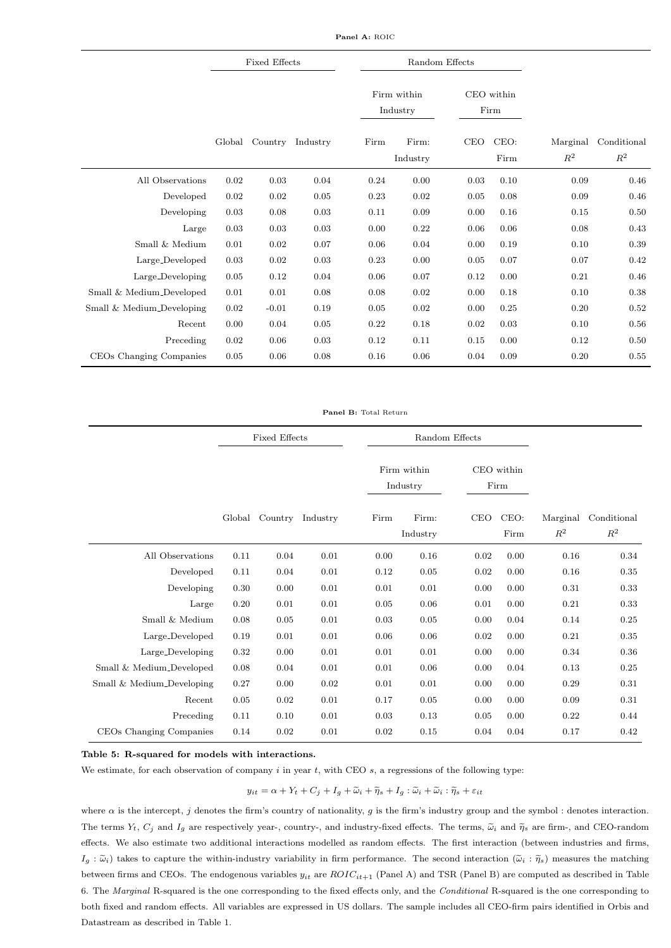Panel A: ROIC

|                           |        | <b>Fixed Effects</b> |                  |      | Random Effects          |      |                    |          |             |
|---------------------------|--------|----------------------|------------------|------|-------------------------|------|--------------------|----------|-------------|
|                           |        |                      |                  |      | Firm within<br>Industry |      | CEO within<br>Firm |          |             |
|                           |        |                      |                  |      |                         |      |                    |          |             |
|                           | Global |                      | Country Industry | Firm | Firm:                   | CEO  | CEO:               | Marginal | Conditional |
|                           |        |                      |                  |      | Industry                |      | Firm               | $R^2$    | $R^2$       |
| All Observations          | 0.02   | $\rm 0.03$           | 0.04             | 0.24 | 0.00                    | 0.03 | 0.10               | 0.09     | 0.46        |
| Developed                 | 0.02   | 0.02                 | 0.05             | 0.23 | 0.02                    | 0.05 | 0.08               | 0.09     | 0.46        |
| Developing                | 0.03   | 0.08                 | 0.03             | 0.11 | 0.09                    | 0.00 | 0.16               | 0.15     | 0.50        |
| Large                     | 0.03   | 0.03                 | $0.03\,$         | 0.00 | 0.22                    | 0.06 | 0.06               | 0.08     | 0.43        |
| Small & Medium            | 0.01   | 0.02                 | 0.07             | 0.06 | 0.04                    | 0.00 | 0.19               | 0.10     | 0.39        |
| Large_Developed           | 0.03   | 0.02                 | 0.03             | 0.23 | 0.00                    | 0.05 | 0.07               | 0.07     | 0.42        |
| Large_Developing          | 0.05   | 0.12                 | 0.04             | 0.06 | 0.07                    | 0.12 | 0.00               | 0.21     | 0.46        |
| Small & Medium_Developed  | 0.01   | 0.01                 | 0.08             | 0.08 | 0.02                    | 0.00 | 0.18               | 0.10     | 0.38        |
| Small & Medium_Developing | 0.02   | $-0.01$              | 0.19             | 0.05 | 0.02                    | 0.00 | 0.25               | 0.20     | 0.52        |
| Recent                    | 0.00   | 0.04                 | 0.05             | 0.22 | 0.18                    | 0.02 | 0.03               | 0.10     | 0.56        |
| Preceding                 | 0.02   | 0.06                 | 0.03             | 0.12 | 0.11                    | 0.15 | 0.00               | 0.12     | 0.50        |
| CEOs Changing Companies   | 0.05   | 0.06                 | 0.08             | 0.16 | 0.06                    | 0.04 | 0.09               | 0.20     | 0.55        |

#### Panel B: Total Return

|                           |        | <b>Fixed Effects</b> |          |      |                         | Random Effects |                    |                            |                      |
|---------------------------|--------|----------------------|----------|------|-------------------------|----------------|--------------------|----------------------------|----------------------|
|                           |        |                      |          |      | Firm within<br>Industry |                | CEO within<br>Firm |                            |                      |
|                           | Global | Country              | Industry | Firm | Firm:<br>Industry       | <b>CEO</b>     | CEO:<br>Firm       | Marginal<br>$\mathbb{R}^2$ | Conditional<br>$R^2$ |
| All Observations          | 0.11   | 0.04                 | 0.01     | 0.00 | 0.16                    | 0.02           | 0.00               | 0.16                       | 0.34                 |
| Developed                 | 0.11   | 0.04                 | 0.01     | 0.12 | 0.05                    | 0.02           | 0.00               | 0.16                       | 0.35                 |
| Developing                | 0.30   | 0.00                 | 0.01     | 0.01 | 0.01                    | 0.00           | 0.00               | 0.31                       | 0.33                 |
| Large                     | 0.20   | 0.01                 | 0.01     | 0.05 | 0.06                    | 0.01           | 0.00               | 0.21                       | 0.33                 |
| Small & Medium            | 0.08   | 0.05                 | 0.01     | 0.03 | 0.05                    | 0.00           | 0.04               | 0.14                       | 0.25                 |
| Large_Developed           | 0.19   | 0.01                 | 0.01     | 0.06 | 0.06                    | 0.02           | 0.00               | 0.21                       | 0.35                 |
| Large_Developing          | 0.32   | 0.00                 | 0.01     | 0.01 | 0.01                    | 0.00           | 0.00               | 0.34                       | 0.36                 |
| Small & Medium_Developed  | 0.08   | 0.04                 | 0.01     | 0.01 | 0.06                    | 0.00           | 0.04               | 0.13                       | 0.25                 |
| Small & Medium_Developing | 0.27   | 0.00                 | 0.02     | 0.01 | 0.01                    | 0.00           | 0.00               | 0.29                       | 0.31                 |
| Recent                    | 0.05   | 0.02                 | 0.01     | 0.17 | 0.05                    | 0.00           | 0.00               | 0.09                       | 0.31                 |
| Preceding                 | 0.11   | 0.10                 | 0.01     | 0.03 | 0.13                    | 0.05           | 0.00               | 0.22                       | 0.44                 |
| CEOs Changing Companies   | 0.14   | 0.02                 | 0.01     | 0.02 | 0.15                    | 0.04           | 0.04               | 0.17                       | 0.42                 |

Table 5: R-squared for models with interactions.

We estimate, for each observation of company  $i$  in year  $t$ , with CEO  $s$ , a regressions of the following type:

 $y_{it} = \alpha + Y_t + C_j + I_g + \widetilde{\omega}_i + \widetilde{\eta}_s + I_g : \widetilde{\omega}_i + \widetilde{\omega}_i : \widetilde{\eta}_s + \varepsilon_{it}$ 

where  $\alpha$  is the intercept, j denotes the firm's country of nationality, g is the firm's industry group and the symbol : denotes interaction. The terms  $Y_t$ ,  $C_j$  and  $I_q$  are respectively year-, country-, and industry-fixed effects. The terms,  $\tilde{\omega}_i$  and  $\tilde{\eta}_s$  are firm-, and CEO-random effects. We also estimate two additional interactions modelled as random effects. The first interaction (between industries and firms,  $I_q : \tilde{\omega}_i$  takes to capture the within-industry variability in firm performance. The second interaction  $(\tilde{\omega}_i : \tilde{\eta}_s)$  measures the matching between firms and CEOs. The endogenous variables  $y_{it}$  are  $ROIC_{it+1}$  (Panel A) and TSR (Panel B) are computed as described in Table 6. The Marginal R-squared is the one corresponding to the fixed effects only, and the Conditional R-squared is the one corresponding to both fixed and random effects. All variables are expressed in US dollars. The sample includes all CEO-firm pairs identified in Orbis and Datastream as described in Table 1.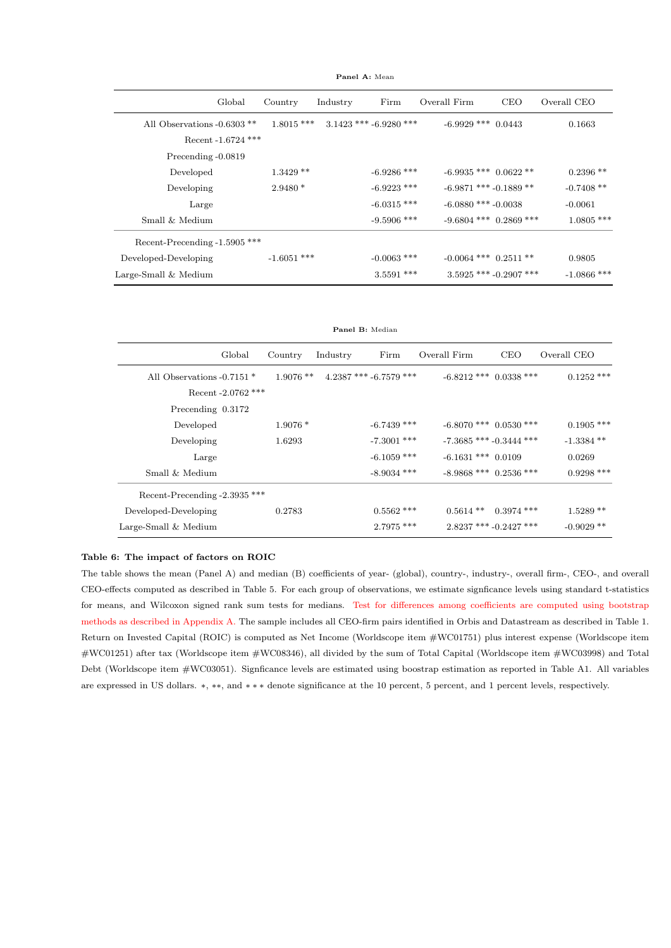Global Country Industry Firm Overall Firm CEO Overall CEO All Observations -0.6303 \*\* 1.8015 \*\*\* 3.1423 \*\*\* -6.9280 \*\*\* -6.9929 \*\*\* 0.0443 0.1663 Recent -1.6724 \*\*\* Precending -0.0819  $\text{Developed} \qquad \qquad 1.3429\text{ **} \qquad \qquad 46.9286\text{ ***} \qquad \qquad 46.9935\text{***} \qquad 0.0622\text{ **} \qquad \qquad 0.2396\text{***}$ Developing 2.9480 \* -6.9223 \*\*\* -6.9871 \*\*\* -0.1889 \*\* -0.7408 \*\* Large  $-6.0315$  \*\*\*  $-6.0880$  \*\*\*  $-0.0038$   $-0.0061$  $-9.5906$  \*\*\*  $\qquad -9.6804$  \*\*\*  $\qquad 0.2869$  \*\*\*  $\qquad \qquad 1.0805$  \*\*\* Recent-Precending -1.5905 \*\*\* Developed-Developing  $-1.6051$ \*\*\*  $-0.0063$ \*\*\*  $-0.0064$ \*\*\*  $0.2511$ \*\* 0.9805 Large-Small & Medium 3.5591 \*\*\* 3.5925 \*\*\* -0.2907 \*\*\* -1.0866 \*\*\*

Panel A: Mean

Panel B: Median

|                               | Global             | Country     | Industry | Firm                     | Overall Firm                | <b>CEO</b>               | Overall CEO  |
|-------------------------------|--------------------|-------------|----------|--------------------------|-----------------------------|--------------------------|--------------|
| All Observations -0.7151 *    |                    | $1.9076$ ** |          | $4.2387$ *** -6.7579 *** | $-6.8212$ *** 0.0338 ***    |                          | $0.1252$ *** |
|                               | Recent -2.0762 *** |             |          |                          |                             |                          |              |
| Precending 0.3172             |                    |             |          |                          |                             |                          |              |
| Developed                     |                    | $1.9076*$   |          | $-6.7439$ ***            | $-6.8070$ *** $0.0530$ ***  |                          | $0.1905$ *** |
| Developing                    |                    | 1.6293      |          | $-7.3001$ ***            | $-7.3685$ *** $-0.3444$ *** |                          | $-1.3384**$  |
| Large                         |                    |             |          | $-6.1059$ ***            | $-6.1631$ *** 0.0109        |                          | 0.0269       |
| Small & Medium                |                    |             |          | $-8.9034$ ***            | $-8.9868$ *** 0.2536 ***    |                          | $0.9298$ *** |
| Recent-Precending -2.3935 *** |                    |             |          |                          |                             |                          |              |
| Developed-Developing          |                    | 0.2783      |          | $0.5562$ ***             | $0.5614$ **                 | $0.3974$ ***             | $1.5289**$   |
| Large-Small $&$ Medium        |                    |             |          | $2.7975$ ***             |                             | $2.8237$ *** -0.2427 *** | $-0.9029**$  |
|                               |                    |             |          |                          |                             |                          |              |

#### Table 6: The impact of factors on ROIC

The table shows the mean (Panel A) and median (B) coefficients of year- (global), country-, industry-, overall firm-, CEO-, and overall CEO-effects computed as described in Table 5. For each group of observations, we estimate signficance levels using standard t-statistics for means, and Wilcoxon signed rank sum tests for medians. Test for differences among coefficients are computed using bootstrap methods as described in Appendix A. The sample includes all CEO-firm pairs identified in Orbis and Datastream as described in Table 1. Return on Invested Capital (ROIC) is computed as Net Income (Worldscope item #WC01751) plus interest expense (Worldscope item #WC01251) after tax (Worldscope item #WC08346), all divided by the sum of Total Capital (Worldscope item #WC03998) and Total Debt (Worldscope item #WC03051). Signficance levels are estimated using boostrap estimation as reported in Table A1. All variables are expressed in US dollars. ∗, ∗∗, and ∗ ∗ ∗ denote significance at the 10 percent, 5 percent, and 1 percent levels, respectively.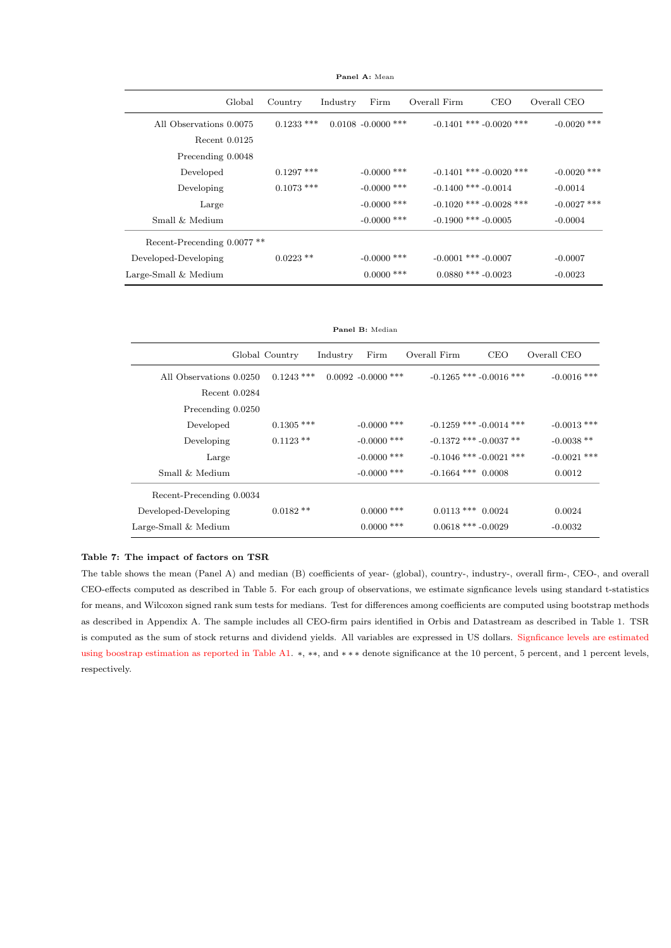| Global                                 | Country      | Industry | Firm                  | Overall Firm | <b>CEO</b>                  | Overall CEO   |
|----------------------------------------|--------------|----------|-----------------------|--------------|-----------------------------|---------------|
| All Observations 0.0075                | $0.1233$ *** |          | $0.0108 - 0.0000$ *** |              | $-0.1401$ *** $-0.0020$ *** | $-0.0020$ *** |
| Recent $0.0125$                        |              |          |                       |              |                             |               |
| Precending 0.0048                      |              |          |                       |              |                             |               |
| Developed                              | $0.1297$ *** |          | $-0.0000$ ***         |              | $-0.1401$ *** $-0.0020$ *** | $-0.0020$ *** |
| Developing                             | $0.1073$ *** |          | $-0.0000$ ***         |              | $-0.1400$ *** $-0.0014$     | $-0.0014$     |
| Large                                  |              |          | $-0.0000$ ***         |              | $-0.1020$ *** $-0.0028$ *** | $-0.0027$ *** |
| Small & Medium                         |              |          | $-0.0000$ ***         |              | $-0.1900$ *** $-0.0005$     | $-0.0004$     |
| Recent-Precending 0.0077 <sup>**</sup> |              |          |                       |              |                             |               |
| Developed-Developing                   | $0.0223$ **  |          | $-0.0000$ ***         |              | $-0.0001$ *** $-0.0007$     | $-0.0007$     |
| Large-Small & Medium                   |              |          | $0.0000$ ***          |              | $0.0880$ *** -0.0023        | $-0.0023$     |

Panel A: Mean

Panel B: Median

|                          | Global Country | Industry | Firm                  | Overall Firm           | <b>CEO</b>                  | Overall CEO   |
|--------------------------|----------------|----------|-----------------------|------------------------|-----------------------------|---------------|
| All Observations 0.0250  | $0.1243$ ***   |          | $0.0092 - 0.0000$ *** |                        | $-0.1265$ *** $-0.0016$ *** | $-0.0016$ *** |
| Recent 0.0284            |                |          |                       |                        |                             |               |
| Precending 0.0250        |                |          |                       |                        |                             |               |
| Developed                | $0.1305$ ***   |          | $-0.0000$ ***         |                        | $-0.1259$ *** $-0.0014$ *** | $-0.0013$ *** |
| Developing               | $0.1123$ **    |          | $-0.0000$ ***         |                        | $-0.1372$ *** $-0.0037$ **  | $-0.0038**$   |
| Large                    |                |          | $-0.0000$ ***         |                        | $-0.1046$ *** $-0.0021$ *** | $-0.0021$ *** |
| Small & Medium           |                |          | $-0.0000$ ***         | $-0.1664$ *** $0.0008$ |                             | 0.0012        |
| Recent-Precending 0.0034 |                |          |                       |                        |                             |               |
| Developed-Developing     | $0.0182**$     |          | $0.0000$ ***          | $0.0113$ *** $0.0024$  |                             | 0.0024        |
| Large-Small & Medium     |                |          | $0.0000$ ***          | $0.0618$ *** $-0.0029$ |                             | $-0.0032$     |

#### Table 7: The impact of factors on TSR

The table shows the mean (Panel A) and median (B) coefficients of year- (global), country-, industry-, overall firm-, CEO-, and overall CEO-effects computed as described in Table 5. For each group of observations, we estimate signficance levels using standard t-statistics for means, and Wilcoxon signed rank sum tests for medians. Test for differences among coefficients are computed using bootstrap methods as described in Appendix A. The sample includes all CEO-firm pairs identified in Orbis and Datastream as described in Table 1. TSR is computed as the sum of stock returns and dividend yields. All variables are expressed in US dollars. Signficance levels are estimated using boostrap estimation as reported in Table A1. ∗, ∗∗, and ∗ ∗ ∗ denote significance at the 10 percent, 5 percent, and 1 percent levels, respectively.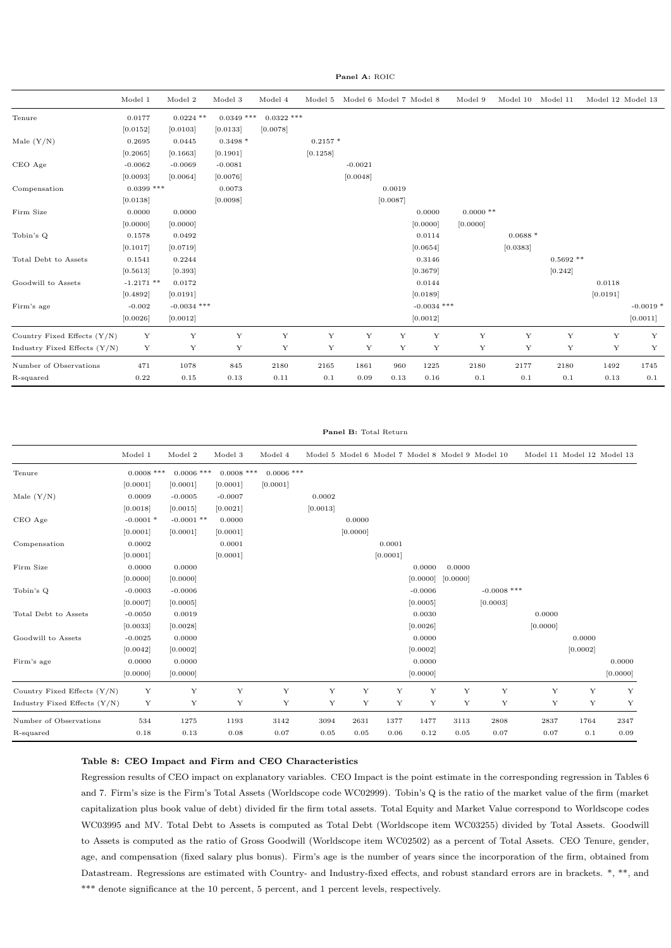Panel A: ROIC

|                                | Model 1      | Model 2       | $\textbf{Model}~3$ | Model 4      | Model 5     |           | Model 6 Model 7 Model 8 |               | Model 9     | Model 10    | Model 11   | Model 12 Model 13 |            |
|--------------------------------|--------------|---------------|--------------------|--------------|-------------|-----------|-------------------------|---------------|-------------|-------------|------------|-------------------|------------|
| Tenure                         | 0.0177       | $0.0224$ **   | $0.0349$ ***       | $0.0322$ *** |             |           |                         |               |             |             |            |                   |            |
|                                | [0.0152]     | [0.0103]      | [0.0133]           | [0.0078]     |             |           |                         |               |             |             |            |                   |            |
| Male $(Y/N)$                   | 0.2695       | 0.0445        | $0.3498*$          |              | $0.2157*$   |           |                         |               |             |             |            |                   |            |
|                                | [0.2065]     | [0.1663]      | [0.1901]           |              | [0.1258]    |           |                         |               |             |             |            |                   |            |
| CEO Age                        | $-0.0062$    | $-0.0069$     | $-0.0081$          |              |             | $-0.0021$ |                         |               |             |             |            |                   |            |
|                                | [0.0093]     | [0.0064]      | [0.0076]           |              |             | [0.0048]  |                         |               |             |             |            |                   |            |
| Compensation                   | $0.0399$ *** |               | 0.0073             |              |             |           | 0.0019                  |               |             |             |            |                   |            |
|                                | [0.0138]     |               | [0.0098]           |              |             |           | [0.0087]                |               |             |             |            |                   |            |
| Firm Size                      | 0.0000       | 0.0000        |                    |              |             |           |                         | 0.0000        | $0.0000$ ** |             |            |                   |            |
|                                | [0.0000]     | [0.0000]      |                    |              |             |           |                         | [0.0000]      | [0.0000]    |             |            |                   |            |
| Tobin's Q                      | 0.1578       | 0.0492        |                    |              |             |           |                         | 0.0114        |             | $0.0688*$   |            |                   |            |
|                                | [0.1017]     | [0.0719]      |                    |              |             |           |                         | [0.0654]      |             | [0.0383]    |            |                   |            |
| Total Debt to Assets           | 0.1541       | 0.2244        |                    |              |             |           |                         | 0.3146        |             |             | $0.5692**$ |                   |            |
|                                | [0.5613]     | [0.393]       |                    |              |             |           |                         | [0.3679]      |             |             | [0.242]    |                   |            |
| Goodwill to Assets             | $-1.2171**$  | 0.0172        |                    |              |             |           |                         | 0.0144        |             |             |            | 0.0118            |            |
|                                | [0.4892]     | [0.0191]      |                    |              |             |           |                         | [0.0189]      |             |             |            | [0.0191]          |            |
| Firm's age                     | $-0.002$     | $-0.0034$ *** |                    |              |             |           |                         | $-0.0034$ *** |             |             |            |                   | $-0.0019*$ |
|                                | [0.0026]     | [0.0012]      |                    |              |             |           |                         | [0.0012]      |             |             |            |                   | [0.0011]   |
| Country Fixed Effects (Y/N)    | Y            | Y             | Y                  | $\mathbf Y$  | $\mathbf Y$ | Y         | Y                       | Y             | Y           | $\mathbf Y$ | Y          | Y                 | Y          |
| Industry Fixed Effects $(Y/N)$ | Y            | Y             | Y                  | Y            | Y           | Y         | Y                       | Y             | Y           | Y           | Y          | $\mathbf Y$       | Y          |
| Number of Observations         | 471          | 1078          | 845                | 2180         | 2165        | 1861      | 960                     | 1225          | 2180        | 2177        | 2180       | 1492              | 1745       |
| R-squared                      | 0.22         | 0.15          | 0.13               | 0.11         | 0.1         | 0.09      | 0.13                    | 0.16          | 0.1         | 0.1         | 0.1        | 0.13              | 0.1        |

#### Panel B: Total Return

|                                | Model 1      | Model 2      | Model 3      | Model 4      |          |          |          |           | Model 5 Model 6 Model 7 Model 8 Model 9 Model 10 |               | Model 11 Model 12 Model 13 |          |          |
|--------------------------------|--------------|--------------|--------------|--------------|----------|----------|----------|-----------|--------------------------------------------------|---------------|----------------------------|----------|----------|
| Tenure                         | $0.0008$ *** | $0.0006$ *** | $0.0008$ *** | $0.0006$ *** |          |          |          |           |                                                  |               |                            |          |          |
|                                | [0.0001]     | [0.0001]     | [0.0001]     | [0.0001]     |          |          |          |           |                                                  |               |                            |          |          |
| Male $(Y/N)$                   | 0.0009       | $-0.0005$    | $-0.0007$    |              | 0.0002   |          |          |           |                                                  |               |                            |          |          |
|                                | [0.0018]     | [0.0015]     | [0.0021]     |              | [0.0013] |          |          |           |                                                  |               |                            |          |          |
| CEO Age                        | $-0.0001$ *  | $-0.0001$ ** | 0.0000       |              |          | 0.0000   |          |           |                                                  |               |                            |          |          |
|                                | [0.0001]     | [0.0001]     | [0.0001]     |              |          | [0.0000] |          |           |                                                  |               |                            |          |          |
| Compensation                   | 0.0002       |              | 0.0001       |              |          |          | 0.0001   |           |                                                  |               |                            |          |          |
|                                | [0.0001]     |              | [0.0001]     |              |          |          | [0.0001] |           |                                                  |               |                            |          |          |
| Firm Size                      | 0.0000       | 0.0000       |              |              |          |          |          | 0.0000    | 0.0000                                           |               |                            |          |          |
|                                | [0.0000]     | [0.0000]     |              |              |          |          |          | [0.0000]  | [0.0000]                                         |               |                            |          |          |
| Tobin's Q                      | $-0.0003$    | $-0.0006$    |              |              |          |          |          | $-0.0006$ |                                                  | $-0.0008$ *** |                            |          |          |
|                                | [0.0007]     | [0.0005]     |              |              |          |          |          | [0.0005]  |                                                  | [0.0003]      |                            |          |          |
| Total Debt to Assets           | $-0.0050$    | 0.0019       |              |              |          |          |          | 0.0030    |                                                  |               | 0.0000                     |          |          |
|                                | [0.0033]     | [0.0028]     |              |              |          |          |          | [0.0026]  |                                                  |               | [0.0000]                   |          |          |
| Goodwill to Assets             | $-0.0025$    | 0.0000       |              |              |          |          |          | 0.0000    |                                                  |               |                            | 0.0000   |          |
|                                | [0.0042]     | [0.0002]     |              |              |          |          |          | [0.0002]  |                                                  |               |                            | [0.0002] |          |
| Firm's age                     | 0.0000       | 0.0000       |              |              |          |          |          | 0.0000    |                                                  |               |                            |          | 0.0000   |
|                                | [0.0000]     | [0.0000]     |              |              |          |          |          | [0.0000]  |                                                  |               |                            |          | [0.0000] |
| Country Fixed Effects $(Y/N)$  | Y            | Y            | Y            | Y            | Y        | Y        | Y        | Y         | Y                                                | Y             | Y                          | Y        | Y        |
| Industry Fixed Effects $(Y/N)$ | Y            | Y            | Y            | Y            | Y        | Y        | Y        | Y         | Y                                                | Y             | Y                          | Y        | Y        |
| Number of Observations         | 534          | 1275         | 1193         | 3142         | 3094     | 2631     | 1377     | 1477      | 3113                                             | 2808          | 2837                       | 1764     | 2347     |
| R-squared                      | 0.18         | 0.13         | 0.08         | 0.07         | 0.05     | 0.05     | 0.06     | 0.12      | 0.05                                             | 0.07          | 0.07                       | 0.1      | 0.09     |

#### Table 8: CEO Impact and Firm and CEO Characteristics

Regression results of CEO impact on explanatory variables. CEO Impact is the point estimate in the corresponding regression in Tables 6 and 7. Firm's size is the Firm's Total Assets (Worldscope code WC02999). Tobin's Q is the ratio of the market value of the firm (market capitalization plus book value of debt) divided fir the firm total assets. Total Equity and Market Value correspond to Worldscope codes WC03995 and MV. Total Debt to Assets is computed as Total Debt (Worldscope item WC03255) divided by Total Assets. Goodwill to Assets is computed as the ratio of Gross Goodwill (Worldscope item WC02502) as a percent of Total Assets. CEO Tenure, gender, age, and compensation (fixed salary plus bonus). Firm's age is the number of years since the incorporation of the firm, obtained from Datastream. Regressions are estimated with Country- and Industry-fixed effects, and robust standard errors are in brackets. \*, \*\*, and \*\*\* denote significance at the 10 percent, 5 percent, and 1 percent levels, respectively.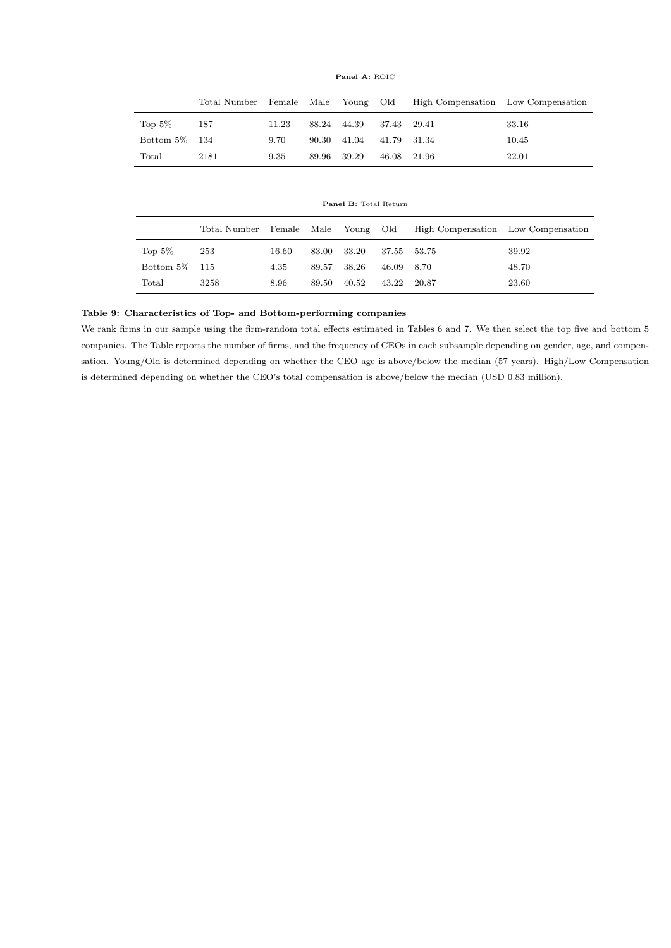|                |      |       |       |             |             | Total Number Female Male Young Old High Compensation Low Compensation |       |
|----------------|------|-------|-------|-------------|-------------|-----------------------------------------------------------------------|-------|
| Top $5\%$      | 187  | 11.23 |       | 88.24 44.39 | 37.43 29.41 |                                                                       | 33.16 |
| Bottom 5\% 134 |      | 9.70  | 90.30 | 41.04       | 41.79 31.34 |                                                                       | 10.45 |
| Total          | 2181 | 9.35  | 89.96 | 39.29       | 46.08 21.96 |                                                                       | 22.01 |

Panel A: ROIC

Panel B: Total Return

|                |      |       |       |       |             | Total Number Female Male Young Old High Compensation Low Compensation |       |
|----------------|------|-------|-------|-------|-------------|-----------------------------------------------------------------------|-------|
| Top $5\%$      | -253 | 16.60 | 83.00 | 33.20 | 37.55 53.75 |                                                                       | 39.92 |
| Bottom 5\% 115 |      | 4.35  | 89.57 | 38.26 | 46.09 8.70  |                                                                       | 48.70 |
| Total          | 3258 | 8.96  | 89.50 | 40.52 | 43.22 20.87 |                                                                       | 23.60 |

#### Table 9: Characteristics of Top- and Bottom-performing companies

We rank firms in our sample using the firm-random total effects estimated in Tables 6 and 7. We then select the top five and bottom 5 companies. The Table reports the number of firms, and the frequency of CEOs in each subsample depending on gender, age, and compensation. Young/Old is determined depending on whether the CEO age is above/below the median (57 years). High/Low Compensation is determined depending on whether the CEO's total compensation is above/below the median (USD 0.83 million).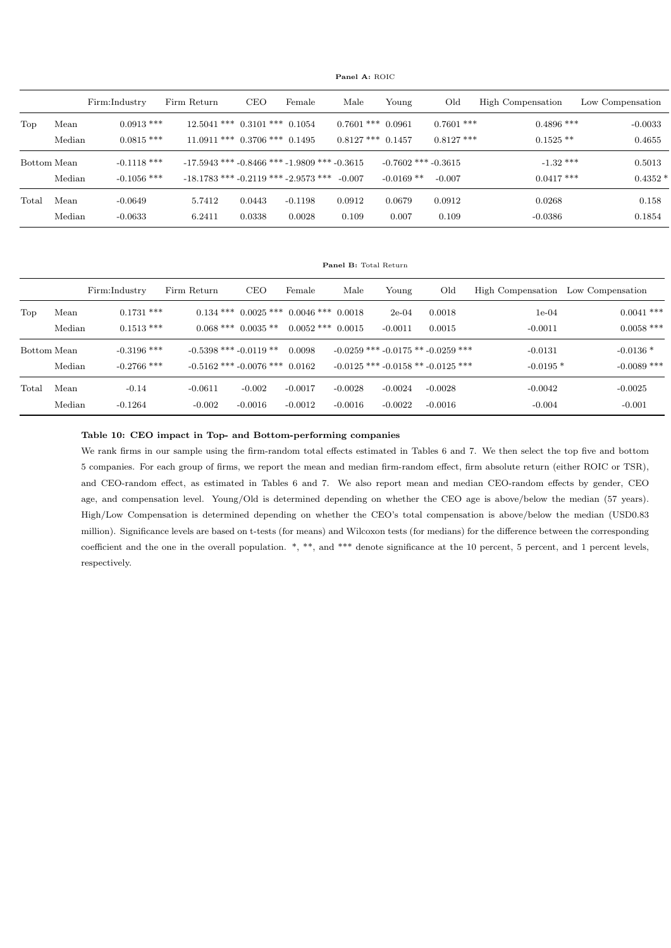Panel A: ROIC

|             |        | Firm:Industry | Firm Return                                          | <b>CEO</b> | Female    | Male                  | Young                   | Old          | High Compensation | Low Compensation |
|-------------|--------|---------------|------------------------------------------------------|------------|-----------|-----------------------|-------------------------|--------------|-------------------|------------------|
| Top         | Mean   | $0.0913$ ***  | $12.5041$ *** $0.3101$ *** $0.1054$                  |            |           | $0.7601$ *** $0.0961$ |                         | $0.7601$ *** | $0.4896$ ***      | $-0.0033$        |
|             | Median | $0.0815$ ***  | $11.0911$ *** $0.3706$ *** $0.1495$                  |            |           | $0.8127$ *** $0.1457$ |                         | $0.8127$ *** | $0.1525**$        | 0.4655           |
| Bottom Mean |        | $-0.1118$ *** | $-17.5943$ *** $-0.8466$ *** $-1.9809$ *** $-0.3615$ |            |           |                       | $-0.7602$ *** $-0.3615$ |              | $-1.32$ ***       | 0.5013           |
|             | Median | $-0.1056$ *** | $-18.1783$ *** $-0.2119$ *** $-2.9573$ ***           |            |           | $-0.007$              | $-0.0169$ **            | $-0.007$     | $0.0417$ ***      | $0.4352*$        |
| Total       | Mean   | $-0.0649$     | 5.7412                                               | 0.0443     | $-0.1198$ | 0.0912                | 0.0679                  | 0.0912       | 0.0268            | 0.158            |
|             | Median | $-0.0633$     | 6.2411                                               | 0.0338     | 0.0028    | 0.109                 | 0.007                   | 0.109        | $-0.0386$         | 0.1854           |

Panel B: Total Return

|             |                | Firm:Industry                  | Firm Return                | <b>CEO</b>                                                        | Female                 | Male                   | Young                  | Old                                                                                  | High Compensation       | Low Compensation             |
|-------------|----------------|--------------------------------|----------------------------|-------------------------------------------------------------------|------------------------|------------------------|------------------------|--------------------------------------------------------------------------------------|-------------------------|------------------------------|
| Top         | Mean<br>Median | $0.1731$ ***<br>$0.1513$ ***   |                            | $0.134***$ $0.0025***$ $0.0046***$ $0.0018$<br>$0.068***0.0035**$ | $0.0052$ ***           | 0.0015                 | $2e-04$<br>$-0.0011$   | 0.0018<br>0.0015                                                                     | $1e-04$<br>$-0.0011$    | $0.0041$ ***<br>$0.0058$ *** |
| Bottom Mean | Median         | $-0.3196$ ***<br>$-0.2766$ *** | $-0.5398$ *** $-0.0119$ ** | $-0.5162$ *** $-0.0076$ *** $0.0162$                              | 0.0098                 |                        |                        | $-0.0259$ *** $-0.0175$ ** $-0.0259$ ***<br>$-0.0125$ *** $-0.0158$ ** $-0.0125$ *** | $-0.0131$<br>$-0.0195*$ | $-0.0136*$<br>$-0.0089$ ***  |
| Total       | Mean<br>Median | $-0.14$<br>$-0.1264$           | $-0.0611$<br>$-0.002$      | $-0.002$<br>$-0.0016$                                             | $-0.0017$<br>$-0.0012$ | $-0.0028$<br>$-0.0016$ | $-0.0024$<br>$-0.0022$ | $-0.0028$<br>$-0.0016$                                                               | $-0.0042$<br>$-0.004$   | $-0.0025$<br>$-0.001$        |

Table 10: CEO impact in Top- and Bottom-performing companies

We rank firms in our sample using the firm-random total effects estimated in Tables 6 and 7. We then select the top five and bottom 5 companies. For each group of firms, we report the mean and median firm-random effect, firm absolute return (either ROIC or TSR), and CEO-random effect, as estimated in Tables 6 and 7. We also report mean and median CEO-random effects by gender, CEO age, and compensation level. Young/Old is determined depending on whether the CEO age is above/below the median (57 years). High/Low Compensation is determined depending on whether the CEO's total compensation is above/below the median (USD0.83 million). Significance levels are based on t-tests (for means) and Wilcoxon tests (for medians) for the difference between the corresponding coefficient and the one in the overall population. \*, \*\*, and \*\*\* denote significance at the 10 percent, 5 percent, and 1 percent levels, respectively.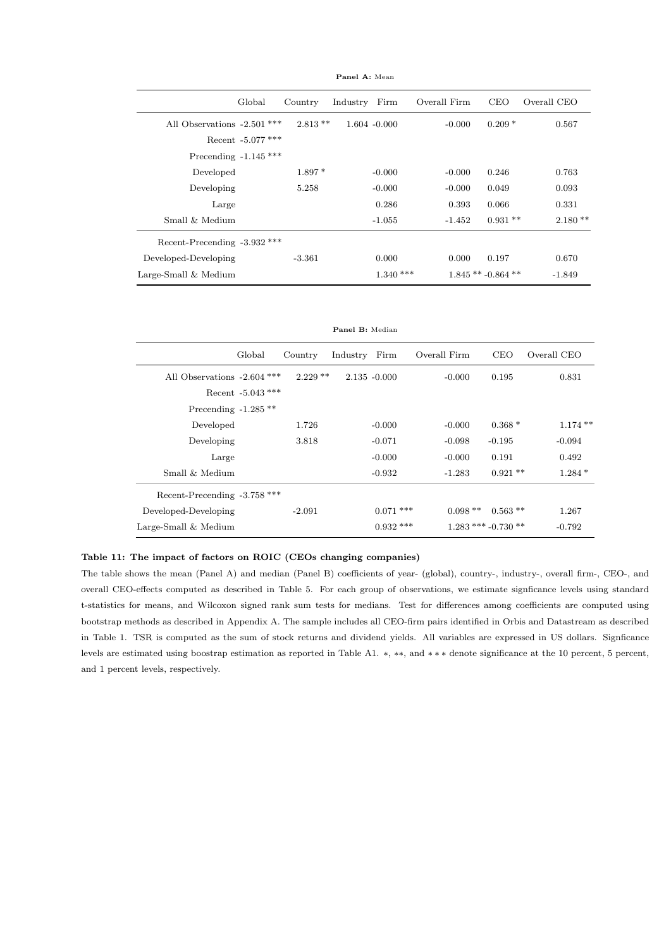|                               | Global              | Country   | Industry        | Firm       | Overall Firm | <b>CEO</b>        | Overall CEO |
|-------------------------------|---------------------|-----------|-----------------|------------|--------------|-------------------|-------------|
| All Observations $-2.501$ *** |                     | $2.813**$ | $1.604 - 0.000$ |            | $-0.000$     | $0.209*$          | 0.567       |
|                               | Recent $-5.077$ *** |           |                 |            |              |                   |             |
| Precending $-1.145$ ***       |                     |           |                 |            |              |                   |             |
| Developed                     |                     | $1.897*$  |                 | $-0.000$   | $-0.000$     | 0.246             | 0.763       |
| Developing                    |                     | 5.258     |                 | $-0.000$   | $-0.000$     | 0.049             | 0.093       |
| Large                         |                     |           |                 | 0.286      | 0.393        | 0.066             | 0.331       |
| Small & Medium                |                     |           |                 | $-1.055$   | $-1.452$     | $0.931**$         | $2.180**$   |
| Recent-Precending -3.932 ***  |                     |           |                 |            |              |                   |             |
| Developed-Developing          |                     | $-3.361$  |                 | 0.000      | 0.000        | 0.197             | 0.670       |
| Large-Small $&$ Medium        |                     |           |                 | $1.340***$ |              | $1.845**-0.864**$ | $-1.849$    |

Panel A: Mean

|                                          | Global              | Country    | Industry | Firm            | Overall Firm | <b>CEO</b>            | Overall CEO |
|------------------------------------------|---------------------|------------|----------|-----------------|--------------|-----------------------|-------------|
| All Observations $-2.604$ <sup>***</sup> |                     | $2.229$ ** |          | $2.135 - 0.000$ | $-0.000$     | 0.195                 | 0.831       |
|                                          | Recent $-5.043$ *** |            |          |                 |              |                       |             |
| Precending $-1.285**$                    |                     |            |          |                 |              |                       |             |
| Developed                                |                     | 1.726      |          | $-0.000$        | $-0.000$     | $0.368*$              | $1.174**$   |
| Developing                               |                     | 3.818      |          | $-0.071$        | $-0.098$     | $-0.195$              | $-0.094$    |
| Large                                    |                     |            |          | $-0.000$        | $-0.000$     | 0.191                 | 0.492       |
| Small & Medium                           |                     |            |          | $-0.932$        | $-1.283$     | $0.921$ **            | $1.284*$    |
| Recent-Precending -3.758 ***             |                     |            |          |                 |              |                       |             |
| Developed-Developing                     |                     | $-2.091$   |          | $0.071$ ***     | $0.098**$    | $0.563**$             | 1.267       |
| Large-Small & Medium                     |                     |            |          | $0.932$ ***     |              | $1.283$ *** -0.730 ** | $-0.792$    |
|                                          |                     |            |          |                 |              |                       |             |

#### Table 11: The impact of factors on ROIC (CEOs changing companies)

The table shows the mean (Panel A) and median (Panel B) coefficients of year- (global), country-, industry-, overall firm-, CEO-, and overall CEO-effects computed as described in Table 5. For each group of observations, we estimate signficance levels using standard t-statistics for means, and Wilcoxon signed rank sum tests for medians. Test for differences among coefficients are computed using bootstrap methods as described in Appendix A. The sample includes all CEO-firm pairs identified in Orbis and Datastream as described in Table 1. TSR is computed as the sum of stock returns and dividend yields. All variables are expressed in US dollars. Signficance levels are estimated using boostrap estimation as reported in Table A1. ∗, ∗∗, and ∗ ∗ ∗ denote significance at the 10 percent, 5 percent, and 1 percent levels, respectively.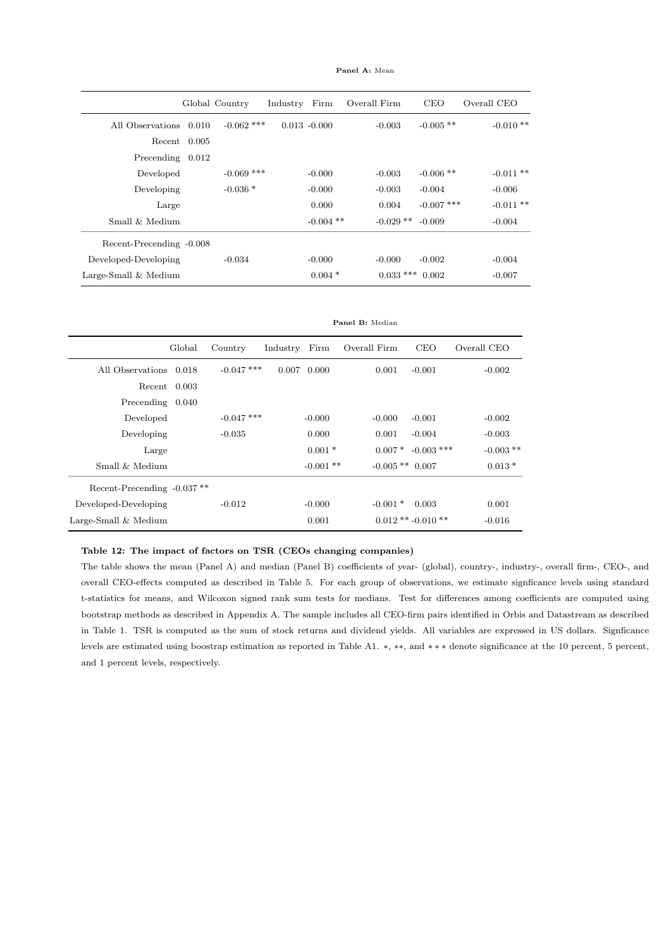| Panel A: Mean |  |  |
|---------------|--|--|
|               |  |  |

|                          |                | Global Country | Industry | Firm            | Overall Firm | <b>CEO</b>   | Overall CEO |
|--------------------------|----------------|----------------|----------|-----------------|--------------|--------------|-------------|
| All Observations 0.010   |                | $-0.062$ ***   |          | $0.013 - 0.000$ | $-0.003$     | $-0.005$ **  | $-0.010**$  |
|                          | $Recent$ 0.005 |                |          |                 |              |              |             |
| Precending 0.012         |                |                |          |                 |              |              |             |
| Developed                |                | $-0.069$ ***   |          | $-0.000$        | $-0.003$     | $-0.006$ **  | $-0.011**$  |
| Developing               |                | $-0.036*$      |          | $-0.000$        | $-0.003$     | $-0.004$     | $-0.006$    |
| Large                    |                |                |          | 0.000           | 0.004        | $-0.007$ *** | $-0.011**$  |
| Small & Medium           |                |                |          | $-0.004$ **     | $-0.029$ **  | $-0.009$     | $-0.004$    |
| Recent-Precending -0.008 |                |                |          |                 |              |              |             |
| Developed-Developing     |                | $-0.034$       |          | $-0.000$        | $-0.000$     | $-0.002$     | $-0.004$    |
| Large-Small & Medium     |                |                |          | $0.004*$        | $0.033$ ***  | 0.002        | $-0.007$    |

|                                        |        |              |          |             | Panel B: Median     |                        |             |
|----------------------------------------|--------|--------------|----------|-------------|---------------------|------------------------|-------------|
|                                        | Global | Country      | Industry | Firm        | Overall Firm        | <b>CEO</b>             | Overall CEO |
| All Observations                       | 0.018  | $-0.047$ *** | 0.007    | 0.000       | 0.001               | $-0.001$               | $-0.002$    |
| Recent 0.003                           |        |              |          |             |                     |                        |             |
| Precending 0.040                       |        |              |          |             |                     |                        |             |
| Developed                              |        | $-0.047$ *** |          | $-0.000$    | $-0.000$            | $-0.001$               | $-0.002$    |
| Developing                             |        | $-0.035$     |          | 0.000       | 0.001               | $-0.004$               | $-0.003$    |
| Large                                  |        |              |          | $0.001*$    | $0.007*$            | $-0.003$ ***           | $-0.003$ ** |
| Small $\&$ Medium                      |        |              |          | $-0.001$ ** | $-0.005$ ** $0.007$ |                        | $0.013*$    |
| Recent-Precending -0.037 <sup>**</sup> |        |              |          |             |                     |                        |             |
| Developed-Developing                   |        | $-0.012$     |          | $-0.000$    | $-0.001*$           | 0.003                  | 0.001       |
| Large-Small & Medium                   |        |              |          | 0.001       |                     | $0.012$ ** $-0.010$ ** | $-0.016$    |

#### Table 12: The impact of factors on TSR (CEOs changing companies)

The table shows the mean (Panel A) and median (Panel B) coefficients of year- (global), country-, industry-, overall firm-, CEO-, and overall CEO-effects computed as described in Table 5. For each group of observations, we estimate signficance levels using standard t-statistics for means, and Wilcoxon signed rank sum tests for medians. Test for differences among coefficients are computed using bootstrap methods as described in Appendix A. The sample includes all CEO-firm pairs identified in Orbis and Datastream as described in Table 1. TSR is computed as the sum of stock returns and dividend yields. All variables are expressed in US dollars. Signficance levels are estimated using boostrap estimation as reported in Table A1. ∗, ∗∗, and ∗ ∗ ∗ denote significance at the 10 percent, 5 percent, and 1 percent levels, respectively.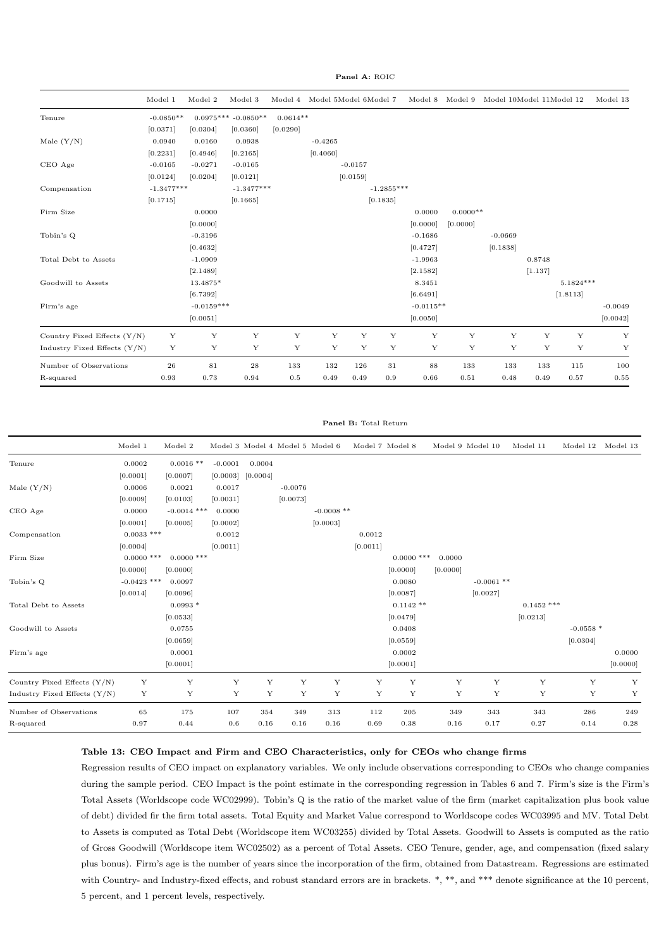Panel A: ROIC

|                                | Model 1      | Model 2      | Model 3               |            | Model 4 Model 5Model 6Model 7 |           |              | Model 8     | Model 9    | Model 10Model 11Model 12 |         |           | Model 13  |
|--------------------------------|--------------|--------------|-----------------------|------------|-------------------------------|-----------|--------------|-------------|------------|--------------------------|---------|-----------|-----------|
| Tenure                         | $-0.0850**$  |              | $0.0975***$ -0.0850** | $0.0614**$ |                               |           |              |             |            |                          |         |           |           |
|                                | [0.0371]     | [0.0304]     | [0.0360]              | [0.0290]   |                               |           |              |             |            |                          |         |           |           |
| Male $(Y/N)$                   | 0.0940       | 0.0160       | 0.0938                |            | $-0.4265$                     |           |              |             |            |                          |         |           |           |
|                                | [0.2231]     | [0.4946]     | [0.2165]              |            | [0.4060]                      |           |              |             |            |                          |         |           |           |
| CEO Age                        | $-0.0165$    | $-0.0271$    | $-0.0165$             |            |                               | $-0.0157$ |              |             |            |                          |         |           |           |
|                                | [0.0124]     | [0.0204]     | [0.0121]              |            |                               | [0.0159]  |              |             |            |                          |         |           |           |
| Compensation                   | $-1.3477***$ |              | $-1.3477***$          |            |                               |           | $-1.2855***$ |             |            |                          |         |           |           |
|                                | [0.1715]     |              | [0.1665]              |            |                               |           | [0.1835]     |             |            |                          |         |           |           |
| Firm Size                      |              | 0.0000       |                       |            |                               |           |              | 0.0000      | $0.0000**$ |                          |         |           |           |
|                                |              | [0.0000]     |                       |            |                               |           |              | [0.0000]    | [0.0000]   |                          |         |           |           |
| Tobin's Q                      |              | $-0.3196$    |                       |            |                               |           |              | $-0.1686$   |            | $-0.0669$                |         |           |           |
|                                |              | [0.4632]     |                       |            |                               |           |              | [0.4727]    |            | [0.1838]                 |         |           |           |
| Total Debt to Assets           |              | $-1.0909$    |                       |            |                               |           |              | $-1.9963$   |            |                          | 0.8748  |           |           |
|                                |              | [2.1489]     |                       |            |                               |           |              | [2.1582]    |            |                          | [1.137] |           |           |
| Goodwill to Assets             |              | 13.4875*     |                       |            |                               |           |              | 8.3451      |            |                          |         | 5.1824*** |           |
|                                |              | [6.7392]     |                       |            |                               |           |              | [6.6491]    |            |                          |         | [1.8113]  |           |
| Firm's age                     |              | $-0.0159***$ |                       |            |                               |           |              | $-0.0115**$ |            |                          |         |           | $-0.0049$ |
|                                |              | [0.0051]     |                       |            |                               |           |              | [0.0050]    |            |                          |         |           | [0.0042]  |
| Country Fixed Effects $(Y/N)$  | Y            | Y            | Y                     | Y          | Y                             | Y         | Y            | Y           | Y          | Y                        | Y       | Y         | Y         |
| Industry Fixed Effects $(Y/N)$ | Y            | Υ            | Y                     | Y          | Υ                             | Υ         | Y            | Y           | Y          | Y                        | Y       | Y         | Y         |
| Number of Observations         | 26           | 81           | $\bf 28$              | 133        | 132                           | 126       | 31           | 88          | 133        | 133                      | 133     | 115       | 100       |
| R-squared                      | 0.93         | 0.73         | 0.94                  | 0.5        | 0.49                          | 0.49      | 0.9          | 0.66        | 0.51       | 0.48                     | 0.49    | 0.57      | 0.55      |

#### Panel B: Total Return

|                              | Model 1       | Model 2       |           |          |           | Model 3 Model 4 Model 5 Model 6 |          | Model 7 Model 8 |          | Model 9 Model 10 | Model 11     | Model 12   | Model 13 |
|------------------------------|---------------|---------------|-----------|----------|-----------|---------------------------------|----------|-----------------|----------|------------------|--------------|------------|----------|
| Tenure                       | 0.0002        | $0.0016$ **   | $-0.0001$ | 0.0004   |           |                                 |          |                 |          |                  |              |            |          |
|                              | [0.0001]      | [0.0007]      | [0.0003]  | [0.0004] |           |                                 |          |                 |          |                  |              |            |          |
| Male $(Y/N)$                 | 0.0006        | 0.0021        | 0.0017    |          | $-0.0076$ |                                 |          |                 |          |                  |              |            |          |
|                              | [0.0009]      | [0.0103]      | [0.0031]  |          | [0.0073]  |                                 |          |                 |          |                  |              |            |          |
| CEO Age                      | 0.0000        | $-0.0014$ *** | 0.0000    |          |           | $-0.0008$ **                    |          |                 |          |                  |              |            |          |
|                              | [0.0001]      | [0.0005]      | [0.0002]  |          |           | [0.0003]                        |          |                 |          |                  |              |            |          |
| Compensation                 | $0.0033$ ***  |               | 0.0012    |          |           |                                 | 0.0012   |                 |          |                  |              |            |          |
|                              | [0.0004]      |               | [0.0011]  |          |           |                                 | [0.0011] |                 |          |                  |              |            |          |
| Firm Size                    | $0.0000$ ***  | $0.0000$ ***  |           |          |           |                                 |          | $0.0000$ ***    | 0.0000   |                  |              |            |          |
|                              | [0.0000]      | [0.0000]      |           |          |           |                                 |          | [0.0000]        | [0.0000] |                  |              |            |          |
| Tobin's Q                    | $-0.0423$ *** | 0.0097        |           |          |           |                                 |          | 0.0080          |          | $-0.0061$ **     |              |            |          |
|                              | [0.0014]      | [0.0096]      |           |          |           |                                 |          | [0.0087]        |          | [0.0027]         |              |            |          |
| Total Debt to Assets         |               | $0.0993*$     |           |          |           |                                 |          | $0.1142**$      |          |                  | $0.1452$ *** |            |          |
|                              |               | [0.0533]      |           |          |           |                                 |          | [0.0479]        |          |                  | [0.0213]     |            |          |
| Goodwill to Assets           |               | 0.0755        |           |          |           |                                 |          | 0.0408          |          |                  |              | $-0.0558*$ |          |
|                              |               | [0.0659]      |           |          |           |                                 |          | [0.0559]        |          |                  |              | [0.0304]   |          |
| Firm's age                   |               | 0.0001        |           |          |           |                                 |          | 0.0002          |          |                  |              |            | 0.0000   |
|                              |               | [0.0001]      |           |          |           |                                 |          | [0.0001]        |          |                  |              |            | [0.0000] |
| Country Fixed Effects (Y/N)  | Y             | Y             | Y         | Y        | Y         | Y                               | Y        | Y               | Y        | Y                | Y            | Y          | Y        |
| Industry Fixed Effects (Y/N) | Y             | Y             | Y         | Y        | Y         | Y                               | Y        | Y               | Y        | Y                | Y            | Y          | Y        |
| Number of Observations       | 65            | 175           | 107       | 354      | 349       | 313                             | 112      | 205             | 349      | 343              | 343          | 286        | 249      |
| R-squared                    | 0.97          | 0.44          | 0.6       | 0.16     | 0.16      | 0.16                            | 0.69     | 0.38            | 0.16     | 0.17             | 0.27         | 0.14       | 0.28     |

#### Table 13: CEO Impact and Firm and CEO Characteristics, only for CEOs who change firms

Regression results of CEO impact on explanatory variables. We only include observations corresponding to CEOs who change companies during the sample period. CEO Impact is the point estimate in the corresponding regression in Tables 6 and 7. Firm's size is the Firm's Total Assets (Worldscope code WC02999). Tobin's Q is the ratio of the market value of the firm (market capitalization plus book value of debt) divided fir the firm total assets. Total Equity and Market Value correspond to Worldscope codes WC03995 and MV. Total Debt to Assets is computed as Total Debt (Worldscope item WC03255) divided by Total Assets. Goodwill to Assets is computed as the ratio of Gross Goodwill (Worldscope item WC02502) as a percent of Total Assets. CEO Tenure, gender, age, and compensation (fixed salary plus bonus). Firm's age is the number of years since the incorporation of the firm, obtained from Datastream. Regressions are estimated with Country- and Industry-fixed effects, and robust standard errors are in brackets.  $*, **$ , and  $***$  denote significance at the 10 percent, 5 percent, and 1 percent levels, respectively.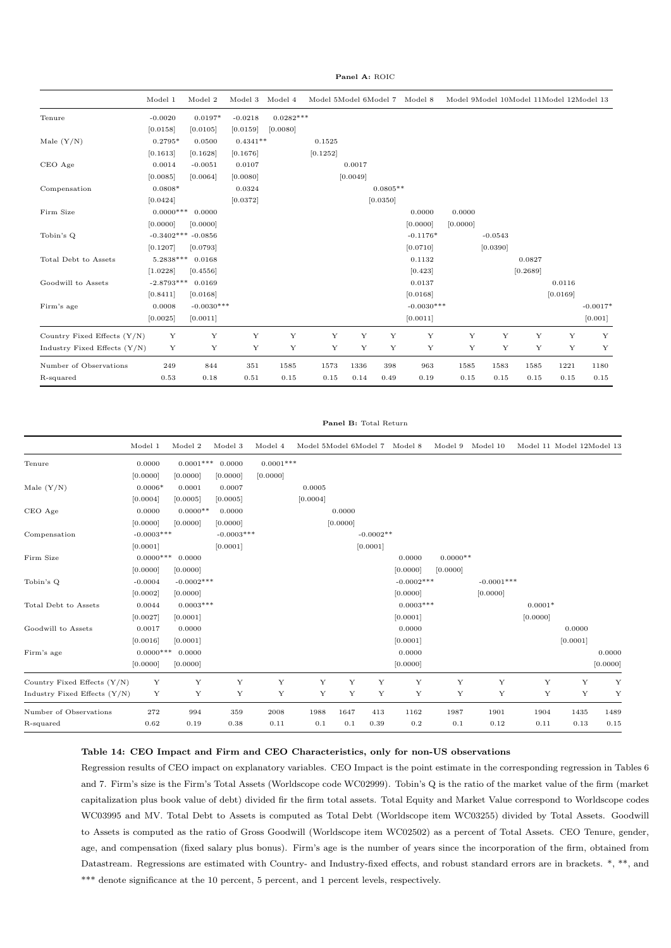Panel A: ROIC

|                                | Model 1              | Model 2      | Model 3     | Model 4     | Model 5Model 6Model 7 |             |             | Model 8      |             | Model 9Model 10Model 11Model 12Model 13 |             |          |             |
|--------------------------------|----------------------|--------------|-------------|-------------|-----------------------|-------------|-------------|--------------|-------------|-----------------------------------------|-------------|----------|-------------|
| Tenure                         | $-0.0020$            | $0.0197*$    | $-0.0218$   | $0.0282***$ |                       |             |             |              |             |                                         |             |          |             |
|                                | [0.0158]             | [0.0105]     | [0.0159]    | [0.0080]    |                       |             |             |              |             |                                         |             |          |             |
| Male $(Y/N)$                   | $0.2795*$            | 0.0500       | $0.4341**$  |             | 0.1525                |             |             |              |             |                                         |             |          |             |
|                                | [0.1613]             | [0.1628]     | [0.1676]    |             | [0.1252]              |             |             |              |             |                                         |             |          |             |
| CEO Age                        | 0.0014               | $-0.0051$    | 0.0107      |             |                       | 0.0017      |             |              |             |                                         |             |          |             |
|                                | [0.0085]             | [0.0064]     | [0.0080]    |             |                       | [0.0049]    |             |              |             |                                         |             |          |             |
| Compensation                   | $0.0808*$            |              | 0.0324      |             |                       |             | $0.0805**$  |              |             |                                         |             |          |             |
|                                | [0.0424]             |              | [0.0372]    |             |                       |             | [0.0350]    |              |             |                                         |             |          |             |
| Firm Size                      | $0.0000***$          | 0.0000       |             |             |                       |             |             | 0.0000       | 0.0000      |                                         |             |          |             |
|                                | [0.0000]             | [0.0000]     |             |             |                       |             |             | [0.0000]     | [0.0000]    |                                         |             |          |             |
| Tobin's Q                      | $-0.3402*** -0.0856$ |              |             |             |                       |             |             | $-0.1176*$   |             | $-0.0543$                               |             |          |             |
|                                | [0.1207]             | [0.0793]     |             |             |                       |             |             | [0.0710]     |             | [0.0390]                                |             |          |             |
| Total Debt to Assets           | $5.2838***$          | 0.0168       |             |             |                       |             |             | 0.1132       |             |                                         | 0.0827      |          |             |
|                                | [1.0228]             | [0.4556]     |             |             |                       |             |             | [0.423]      |             |                                         | [0.2689]    |          |             |
| Goodwill to Assets             | $-2.8793***$         | 0.0169       |             |             |                       |             |             | 0.0137       |             |                                         |             | 0.0116   |             |
|                                | [0.8411]             | [0.0168]     |             |             |                       |             |             | [0.0168]     |             |                                         |             | [0.0169] |             |
| Firm's age                     | 0.0008               | $-0.0030***$ |             |             |                       |             |             | $-0.0030***$ |             |                                         |             |          | $-0.0017*$  |
|                                | [0.0025]             | [0.0011]     |             |             |                       |             |             | [0.0011]     |             |                                         |             |          | [0.001]     |
| Country Fixed Effects (Y/N)    | $\mathbf Y$          | Y            | $\mathbf Y$ | $\mathbf Y$ | $\mathbf Y$           | $\mathbf Y$ | $\mathbf Y$ | $\mathbf Y$  | $\mathbf Y$ | $\mathbf Y$                             | $\mathbf Y$ | Y        | $\mathbf Y$ |
| Industry Fixed Effects $(Y/N)$ | Y                    | Y            | Y           | Y           | Y                     | Y           | Y           | Y            | Y           | Y                                       | Y           | Y        | Y           |
| Number of Observations         | 249                  | 844          | $351\,$     | 1585        | 1573                  | 1336        | 398         | 963          | 1585        | 1583                                    | 1585        | 1221     | 1180        |
| R-squared                      | 0.53                 | 0.18         | 0.51        | 0.15        | 0.15                  | 0.14        | 0.49        | 0.19         | 0.15        | 0.15                                    | 0.15        | 0.15     | 0.15        |

#### Panel B: Total Return

|                                | Model 1      | Model 2      | Model 3      | Model 4     |          |          | Model 5Model 6Model 7 Model 8 |              | Model 9    | Model 10     |             | Model 11 Model 12Model 13 |          |
|--------------------------------|--------------|--------------|--------------|-------------|----------|----------|-------------------------------|--------------|------------|--------------|-------------|---------------------------|----------|
| Tenure                         | 0.0000       | $0.0001***$  | 0.0000       | $0.0001***$ |          |          |                               |              |            |              |             |                           |          |
|                                | [0.0000]     | [0.0000]     | [0.0000]     | [0.0000]    |          |          |                               |              |            |              |             |                           |          |
| Male $(Y/N)$                   | $0.0006*$    | 0.0001       | 0.0007       |             | 0.0005   |          |                               |              |            |              |             |                           |          |
|                                | [0.0004]     | [0.0005]     | [0.0005]     |             | [0.0004] |          |                               |              |            |              |             |                           |          |
| CEO Age                        | 0.0000       | $0.0000**$   | 0.0000       |             |          | 0.0000   |                               |              |            |              |             |                           |          |
|                                | [0.0000]     | [0.0000]     | [0.0000]     |             |          | [0.0000] |                               |              |            |              |             |                           |          |
| Compensation                   | $-0.0003***$ |              | $-0.0003***$ |             |          |          | $-0.0002**$                   |              |            |              |             |                           |          |
|                                | [0.0001]     |              | [0.0001]     |             |          |          | [0.0001]                      |              |            |              |             |                           |          |
| Firm Size                      | $0.0000***$  | 0.0000       |              |             |          |          |                               | 0.0000       | $0.0000**$ |              |             |                           |          |
|                                | [0.0000]     | [0.0000]     |              |             |          |          |                               | [0.0000]     | [0.0000]   |              |             |                           |          |
| Tobin's Q                      | $-0.0004$    | $-0.0002***$ |              |             |          |          |                               | $-0.0002***$ |            | $-0.0001***$ |             |                           |          |
|                                | [0.0002]     | [0.0000]     |              |             |          |          |                               | [0.0000]     |            | [0.0000]     |             |                           |          |
| Total Debt to Assets           | 0.0044       | $0.0003***$  |              |             |          |          |                               | $0.0003***$  |            |              | $0.0001*$   |                           |          |
|                                | [0.0027]     | [0.0001]     |              |             |          |          |                               | [0.0001]     |            |              | [0.0000]    |                           |          |
| Goodwill to Assets             | 0.0017       | 0.0000       |              |             |          |          |                               | 0.0000       |            |              |             | 0.0000                    |          |
|                                | [0.0016]     | [0.0001]     |              |             |          |          |                               | [0.0001]     |            |              |             | [0.0001]                  |          |
| Firm's age                     | $0.0000***$  | 0.0000       |              |             |          |          |                               | 0.0000       |            |              |             |                           | 0.0000   |
|                                | [0.0000]     | [0.0000]     |              |             |          |          |                               | [0.0000]     |            |              |             |                           | [0.0000] |
| Country Fixed Effects (Y/N)    | Y            | Y            | Y            | Y           | Y        | Y        | Y                             | Y            | Y          | Y            | $\mathbf Y$ | Y                         | Y        |
| Industry Fixed Effects $(Y/N)$ | Y            | Y            | Y            | Y           | Y        | Y        | Y                             | Υ            | Y          | Y            | $\mathbf Y$ | Y                         | Y        |
| Number of Observations         | 272          | 994          | 359          | 2008        | 1988     | 1647     | 413                           | 1162         | 1987       | 1901         | 1904        | 1435                      | 1489     |
| R-squared                      | 0.62         | 0.19         | 0.38         | 0.11        | 0.1      | 0.1      | 0.39                          | 0.2          | 0.1        | 0.12         | 0.11        | 0.13                      | 0.15     |

#### Table 14: CEO Impact and Firm and CEO Characteristics, only for non-US observations

Regression results of CEO impact on explanatory variables. CEO Impact is the point estimate in the corresponding regression in Tables 6 and 7. Firm's size is the Firm's Total Assets (Worldscope code WC02999). Tobin's Q is the ratio of the market value of the firm (market capitalization plus book value of debt) divided fir the firm total assets. Total Equity and Market Value correspond to Worldscope codes WC03995 and MV. Total Debt to Assets is computed as Total Debt (Worldscope item WC03255) divided by Total Assets. Goodwill to Assets is computed as the ratio of Gross Goodwill (Worldscope item WC02502) as a percent of Total Assets. CEO Tenure, gender, age, and compensation (fixed salary plus bonus). Firm's age is the number of years since the incorporation of the firm, obtained from Datastream. Regressions are estimated with Country- and Industry-fixed effects, and robust standard errors are in brackets. \*, \*\*, and \*\*\* denote significance at the 10 percent, 5 percent, and 1 percent levels, respectively.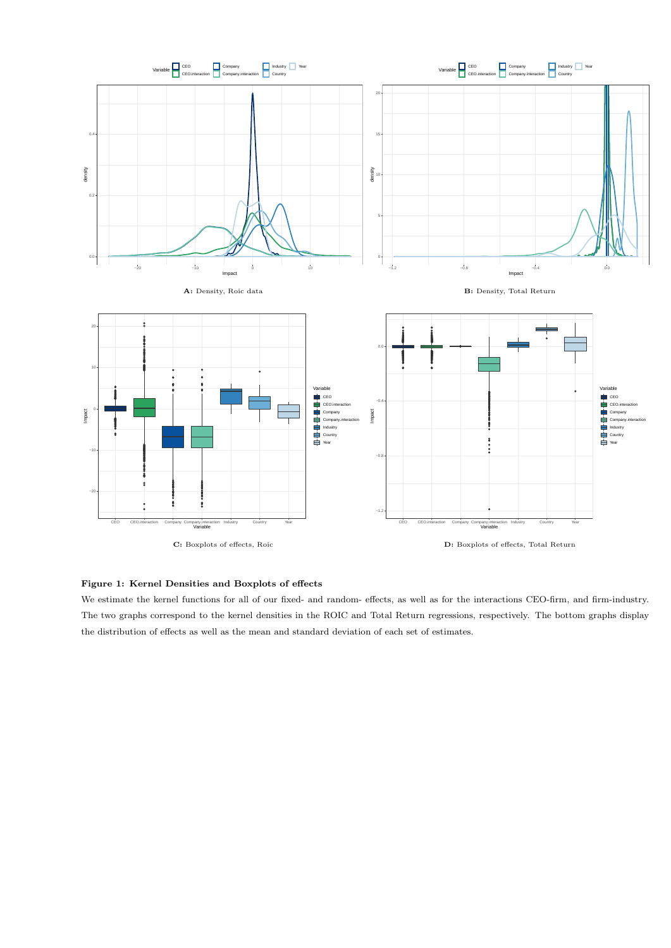

#### Figure 1: Kernel Densities and Boxplots of effects

We estimate the kernel functions for all of our fixed- and random- effects, as well as for the interactions CEO-firm, and firm-industry. The two graphs correspond to the kernel densities in the ROIC and Total Return regressions, respectively. The bottom graphs display the distribution of effects as well as the mean and standard deviation of each set of estimates.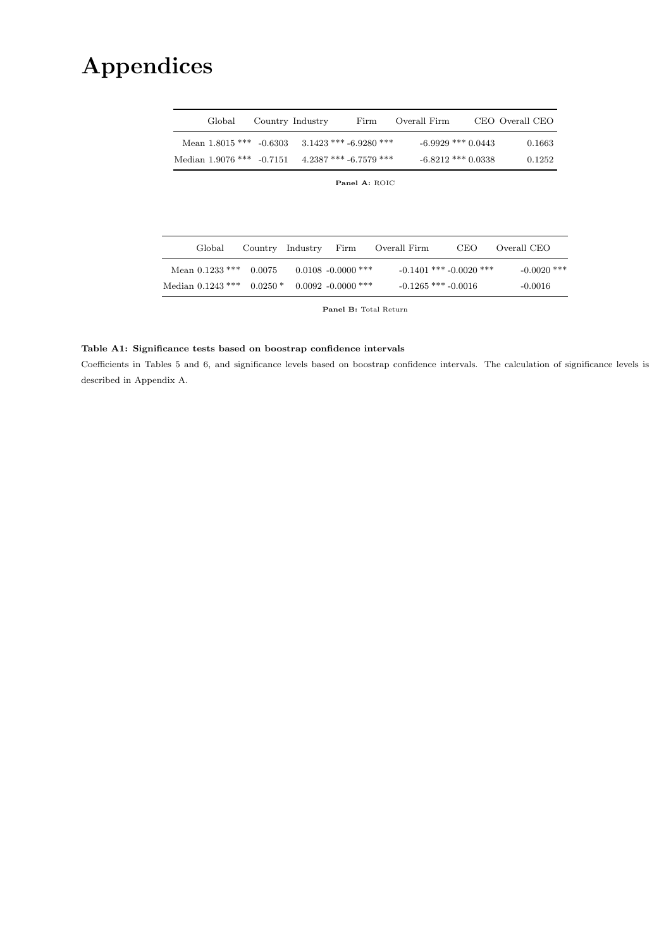# Appendices

|  | Global              |           | Country Industry | Firm                     | Overall Firm |                             | CEO Overall CEO |
|--|---------------------|-----------|------------------|--------------------------|--------------|-----------------------------|-----------------|
|  | Mean $1.8015$ ***   | $-0.6303$ |                  | $3.1423$ *** -6.9280 *** |              | $-6.9929$ *** 0.0443        | 0.1663          |
|  | Median $1.9076$ *** | $-0.7151$ |                  | $4.2387$ *** -6.7579 *** |              | $-6.8212$ *** 0.0338        | 0.1252          |
|  |                     |           |                  | Panel A: ROIC            |              |                             |                 |
|  |                     |           |                  |                          |              |                             |                 |
|  |                     |           |                  |                          |              |                             |                 |
|  | Global              | Country   | Industry         | Firm                     | Overall Firm | <b>CEO</b>                  | Overall CEO     |
|  |                     |           |                  |                          |              |                             |                 |
|  | Mean $0.1233$ ***   | 0.0075    |                  | $0.0108 - 0.0000$ ***    |              | $-0.1401$ *** $-0.0020$ *** | $-0.0020$ ***   |
|  | Median $0.1243$ *** | $0.0250*$ |                  | $0.0092 - 0.0000$ ***    |              | $-0.1265$ *** $-0.0016$     | $-0.0016$       |

Panel B: Total Return

#### Table A1: Significance tests based on boostrap confidence intervals

Coefficients in Tables 5 and 6, and significance levels based on boostrap confidence intervals. The calculation of significance levels is described in Appendix A.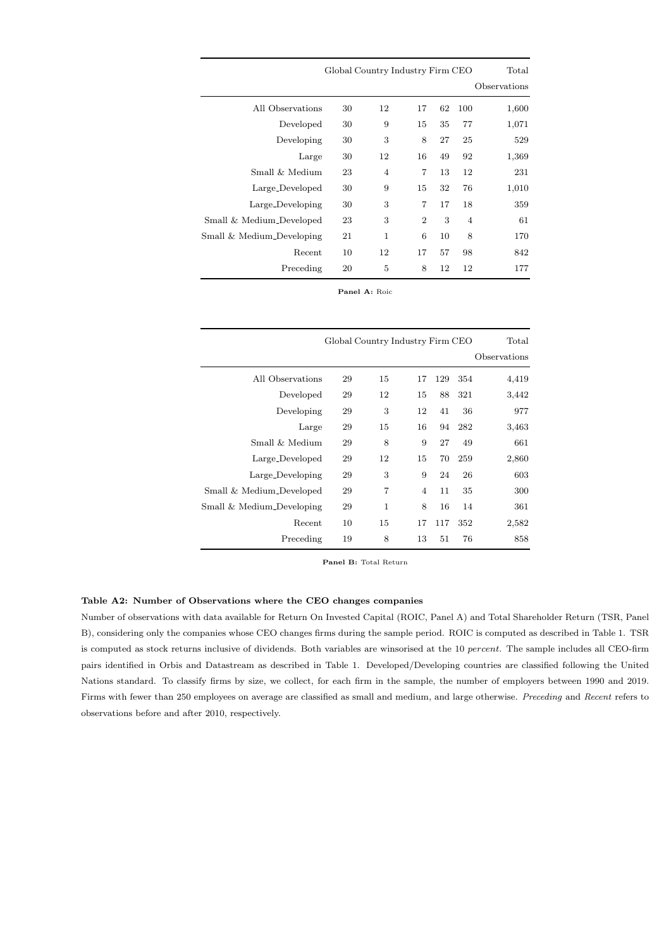|                           | Global Country Industry Firm CEO |                | Total          |    |                |              |
|---------------------------|----------------------------------|----------------|----------------|----|----------------|--------------|
|                           |                                  |                |                |    |                | Observations |
| All Observations          | 30                               | 12             | 17             | 62 | 100            | 1,600        |
| Developed                 | 30                               | 9              | 15             | 35 | 77             | 1,071        |
| Developing                | 30                               | 3              | 8              | 27 | 25             | 529          |
| Large                     | 30                               | 12             | 16             | 49 | 92             | 1,369        |
| Small & Medium            | 23                               | $\overline{4}$ | 7              | 13 | 12             | 231          |
| Large_Developed           | 30                               | 9              | 15             | 32 | 76             | 1,010        |
| Large_Developing          | 30                               | 3              | $\overline{7}$ | 17 | 18             | 359          |
| Small & Medium_Developed  | 23                               | 3              | $\overline{2}$ | 3  | $\overline{4}$ | 61           |
| Small & Medium_Developing | 21                               | $\mathbf{1}$   | 6              | 10 | 8              | 170          |
| Recent                    | 10                               | 12             | 17             | 57 | 98             | 842          |
| Preceding                 | 20                               | 5              | 8              | 12 | 12             | 177          |

Panel A: Roic

|                           | Global Country Industry Firm CEO |                |                |     |     |              |  |  |  |  |
|---------------------------|----------------------------------|----------------|----------------|-----|-----|--------------|--|--|--|--|
|                           |                                  |                |                |     |     | Observations |  |  |  |  |
| All Observations          | 29                               | 15             | 17             | 129 | 354 | 4,419        |  |  |  |  |
| Developed                 | 29                               | 12             | 15             | 88  | 321 | 3,442        |  |  |  |  |
| Developing                | 29                               | 3              | 12             | 41  | 36  | 977          |  |  |  |  |
| Large                     | 29                               | 15             | 16             | 94  | 282 | 3,463        |  |  |  |  |
| Small & Medium            | 29                               | 8              | 9              | 27  | 49  | 661          |  |  |  |  |
| Large_Developed           | 29                               | 12             | 15             | 70  | 259 | 2,860        |  |  |  |  |
| Large_Developing          | 29                               | 3              | 9              | 24  | 26  | 603          |  |  |  |  |
| Small & Medium_Developed  | 29                               | $\overline{7}$ | $\overline{4}$ | 11  | 35  | 300          |  |  |  |  |
| Small & Medium_Developing | 29                               | 1              | 8              | 16  | 14  | 361          |  |  |  |  |
| Recent                    | 10                               | 15             | 17             | 117 | 352 | 2,582        |  |  |  |  |
| Preceding                 | 19                               | 8              | 13             | 51  | 76  | 858          |  |  |  |  |
|                           |                                  |                |                |     |     |              |  |  |  |  |

Panel B: Total Return

#### Table A2: Number of Observations where the CEO changes companies

Number of observations with data available for Return On Invested Capital (ROIC, Panel A) and Total Shareholder Return (TSR, Panel B), considering only the companies whose CEO changes firms during the sample period. ROIC is computed as described in Table 1. TSR is computed as stock returns inclusive of dividends. Both variables are winsorised at the 10 percent. The sample includes all CEO-firm pairs identified in Orbis and Datastream as described in Table 1. Developed/Developing countries are classified following the United Nations standard. To classify firms by size, we collect, for each firm in the sample, the number of employers between 1990 and 2019. Firms with fewer than 250 employees on average are classified as small and medium, and large otherwise. Preceding and Recent refers to observations before and after 2010, respectively.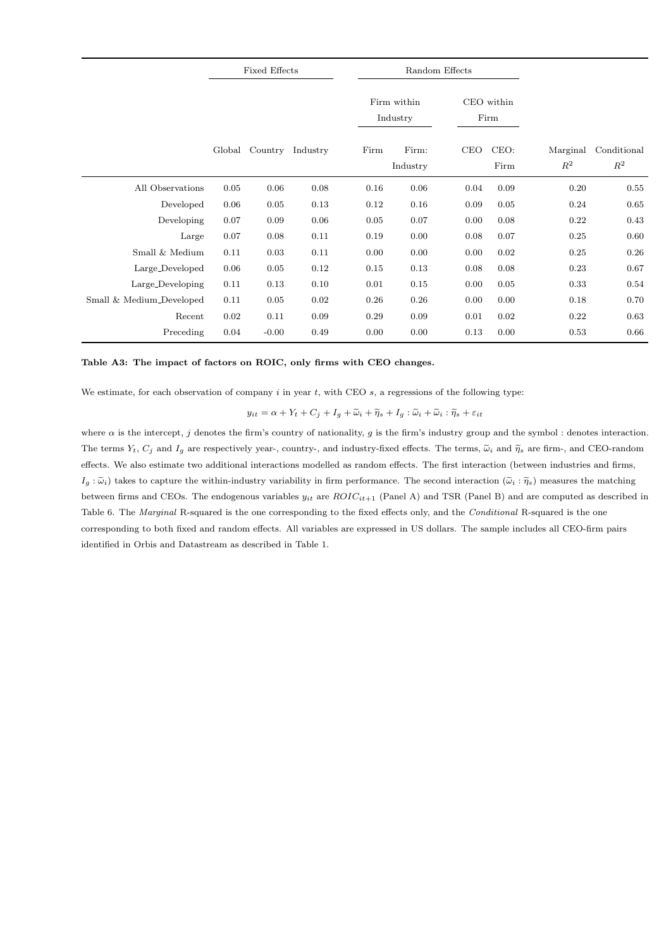|                                      |        | <b>Fixed Effects</b> |          |      |                         | Random Effects |                    |                            |                               |
|--------------------------------------|--------|----------------------|----------|------|-------------------------|----------------|--------------------|----------------------------|-------------------------------|
|                                      |        |                      |          |      | Firm within<br>Industry |                | CEO within<br>Firm |                            |                               |
|                                      | Global | Country              | Industry | Firm | Firm:<br>Industry       | CEO            | CEO:<br>Firm       | Marginal<br>$\mathbb{R}^2$ | Conditional<br>$\mathbb{R}^2$ |
| All Observations                     | 0.05   | 0.06                 | 0.08     | 0.16 | 0.06                    | 0.04           | 0.09               | 0.20                       | 0.55                          |
| Developed                            | 0.06   | 0.05                 | 0.13     | 0.12 | 0.16                    | 0.09           | 0.05               | 0.24                       | 0.65                          |
| Developing                           | 0.07   | 0.09                 | 0.06     | 0.05 | 0.07                    | 0.00           | 0.08               | 0.22                       | 0.43                          |
| Large                                | 0.07   | 0.08                 | 0.11     | 0.19 | 0.00                    | 0.08           | 0.07               | 0.25                       | 0.60                          |
| Small & Medium                       | 0.11   | 0.03                 | 0.11     | 0.00 | 0.00                    | 0.00           | 0.02               | 0.25                       | 0.26                          |
| Large_Developed                      | 0.06   | 0.05                 | 0.12     | 0.15 | 0.13                    | 0.08           | 0.08               | 0.23                       | 0.67                          |
| Large_Developing                     | 0.11   | 0.13                 | 0.10     | 0.01 | 0.15                    | 0.00           | 0.05               | 0.33                       | 0.54                          |
| Small & Medium <sub>-Developed</sub> | 0.11   | 0.05                 | 0.02     | 0.26 | 0.26                    | 0.00           | 0.00               | 0.18                       | 0.70                          |
| Recent                               | 0.02   | 0.11                 | 0.09     | 0.29 | 0.09                    | 0.01           | 0.02               | 0.22                       | 0.63                          |
| Preceding                            | 0.04   | $-0.00$              | 0.49     | 0.00 | 0.00                    | 0.13           | 0.00               | 0.53                       | 0.66                          |

#### Table A3: The impact of factors on ROIC, only firms with CEO changes.

We estimate, for each observation of company  $i$  in year  $t$ , with CEO  $s$ , a regressions of the following type:

 $y_{it} = \alpha + Y_t + C_j + I_g + \widetilde{\omega}_i + \widetilde{\eta}_s + I_g : \widetilde{\omega}_i + \widetilde{\omega}_i : \widetilde{\eta}_s + \varepsilon_{it}$ 

where  $\alpha$  is the intercept, j denotes the firm's country of nationality, g is the firm's industry group and the symbol : denotes interaction. The terms  $Y_t$ ,  $C_j$  and  $I_g$  are respectively year-, country-, and industry-fixed effects. The terms,  $\tilde{\omega}_i$  and  $\tilde{\eta}_s$  are firm-, and CEO-random effects. We also estimate two additional interactions modelled as random effects. The first interaction (between industries and firms,  $I_g : \tilde{\omega}_i$  takes to capture the within-industry variability in firm performance. The second interaction  $(\tilde{\omega}_i : \tilde{\eta}_s)$  measures the matching between firms and CEOs. The endogenous variables  $y_{it}$  are  $ROIC_{it+1}$  (Panel A) and TSR (Panel B) and are computed as described in Table 6. The Marginal R-squared is the one corresponding to the fixed effects only, and the Conditional R-squared is the one corresponding to both fixed and random effects. All variables are expressed in US dollars. The sample includes all CEO-firm pairs identified in Orbis and Datastream as described in Table 1.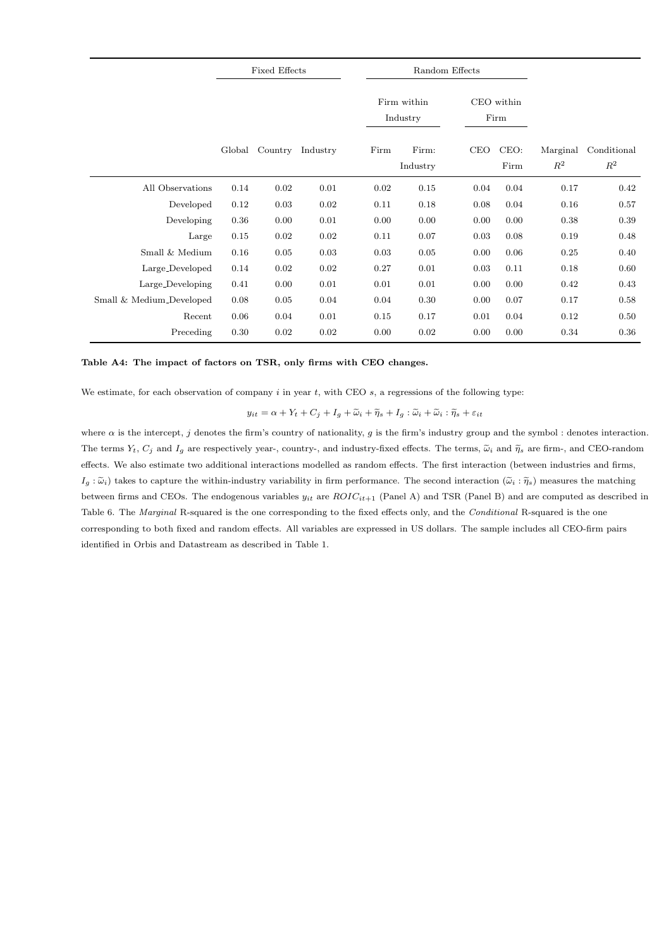|                                      | <b>Fixed Effects</b> |         |          |      | Random Effects          |            |                    |                   |                      |
|--------------------------------------|----------------------|---------|----------|------|-------------------------|------------|--------------------|-------------------|----------------------|
|                                      |                      |         |          |      | Firm within<br>Industry |            | CEO within<br>Firm |                   |                      |
|                                      | Global               | Country | Industry | Firm | Firm:<br>Industry       | <b>CEO</b> | CEO:<br>Firm       | Marginal<br>$R^2$ | Conditional<br>$R^2$ |
| All Observations                     | 0.14                 | 0.02    | 0.01     | 0.02 | 0.15                    | 0.04       | 0.04               | 0.17              | 0.42                 |
| Developed                            | 0.12                 | 0.03    | 0.02     | 0.11 | 0.18                    | 0.08       | 0.04               | 0.16              | 0.57                 |
| Developing                           | 0.36                 | 0.00    | 0.01     | 0.00 | 0.00                    | 0.00       | 0.00               | 0.38              | 0.39                 |
| Large                                | 0.15                 | 0.02    | 0.02     | 0.11 | 0.07                    | 0.03       | 0.08               | 0.19              | 0.48                 |
| Small & Medium                       | 0.16                 | 0.05    | 0.03     | 0.03 | 0.05                    | 0.00       | 0.06               | 0.25              | 0.40                 |
| Large_Developed                      | 0.14                 | 0.02    | 0.02     | 0.27 | 0.01                    | 0.03       | 0.11               | 0.18              | 0.60                 |
| Large_Developing                     | 0.41                 | 0.00    | 0.01     | 0.01 | 0.01                    | 0.00       | 0.00               | 0.42              | 0.43                 |
| Small & Medium <sub>-Developed</sub> | 0.08                 | 0.05    | 0.04     | 0.04 | 0.30                    | 0.00       | 0.07               | 0.17              | 0.58                 |
| Recent                               | 0.06                 | 0.04    | 0.01     | 0.15 | 0.17                    | 0.01       | 0.04               | 0.12              | 0.50                 |
| Preceding                            | 0.30                 | 0.02    | 0.02     | 0.00 | 0.02                    | 0.00       | 0.00               | 0.34              | 0.36                 |

#### Table A4: The impact of factors on TSR, only firms with CEO changes.

We estimate, for each observation of company  $i$  in year  $t$ , with CEO  $s$ , a regressions of the following type:

 $y_{it} = \alpha + Y_t + C_j + I_g + \widetilde{\omega}_i + \widetilde{\eta}_s + I_g : \widetilde{\omega}_i + \widetilde{\omega}_i : \widetilde{\eta}_s + \varepsilon_{it}$ 

where  $\alpha$  is the intercept, j denotes the firm's country of nationality, g is the firm's industry group and the symbol : denotes interaction. The terms  $Y_t$ ,  $C_j$  and  $I_q$  are respectively year-, country-, and industry-fixed effects. The terms,  $\tilde{\omega}_i$  and  $\tilde{\eta}_s$  are firm-, and CEO-random effects. We also estimate two additional interactions modelled as random effects. The first interaction (between industries and firms,  $I_g : \tilde{\omega}_i$  takes to capture the within-industry variability in firm performance. The second interaction  $(\tilde{\omega}_i : \tilde{\eta}_s)$  measures the matching between firms and CEOs. The endogenous variables  $y_{it}$  are  $ROIC_{it+1}$  (Panel A) and TSR (Panel B) and are computed as described in Table 6. The Marginal R-squared is the one corresponding to the fixed effects only, and the Conditional R-squared is the one corresponding to both fixed and random effects. All variables are expressed in US dollars. The sample includes all CEO-firm pairs identified in Orbis and Datastream as described in Table 1.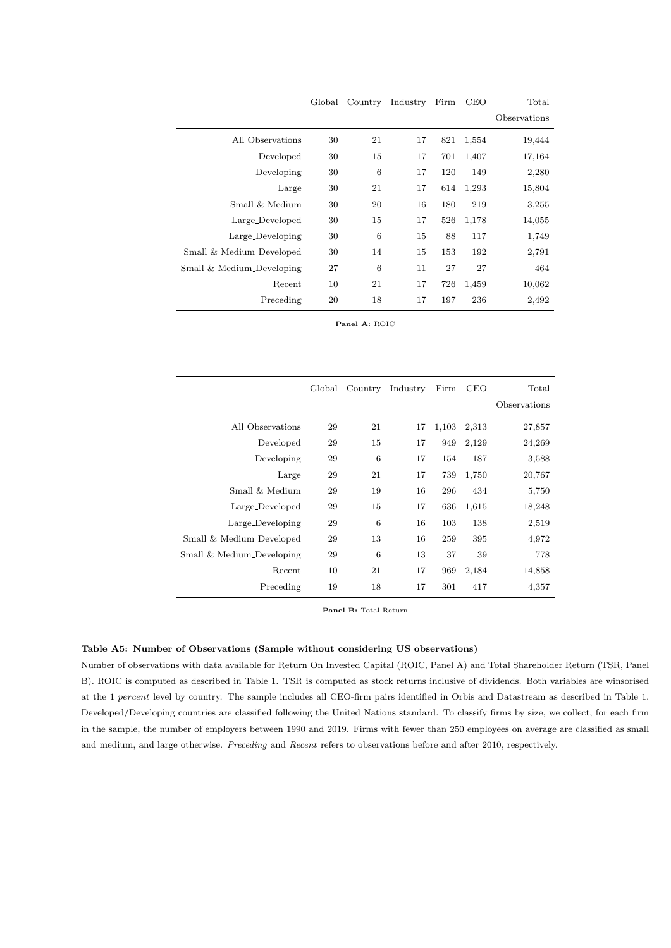|                           | Global | Country | Industry | Firm | <b>CEO</b> | Total        |
|---------------------------|--------|---------|----------|------|------------|--------------|
|                           |        |         |          |      |            | Observations |
| All Observations          | 30     | 21      | 17       | 821  | 1,554      | 19,444       |
| Developed                 | 30     | 15      | 17       | 701  | 1,407      | 17,164       |
| Developing                | 30     | 6       | 17       | 120  | 149        | 2,280        |
| Large                     | 30     | 21      | 17       | 614  | 1,293      | 15,804       |
| Small & Medium            | 30     | 20      | 16       | 180  | 219        | 3,255        |
| Large_Developed           | 30     | 15      | 17       | 526  | 1,178      | 14,055       |
| Large_Developing          | 30     | 6       | 15       | 88   | 117        | 1,749        |
| Small & Medium_Developed  | 30     | 14      | 15       | 153  | 192        | 2,791        |
| Small & Medium_Developing | 27     | 6       | 11       | 27   | 27         | 464          |
| Recent                    | 10     | 21      | 17       | 726  | 1,459      | 10,062       |
| Preceding                 | 20     | 18      | 17       | 197  | 236        | 2,492        |

Panel A: ROIC

|                           | Global | Country | Industry | Firm  | <b>CEO</b> | Total        |
|---------------------------|--------|---------|----------|-------|------------|--------------|
|                           |        |         |          |       |            | Observations |
| All Observations          | 29     | 21      | 17       | 1,103 | 2,313      | 27,857       |
| Developed                 | 29     | 15      | 17       | 949   | 2,129      | 24,269       |
| Developing                | 29     | 6       | 17       | 154   | 187        | 3,588        |
| Large                     | 29     | 21      | 17       | 739   | 1,750      | 20,767       |
| Small & Medium            | 29     | 19      | 16       | 296   | 434        | 5,750        |
| Large_Developed           | 29     | 15      | 17       | 636   | 1,615      | 18,248       |
| Large_Developing          | 29     | 6       | 16       | 103   | 138        | 2,519        |
| Small & Medium_Developed  | 29     | 13      | 16       | 259   | 395        | 4,972        |
| Small & Medium_Developing | 29     | 6       | 13       | 37    | 39         | 778          |
| Recent                    | 10     | 21      | 17       | 969   | 2,184      | 14,858       |
| Preceding                 | 19     | 18      | 17       | 301   | 417        | 4,357        |

Panel B: Total Return

#### Table A5: Number of Observations (Sample without considering US observations)

Number of observations with data available for Return On Invested Capital (ROIC, Panel A) and Total Shareholder Return (TSR, Panel B). ROIC is computed as described in Table 1. TSR is computed as stock returns inclusive of dividends. Both variables are winsorised at the 1 percent level by country. The sample includes all CEO-firm pairs identified in Orbis and Datastream as described in Table 1. Developed/Developing countries are classified following the United Nations standard. To classify firms by size, we collect, for each firm in the sample, the number of employers between 1990 and 2019. Firms with fewer than 250 employees on average are classified as small and medium, and large otherwise. Preceding and Recent refers to observations before and after 2010, respectively.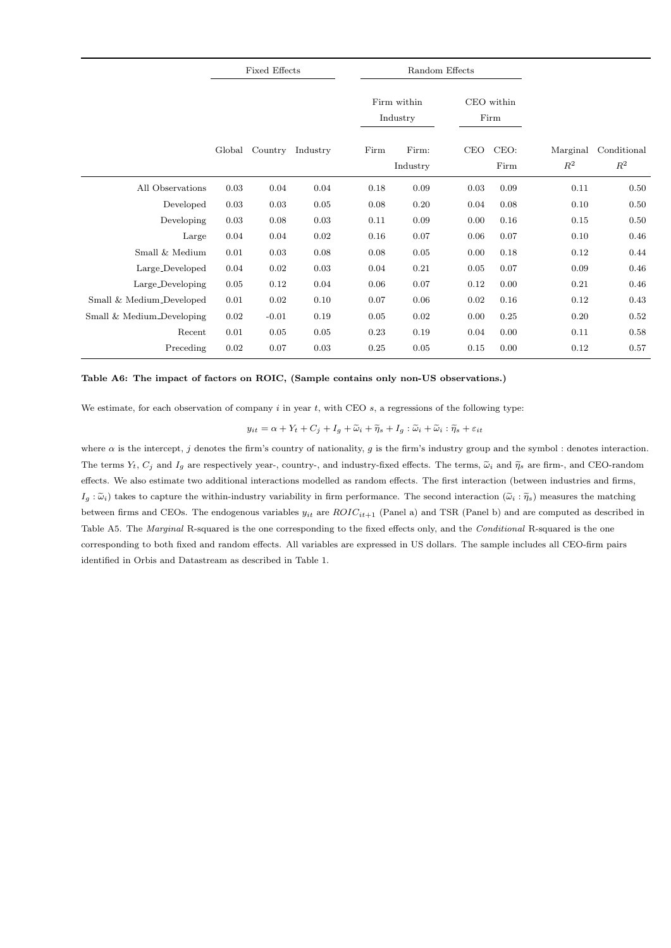|                           | <b>Fixed Effects</b> |         |          |                         | Random Effects    |                    |              |                            |                               |
|---------------------------|----------------------|---------|----------|-------------------------|-------------------|--------------------|--------------|----------------------------|-------------------------------|
|                           |                      |         |          | Firm within<br>Industry |                   | CEO within<br>Firm |              |                            |                               |
|                           | Global               | Country | Industry | Firm                    | Firm:<br>Industry | <b>CEO</b>         | CEO:<br>Firm | Marginal<br>$\mathbb{R}^2$ | Conditional<br>$\mathbb{R}^2$ |
| All Observations          | 0.03                 | 0.04    | 0.04     | 0.18                    | 0.09              | 0.03               | 0.09         | 0.11                       | 0.50                          |
| Developed                 | 0.03                 | 0.03    | 0.05     | 0.08                    | 0.20              | 0.04               | 0.08         | 0.10                       | $0.50\,$                      |
| Developing                | 0.03                 | 0.08    | 0.03     | 0.11                    | 0.09              | 0.00               | 0.16         | 0.15                       | 0.50                          |
| Large                     | 0.04                 | 0.04    | 0.02     | 0.16                    | 0.07              | 0.06               | 0.07         | 0.10                       | 0.46                          |
| Small $\&$ Medium         | 0.01                 | 0.03    | 0.08     | 0.08                    | 0.05              | 0.00               | 0.18         | 0.12                       | 0.44                          |
| Large_Developed           | 0.04                 | 0.02    | 0.03     | 0.04                    | 0.21              | 0.05               | 0.07         | 0.09                       | 0.46                          |
| Large_Developing          | 0.05                 | 0.12    | 0.04     | 0.06                    | 0.07              | 0.12               | 0.00         | 0.21                       | 0.46                          |
| Small & Medium_Developed  | 0.01                 | 0.02    | 0.10     | 0.07                    | 0.06              | 0.02               | 0.16         | 0.12                       | 0.43                          |
| Small & Medium_Developing | 0.02                 | $-0.01$ | 0.19     | 0.05                    | 0.02              | 0.00               | 0.25         | 0.20                       | $\rm 0.52$                    |
| Recent                    | 0.01                 | 0.05    | 0.05     | 0.23                    | 0.19              | 0.04               | 0.00         | 0.11                       | 0.58                          |
| Preceding                 | 0.02                 | 0.07    | 0.03     | 0.25                    | 0.05              | 0.15               | 0.00         | 0.12                       | 0.57                          |

#### Table A6: The impact of factors on ROIC, (Sample contains only non-US observations.)

We estimate, for each observation of company  $i$  in year  $t$ , with CEO  $s$ , a regressions of the following type:

$$
y_{it} = \alpha + Y_t + C_j + I_g + \widetilde{\omega}_i + \widetilde{\eta}_s + I_g : \widetilde{\omega}_i + \widetilde{\omega}_i : \widetilde{\eta}_s + \varepsilon_{it}
$$

where  $\alpha$  is the intercept, j denotes the firm's country of nationality, g is the firm's industry group and the symbol : denotes interaction. The terms  $Y_t$ ,  $C_j$  and  $I_g$  are respectively year-, country-, and industry-fixed effects. The terms,  $\tilde{\omega}_i$  and  $\tilde{\eta}_s$  are firm-, and CEO-random effects. We also estimate two additional interactions modelled as random effects. The first interaction (between industries and firms,  $I_g : \tilde{\omega}_i$  takes to capture the within-industry variability in firm performance. The second interaction  $(\tilde{\omega}_i : \tilde{\eta}_s)$  measures the matching between firms and CEOs. The endogenous variables  $y_{it}$  are  $ROIC_{it+1}$  (Panel a) and TSR (Panel b) and are computed as described in Table A5. The Marginal R-squared is the one corresponding to the fixed effects only, and the Conditional R-squared is the one corresponding to both fixed and random effects. All variables are expressed in US dollars. The sample includes all CEO-firm pairs identified in Orbis and Datastream as described in Table 1.